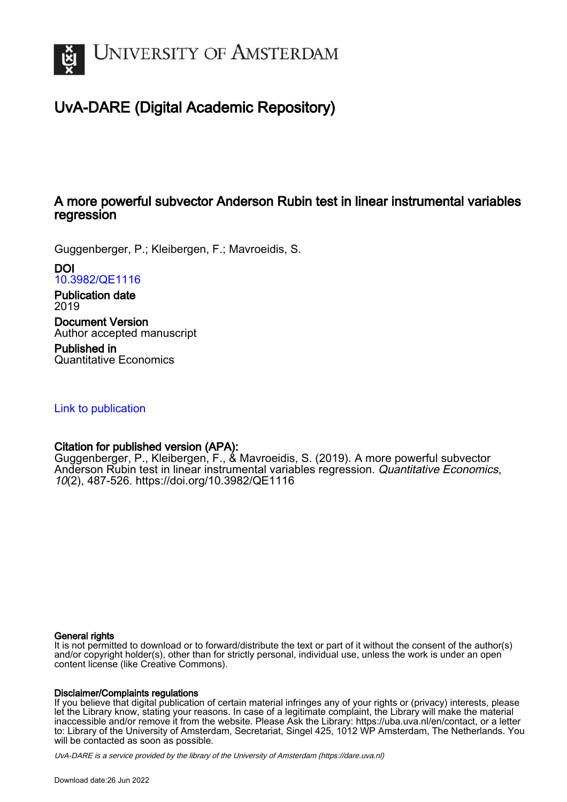

# UvA-DARE (Digital Academic Repository)

# A more powerful subvector Anderson Rubin test in linear instrumental variables regression

Guggenberger, P.; Kleibergen, F.; Mavroeidis, S.

DOI [10.3982/QE1116](https://doi.org/10.3982/QE1116)

Publication date 2019

Document Version Author accepted manuscript

Published in Quantitative Economics

[Link to publication](https://dare.uva.nl/personal/pure/en/publications/a-more-powerful-subvector-anderson-rubin-test-in-linear-instrumental-variables-regression(e09b66b4-c665-4474-818d-858027ed97db).html)

### Citation for published version (APA):

Guggenberger, P., Kleibergen, F., & Mavroeidis, S. (2019). A more powerful subvector Anderson Rubin test in linear instrumental variables regression. Quantitative Economics, 10(2), 487-526.<https://doi.org/10.3982/QE1116>

#### General rights

It is not permitted to download or to forward/distribute the text or part of it without the consent of the author(s) and/or copyright holder(s), other than for strictly personal, individual use, unless the work is under an open content license (like Creative Commons).

#### Disclaimer/Complaints regulations

If you believe that digital publication of certain material infringes any of your rights or (privacy) interests, please let the Library know, stating your reasons. In case of a legitimate complaint, the Library will make the material inaccessible and/or remove it from the website. Please Ask the Library: https://uba.uva.nl/en/contact, or a letter to: Library of the University of Amsterdam, Secretariat, Singel 425, 1012 WP Amsterdam, The Netherlands. You will be contacted as soon as possible.

UvA-DARE is a service provided by the library of the University of Amsterdam (http*s*://dare.uva.nl)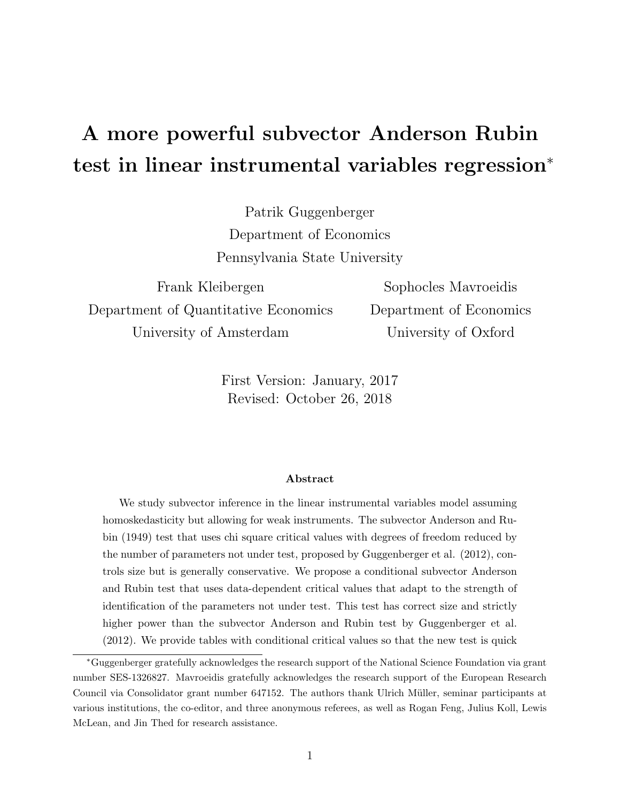# <span id="page-1-0"></span>A more powerful subvector Anderson Rubin test in linear instrumental variables regression<sup>∗</sup>

Patrik Guggenberger Department of Economics Pennsylvania State University

Frank Kleibergen Department of Quantitative Economics University of Amsterdam

Sophocles Mavroeidis Department of Economics University of Oxford

First Version: January, 2017 Revised: October 26, 2018

#### Abstract

We study subvector inference in the linear instrumental variables model assuming homoskedasticity but allowing for weak instruments. The subvector Anderson and Rubin (1949) test that uses chi square critical values with degrees of freedom reduced by the number of parameters not under test, proposed by Guggenberger et al. (2012), controls size but is generally conservative. We propose a conditional subvector Anderson and Rubin test that uses data-dependent critical values that adapt to the strength of identification of the parameters not under test. This test has correct size and strictly higher power than the subvector Anderson and Rubin test by Guggenberger et al. (2012). We provide tables with conditional critical values so that the new test is quick

<sup>∗</sup>Guggenberger gratefully acknowledges the research support of the National Science Foundation via grant number SES-1326827. Mavroeidis gratefully acknowledges the research support of the European Research Council via Consolidator grant number 647152. The authors thank Ulrich M¨uller, seminar participants at various institutions, the co-editor, and three anonymous referees, as well as Rogan Feng, Julius Koll, Lewis McLean, and Jin Thed for research assistance.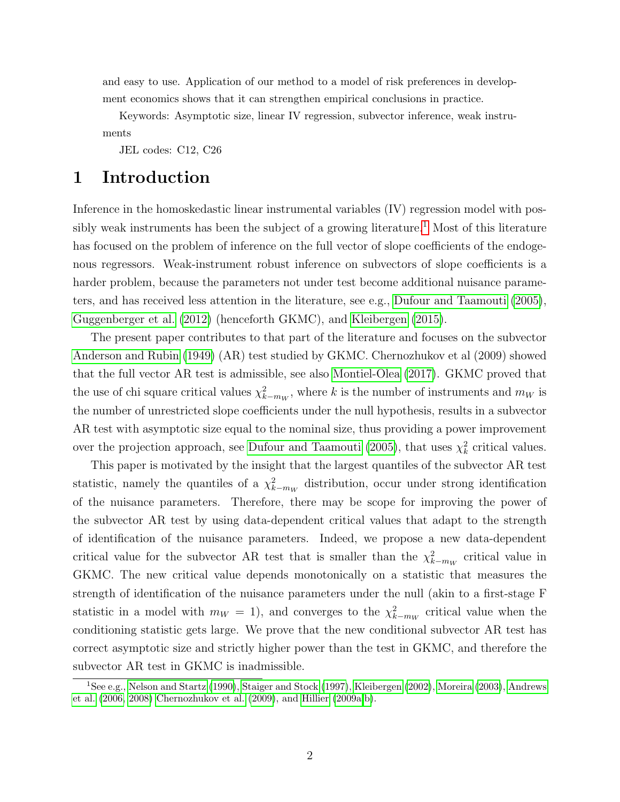and easy to use. Application of our method to a model of risk preferences in development economics shows that it can strengthen empirical conclusions in practice.

Keywords: Asymptotic size, linear IV regression, subvector inference, weak instruments

JEL codes: C12, C26

# 1 Introduction

Inference in the homoskedastic linear instrumental variables (IV) regression model with pos-sibly weak instruments has been the subject of a growing literature.<sup>[1](#page-1-0)</sup> Most of this literature has focused on the problem of inference on the full vector of slope coefficients of the endogenous regressors. Weak-instrument robust inference on subvectors of slope coefficients is a harder problem, because the parameters not under test become additional nuisance parameters, and has received less attention in the literature, see e.g., [Dufour and Taamouti](#page-41-0) [\(2005\)](#page-41-0), [Guggenberger et al.](#page-41-1) [\(2012\)](#page-41-1) (henceforth GKMC), and [Kleibergen](#page-43-0) [\(2015\)](#page-43-0).

The present paper contributes to that part of the literature and focuses on the subvector [Anderson and Rubin](#page-41-2) [\(1949\)](#page-41-2) (AR) test studied by GKMC. Chernozhukov et al (2009) showed that the full vector AR test is admissible, see also [Montiel-Olea](#page-43-1) [\(2017\)](#page-43-1). GKMC proved that the use of chi square critical values  $\chi^2_{k-m_W}$ , where k is the number of instruments and  $m_W$  is the number of unrestricted slope coefficients under the null hypothesis, results in a subvector AR test with asymptotic size equal to the nominal size, thus providing a power improvement over the projection approach, see [Dufour and Taamouti](#page-41-0) [\(2005\)](#page-41-0), that uses  $\chi^2_k$  critical values.

This paper is motivated by the insight that the largest quantiles of the subvector AR test statistic, namely the quantiles of a  $\chi^2_{k-m_W}$  distribution, occur under strong identification of the nuisance parameters. Therefore, there may be scope for improving the power of the subvector AR test by using data-dependent critical values that adapt to the strength of identification of the nuisance parameters. Indeed, we propose a new data-dependent critical value for the subvector AR test that is smaller than the  $\chi^2_{k-m_W}$  critical value in GKMC. The new critical value depends monotonically on a statistic that measures the strength of identification of the nuisance parameters under the null (akin to a first-stage F statistic in a model with  $m_W = 1$ , and converges to the  $\chi^2_{k-m_W}$  critical value when the conditioning statistic gets large. We prove that the new conditional subvector AR test has correct asymptotic size and strictly higher power than the test in GKMC, and therefore the subvector AR test in GKMC is inadmissible.

<sup>1</sup>See e.g., [Nelson and Startz \(1990\)](#page-43-2), [Staiger and Stock \(1997\)](#page-43-3), [Kleibergen \(2002\)](#page-43-4), [Moreira \(2003\)](#page-43-5), [Andrews](#page-41-3) [et al. \(2006,](#page-41-3) [2008\)](#page-41-4) [Chernozhukov et al. \(2009\)](#page-41-5), and [Hillier \(2009a,](#page-41-6)[b\)](#page-41-7).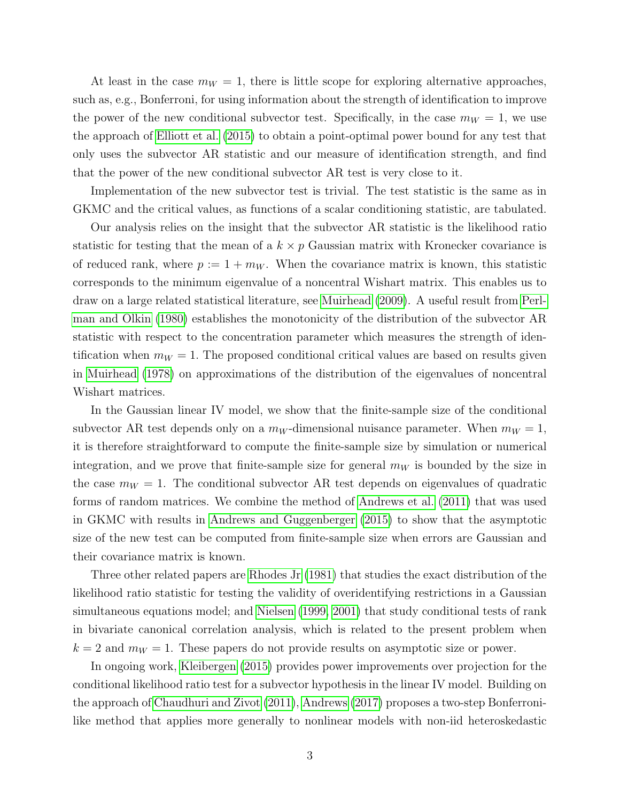At least in the case  $m_W = 1$ , there is little scope for exploring alternative approaches, such as, e.g., Bonferroni, for using information about the strength of identification to improve the power of the new conditional subvector test. Specifically, in the case  $m_W = 1$ , we use the approach of [Elliott et al.](#page-41-8) [\(2015\)](#page-41-8) to obtain a point-optimal power bound for any test that only uses the subvector AR statistic and our measure of identification strength, and find that the power of the new conditional subvector AR test is very close to it.

Implementation of the new subvector test is trivial. The test statistic is the same as in GKMC and the critical values, as functions of a scalar conditioning statistic, are tabulated.

Our analysis relies on the insight that the subvector AR statistic is the likelihood ratio statistic for testing that the mean of a  $k \times p$  Gaussian matrix with Kronecker covariance is of reduced rank, where  $p := 1 + m_W$ . When the covariance matrix is known, this statistic corresponds to the minimum eigenvalue of a noncentral Wishart matrix. This enables us to draw on a large related statistical literature, see [Muirhead](#page-43-6) [\(2009\)](#page-43-6). A useful result from [Perl](#page-43-7)[man and Olkin](#page-43-7) [\(1980\)](#page-43-7) establishes the monotonicity of the distribution of the subvector AR statistic with respect to the concentration parameter which measures the strength of identification when  $m_W = 1$ . The proposed conditional critical values are based on results given in [Muirhead](#page-43-8) [\(1978\)](#page-43-8) on approximations of the distribution of the eigenvalues of noncentral Wishart matrices.

In the Gaussian linear IV model, we show that the finite-sample size of the conditional subvector AR test depends only on a  $m_W$ -dimensional nuisance parameter. When  $m_W = 1$ , it is therefore straightforward to compute the finite-sample size by simulation or numerical integration, and we prove that finite-sample size for general  $m_W$  is bounded by the size in the case  $m_W = 1$ . The conditional subvector AR test depends on eigenvalues of quadratic forms of random matrices. We combine the method of [Andrews et al.](#page-41-9) [\(2011\)](#page-41-9) that was used in GKMC with results in [Andrews and Guggenberger](#page-41-10) [\(2015\)](#page-41-10) to show that the asymptotic size of the new test can be computed from finite-sample size when errors are Gaussian and their covariance matrix is known.

Three other related papers are [Rhodes Jr](#page-43-9) [\(1981\)](#page-43-9) that studies the exact distribution of the likelihood ratio statistic for testing the validity of overidentifying restrictions in a Gaussian simultaneous equations model; and [Nielsen](#page-43-10) [\(1999,](#page-43-10) [2001\)](#page-43-11) that study conditional tests of rank in bivariate canonical correlation analysis, which is related to the present problem when  $k = 2$  and  $m_W = 1$ . These papers do not provide results on asymptotic size or power.

In ongoing work, [Kleibergen](#page-43-0) [\(2015\)](#page-43-0) provides power improvements over projection for the conditional likelihood ratio test for a subvector hypothesis in the linear IV model. Building on the approach of [Chaudhuri and Zivot](#page-41-11) [\(2011\)](#page-41-11), [Andrews](#page-41-12) [\(2017\)](#page-41-12) proposes a two-step Bonferronilike method that applies more generally to nonlinear models with non-iid heteroskedastic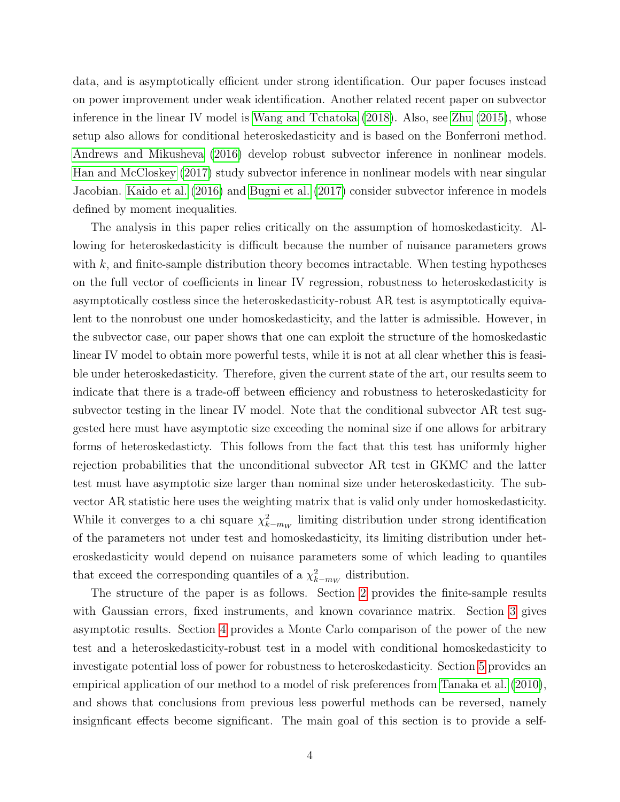data, and is asymptotically efficient under strong identification. Our paper focuses instead on power improvement under weak identification. Another related recent paper on subvector inference in the linear IV model is [Wang and Tchatoka](#page-44-0) [\(2018\)](#page-44-0). Also, see [Zhu](#page-44-1) [\(2015\)](#page-44-1), whose setup also allows for conditional heteroskedasticity and is based on the Bonferroni method. [Andrews and Mikusheva](#page-41-13) [\(2016\)](#page-41-13) develop robust subvector inference in nonlinear models. [Han and McCloskey](#page-41-14) [\(2017\)](#page-41-14) study subvector inference in nonlinear models with near singular Jacobian. [Kaido et al.](#page-43-12) [\(2016\)](#page-43-12) and [Bugni et al.](#page-41-15) [\(2017\)](#page-41-15) consider subvector inference in models defined by moment inequalities.

The analysis in this paper relies critically on the assumption of homoskedasticity. Allowing for heteroskedasticity is difficult because the number of nuisance parameters grows with  $k$ , and finite-sample distribution theory becomes intractable. When testing hypotheses on the full vector of coefficients in linear IV regression, robustness to heteroskedasticity is asymptotically costless since the heteroskedasticity-robust AR test is asymptotically equivalent to the nonrobust one under homoskedasticity, and the latter is admissible. However, in the subvector case, our paper shows that one can exploit the structure of the homoskedastic linear IV model to obtain more powerful tests, while it is not at all clear whether this is feasible under heteroskedasticity. Therefore, given the current state of the art, our results seem to indicate that there is a trade-off between efficiency and robustness to heteroskedasticity for subvector testing in the linear IV model. Note that the conditional subvector AR test suggested here must have asymptotic size exceeding the nominal size if one allows for arbitrary forms of heteroskedasticty. This follows from the fact that this test has uniformly higher rejection probabilities that the unconditional subvector AR test in GKMC and the latter test must have asymptotic size larger than nominal size under heteroskedasticity. The subvector AR statistic here uses the weighting matrix that is valid only under homoskedasticity. While it converges to a chi square  $\chi^2_{k-m_W}$  limiting distribution under strong identification of the parameters not under test and homoskedasticity, its limiting distribution under heteroskedasticity would depend on nuisance parameters some of which leading to quantiles that exceed the corresponding quantiles of a  $\chi^2_{k-m_W}$  distribution.

The structure of the paper is as follows. Section [2](#page-5-0) provides the finite-sample results with Gaussian errors, fixed instruments, and known covariance matrix. Section [3](#page-16-0) gives asymptotic results. Section [4](#page-18-0) provides a Monte Carlo comparison of the power of the new test and a heteroskedasticity-robust test in a model with conditional homoskedasticity to investigate potential loss of power for robustness to heteroskedasticity. Section [5](#page-19-0) provides an empirical application of our method to a model of risk preferences from [Tanaka et al.](#page-44-2) [\(2010\)](#page-44-2), and shows that conclusions from previous less powerful methods can be reversed, namely insignficant effects become significant. The main goal of this section is to provide a self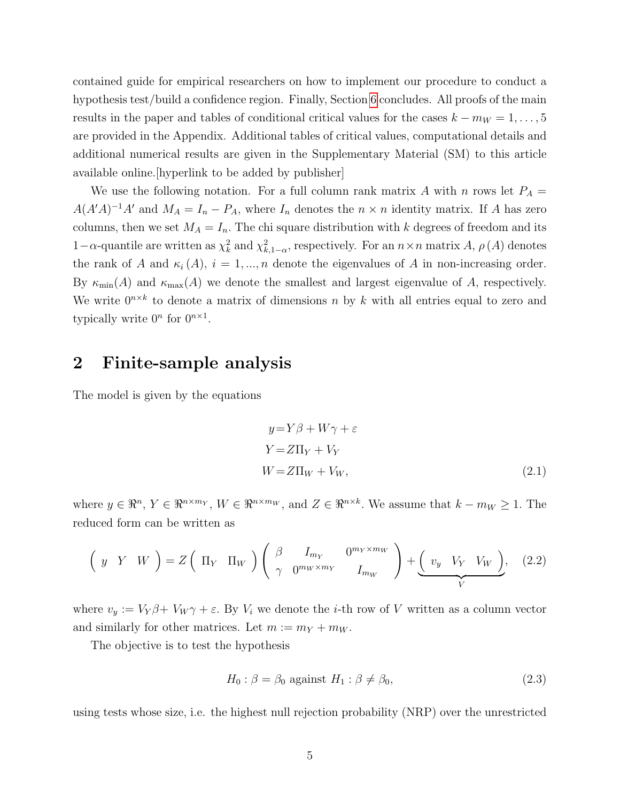contained guide for empirical researchers on how to implement our procedure to conduct a hypothesis test/build a confidence region. Finally, Section [6](#page-25-0) concludes. All proofs of the main results in the paper and tables of conditional critical values for the cases  $k - m_W = 1, \ldots, 5$ are provided in the Appendix. Additional tables of critical values, computational details and additional numerical results are given in the Supplementary Material (SM) to this article available online.[hyperlink to be added by publisher]

We use the following notation. For a full column rank matrix A with n rows let  $P_A =$  $A(A'A)^{-1}A'$  and  $M_A = I_n - P_A$ , where  $I_n$  denotes the  $n \times n$  identity matrix. If A has zero columns, then we set  $M_A = I_n$ . The chi square distribution with k degrees of freedom and its 1-α-quantile are written as  $\chi^2_k$  and  $\chi^2_{k,1-\alpha}$ , respectively. For an  $n \times n$  matrix A,  $\rho(A)$  denotes the rank of A and  $\kappa_i(A)$ ,  $i = 1, ..., n$  denote the eigenvalues of A in non-increasing order. By  $\kappa_{\min}(A)$  and  $\kappa_{\max}(A)$  we denote the smallest and largest eigenvalue of A, respectively. We write  $0^{n \times k}$  to denote a matrix of dimensions n by k with all entries equal to zero and typically write  $0^n$  for  $0^{n \times 1}$ .

# <span id="page-5-0"></span>2 Finite-sample analysis

The model is given by the equations

<span id="page-5-2"></span>
$$
y = Y\beta + W\gamma + \varepsilon
$$
  
\n
$$
Y = Z\Pi_Y + V_Y
$$
  
\n
$$
W = Z\Pi_W + V_W,
$$
\n(2.1)

where  $y \in \mathbb{R}^n$ ,  $Y \in \mathbb{R}^{n \times m_Y}$ ,  $W \in \mathbb{R}^{n \times m_W}$ , and  $Z \in \mathbb{R}^{n \times k}$ . We assume that  $k - m_W \ge 1$ . The reduced form can be written as

$$
\left(y \quad Y \quad W\right) = Z\left(\begin{array}{cc}\Pi_Y & \Pi_W\end{array}\right)\left(\begin{array}{cc}\beta & I_{m_Y} & 0^{m_Y \times m_W} \\ \gamma & 0^{m_W \times m_Y} & I_{m_W}\end{array}\right) + \underbrace{\left(\begin{array}{cc}v_y & V_Y & V_W\end{array}\right)}_{V},\tag{2.2}
$$

where  $v_y := V_Y \beta + V_W \gamma + \varepsilon$ . By  $V_i$  we denote the *i*-th row of V written as a column vector and similarly for other matrices. Let  $m := m_Y + m_W$ .

The objective is to test the hypothesis

<span id="page-5-1"></span>
$$
H_0: \beta = \beta_0 \text{ against } H_1: \beta \neq \beta_0,\tag{2.3}
$$

using tests whose size, i.e. the highest null rejection probability (NRP) over the unrestricted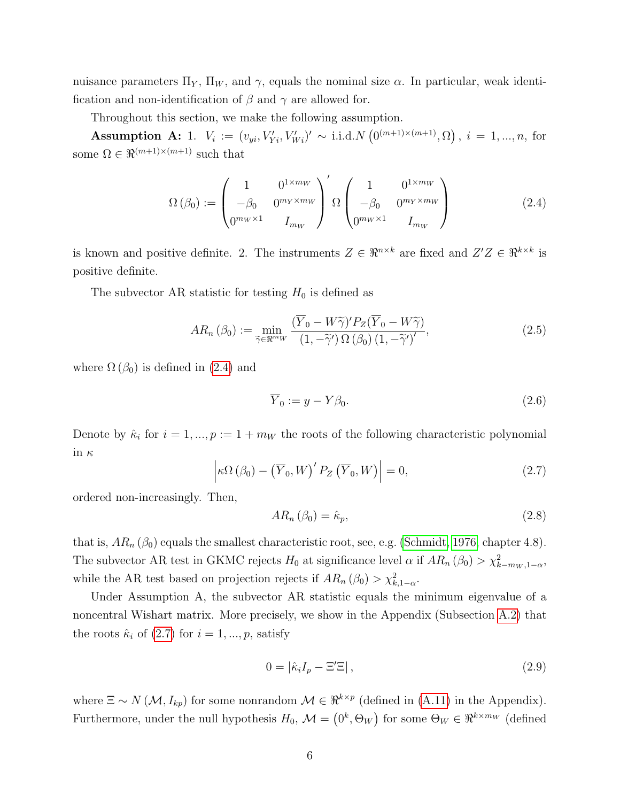nuisance parameters  $\Pi_Y$ ,  $\Pi_W$ , and  $\gamma$ , equals the nominal size  $\alpha$ . In particular, weak identification and non-identification of  $\beta$  and  $\gamma$  are allowed for.

Throughout this section, we make the following assumption.

Assumption A: 1.  $V_i := (v_{yi}, V'_{Yi}, V'_{Wi})' \sim$  i.i.d.  $N(0^{(m+1)\times(m+1)}, \Omega)$ ,  $i = 1, ..., n$ , for some  $\Omega\in\Re^{(m+1)\times(m+1)}$  such that

<span id="page-6-0"></span>
$$
\Omega(\beta_0) := \begin{pmatrix} 1 & 0^{1 \times m_W} \\ -\beta_0 & 0^{m_Y \times m_W} \\ 0^{m_W \times 1} & I_{m_W} \end{pmatrix}' \Omega \begin{pmatrix} 1 & 0^{1 \times m_W} \\ -\beta_0 & 0^{m_Y \times m_W} \\ 0^{m_W \times 1} & I_{m_W} \end{pmatrix}
$$
(2.4)

is known and positive definite. 2. The instruments  $Z \in \mathbb{R}^{n \times k}$  are fixed and  $Z'Z \in \mathbb{R}^{k \times k}$  is positive definite.

The subvector AR statistic for testing  $H_0$  is defined as

<span id="page-6-2"></span>
$$
AR_n\left(\beta_0\right) := \min_{\widetilde{\gamma} \in \Re^{m_W}} \frac{\left(\overline{Y}_0 - W\widetilde{\gamma}\right)' P_Z(\overline{Y}_0 - W\widetilde{\gamma})}{\left(1, -\widetilde{\gamma}'\right) \Omega\left(\beta_0\right) \left(1, -\widetilde{\gamma}'\right)'},\tag{2.5}
$$

where  $\Omega(\beta_0)$  is defined in [\(2.4\)](#page-6-0) and

$$
\overline{Y}_0 := y - Y\beta_0. \tag{2.6}
$$

Denote by  $\hat{\kappa}_i$  for  $i = 1, ..., p := 1 + m_W$  the roots of the following characteristic polynomial in  $\kappa$ 

<span id="page-6-1"></span>
$$
\left|\kappa\Omega\left(\beta_{0}\right)-\left(\overline{Y}_{0},W\right)'P_{Z}\left(\overline{Y}_{0},W\right)\right|=0,
$$
\n(2.7)

ordered non-increasingly. Then,

$$
AR_n\left(\beta_0\right) = \hat{\kappa}_p,\tag{2.8}
$$

that is,  $AR_n(\beta_0)$  equals the smallest characteristic root, see, e.g. [\(Schmidt, 1976,](#page-43-13) chapter 4.8). The subvector AR test in GKMC rejects  $H_0$  at significance level  $\alpha$  if  $AR_n(\beta_0) > \chi^2_{k-m_W,1-\alpha}$ , while the AR test based on projection rejects if  $AR_n (\beta_0) > \chi^2_{k,1-\alpha}$ .

Under Assumption A, the subvector AR statistic equals the minimum eigenvalue of a noncentral Wishart matrix. More precisely, we show in the Appendix (Subsection [A.2\)](#page-26-0) that the roots  $\hat{\kappa}_i$  of [\(2.7\)](#page-6-1) for  $i = 1, ..., p$ , satisfy

<span id="page-6-3"></span>
$$
0 = |\hat{\kappa}_i I_p - \Xi' \Xi| \,, \tag{2.9}
$$

where  $\Xi \sim N(\mathcal{M}, I_{kp})$  for some nonrandom  $\mathcal{M} \in \mathbb{R}^{k \times p}$  (defined in [\(A.11\)](#page-27-0) in the Appendix). Furthermore, under the null hypothesis  $H_0$ ,  $\mathcal{M} = (0^k, \Theta_W)$  for some  $\Theta_W \in \Re^{k \times m_W}$  (defined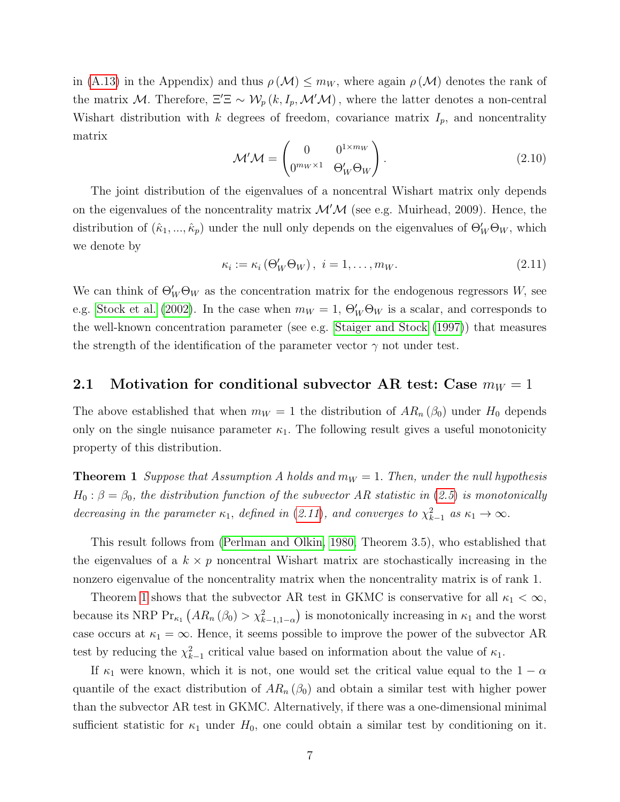in [\(A.13\)](#page-27-1) in the Appendix) and thus  $\rho(\mathcal{M}) \leq m_W$ , where again  $\rho(\mathcal{M})$  denotes the rank of the matrix M. Therefore,  $\Xi' \Xi \sim \mathcal{W}_p(k, I_p, \mathcal{M}'\mathcal{M})$ , where the latter denotes a non-central Wishart distribution with k degrees of freedom, covariance matrix  $I_p$ , and noncentrality matrix

<span id="page-7-2"></span>
$$
\mathcal{M}'\mathcal{M} = \begin{pmatrix} 0 & 0^{1 \times m_W} \\ 0^{m_W \times 1} & \Theta'_W \Theta_W \end{pmatrix} . \tag{2.10}
$$

The joint distribution of the eigenvalues of a noncentral Wishart matrix only depends on the eigenvalues of the noncentrality matrix  $\mathcal{M}'\mathcal{M}$  (see e.g. Muirhead, 2009). Hence, the distribution of  $(\hat{\kappa}_1, ..., \hat{\kappa}_p)$  under the null only depends on the eigenvalues of  $\Theta_W' \Theta_W$ , which we denote by

<span id="page-7-0"></span>
$$
\kappa_i := \kappa_i \left( \Theta_W' \Theta_W \right), \ i = 1, \dots, m_W. \tag{2.11}
$$

We can think of  $\Theta_W' \Theta_W$  as the concentration matrix for the endogenous regressors W, see e.g. [Stock et al.](#page-43-14) [\(2002\)](#page-43-14). In the case when  $m_W = 1$ ,  $\Theta'_W \Theta_W$  is a scalar, and corresponds to the well-known concentration parameter (see e.g. [Staiger and Stock](#page-43-3) [\(1997\)](#page-43-3)) that measures the strength of the identification of the parameter vector  $\gamma$  not under test.

### 2.1 Motivation for conditional subvector AR test: Case  $m_W = 1$

The above established that when  $m_W = 1$  the distribution of  $AR_n(\beta_0)$  under  $H_0$  depends only on the single nuisance parameter  $\kappa_1$ . The following result gives a useful monotonicity property of this distribution.

<span id="page-7-1"></span>**Theorem 1** Suppose that Assumption A holds and  $m_W = 1$ . Then, under the null hypothesis  $H_0: \beta = \beta_0$ , the distribution function of the subvector AR statistic in ([2.5](#page-6-2)) is monotonically decreasing in the parameter  $\kappa_1$ , defined in ([2.11](#page-7-0)), and converges to  $\chi^2_{k-1}$  as  $\kappa_1 \to \infty$ .

This result follows from [\(Perlman and Olkin, 1980,](#page-43-7) Theorem 3.5), who established that the eigenvalues of a  $k \times p$  noncentral Wishart matrix are stochastically increasing in the nonzero eigenvalue of the noncentrality matrix when the noncentrality matrix is of rank 1.

Theorem [1](#page-7-1) shows that the subvector AR test in GKMC is conservative for all  $\kappa_1 < \infty$ , because its NRP  $Pr_{\kappa_1}(AR_n(\beta_0) > \chi^2_{k-1,1-\alpha})$  is monotonically increasing in  $\kappa_1$  and the worst case occurs at  $\kappa_1 = \infty$ . Hence, it seems possible to improve the power of the subvector AR test by reducing the  $\chi^2_{k-1}$  critical value based on information about the value of  $\kappa_1$ .

If  $\kappa_1$  were known, which it is not, one would set the critical value equal to the  $1 - \alpha$ quantile of the exact distribution of  $AR_n(\beta_0)$  and obtain a similar test with higher power than the subvector AR test in GKMC. Alternatively, if there was a one-dimensional minimal sufficient statistic for  $\kappa_1$  under  $H_0$ , one could obtain a similar test by conditioning on it.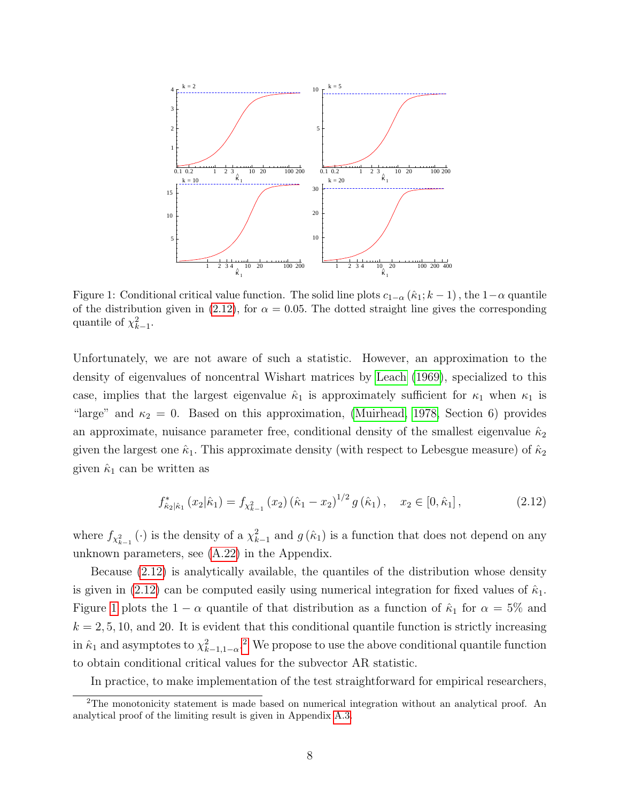<span id="page-8-1"></span>

Figure 1: Conditional critical value function. The solid line plots  $c_{1-\alpha}$  ( $\hat{\kappa}_1$ ;  $k-1$ ), the  $1-\alpha$  quantile of the distribution given in [\(2.12\)](#page-8-0), for  $\alpha = 0.05$ . The dotted straight line gives the corresponding quantile of  $\chi^2_{k-1}$ .

Unfortunately, we are not aware of such a statistic. However, an approximation to the density of eigenvalues of noncentral Wishart matrices by [Leach](#page-43-15) [\(1969\)](#page-43-15), specialized to this case, implies that the largest eigenvalue  $\hat{\kappa}_1$  is approximately sufficient for  $\kappa_1$  when  $\kappa_1$  is "large" and  $\kappa_2 = 0$ . Based on this approximation, [\(Muirhead, 1978,](#page-43-8) Section 6) provides an approximate, nuisance parameter free, conditional density of the smallest eigenvalue  $\hat{\kappa}_2$ given the largest one  $\hat{\kappa}_1$ . This approximate density (with respect to Lebesgue measure) of  $\hat{\kappa}_2$ given  $\hat{\kappa}_1$  can be written as

<span id="page-8-0"></span>
$$
f_{\hat{\kappa}_2|\hat{\kappa}_1}^*(x_2|\hat{\kappa}_1) = f_{\chi_{k-1}^2}(x_2)(\hat{\kappa}_1 - x_2)^{1/2} g(\hat{\kappa}_1), \quad x_2 \in [0, \hat{\kappa}_1], \tag{2.12}
$$

where  $f_{\chi^2_{k-1}}(\cdot)$  is the density of a  $\chi^2_{k-1}$  and  $g(\hat{\kappa}_1)$  is a function that does not depend on any unknown parameters, see [\(A.22\)](#page-29-0) in the Appendix.

Because [\(2.12\)](#page-8-0) is analytically available, the quantiles of the distribution whose density is given in [\(2.12\)](#page-8-0) can be computed easily using numerical integration for fixed values of  $\hat{\kappa}_1$ . Figure [1](#page-8-1) plots the  $1 - \alpha$  quantile of that distribution as a function of  $\hat{\kappa}_1$  for  $\alpha = 5\%$  and  $k = 2, 5, 10,$  and 20. It is evident that this conditional quantile function is strictly increasing in  $\hat{\kappa}_1$  and asymptotes to  $\chi^2_{k-1,1-\alpha}$  $\chi^2_{k-1,1-\alpha}$  $\chi^2_{k-1,1-\alpha}$ .<sup>2</sup> We propose to use the above conditional quantile function to obtain conditional critical values for the subvector AR statistic.

In practice, to make implementation of the test straightforward for empirical researchers,

<sup>&</sup>lt;sup>2</sup>The monotonicity statement is made based on numerical integration without an analytical proof. An analytical proof of the limiting result is given in Appendix [A.3.](#page-28-0)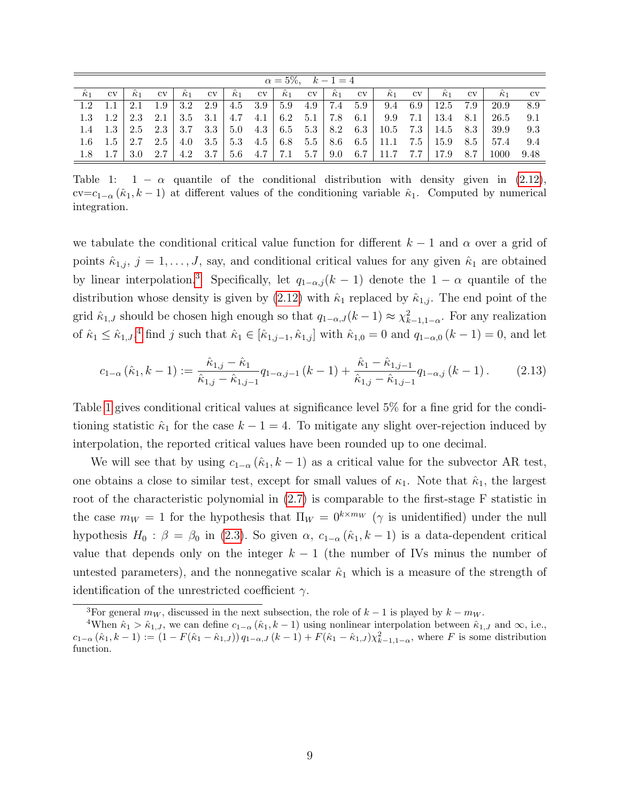<span id="page-9-0"></span>

|                  |                  |            |                  |            |                  |            |           |                  |                  | $\alpha = 5\%, \quad k-1=4$ |           |                                                                                                |              |            |              |            |             |
|------------------|------------------|------------|------------------|------------|------------------|------------|-----------|------------------|------------------|-----------------------------|-----------|------------------------------------------------------------------------------------------------|--------------|------------|--------------|------------|-------------|
| $\hat{\kappa}_1$ | $\rm{cv}$        | $\kappa_1$ | $\rm{cv}$        | $\kappa_1$ | $_{\rm cv}$      | $\kappa_1$ | $\rm{cv}$ | $\hat{\kappa}_1$ | $\rm{cv}$        | $\hat{\kappa}_1$            | $\rm{cv}$ | $\kappa_1$                                                                                     | $_{\rm{cv}}$ | $\kappa_1$ | $_{\rm{cv}}$ | $\kappa_1$ | $_{\rm cv}$ |
| 1.2              |                  | 2.1        | 1.9              | 3.2        | 2.9              | 4.5        | 3.9       | 5.9              | 4.9              | 7.4                         | 5.9       | 9.4                                                                                            | 6.9          | 12.5       | 7.9          | 20.9       | 8.9         |
| 1.3              | 1.2              | 2.3        | 2.1              | 3.5        | $-3.1 + 3$       | 4.7        |           | $4.1 \pm 6.2$    |                  | $5.1 \pm 7.8$               | 6.1       | 9.9                                                                                            | 7.1          | $13.4$ 8.1 |              | 26.5       | 9.1         |
| $1.4^{\circ}$    | 1.3              | 2.5        | 2.3              | 3.7        | 3.3 l            | 5.0        |           |                  |                  |                             |           | $4.3 \begin{array}{ c c c c c c } \hline 4.3 & 6.5 & 5.3 & 8.2 & 6.3 & 10.5 & 7.3 \end{array}$ |              | $14.5$ 8.3 |              | 39.9       | 9.3         |
| $1.6\,$          | 1.5 <sub>1</sub> | 2.7        | 2.5 <sub>1</sub> | -4.0       | 3.5 <sup>1</sup> | 5.3        |           | $4.5 \pm 6.8$    |                  |                             |           | $5.5$   8.6 6.5   11.1                                                                         | 7.5          | 15.9       | 8.5          | 57.4       | 9.4         |
| 1.8              |                  | 3.0        | 2.7              | 4.2        | 3.7              | 5.6        | $4.7 +$   | 17.1             | 5.7 <sub>1</sub> | $\mid 9.0 \mid$             |           | $6.7$   11.7                                                                                   | 7.7          | 17.9       | 8.7          | 1000       | 9.48        |

Table 1:  $1 - \alpha$  quantile of the conditional distribution with density given in [\(2.12\)](#page-8-0), cv=c<sub>1−α</sub>  $(\hat{\kappa}_1, k-1)$  at different values of the conditioning variable  $\hat{\kappa}_1$ . Computed by numerical integration.

we tabulate the conditional critical value function for different  $k-1$  and  $\alpha$  over a grid of points  $\hat{\kappa}_{1,j}, j = 1, \ldots, J$ , say, and conditional critical values for any given  $\hat{\kappa}_1$  are obtained by linear interpolation.<sup>[3](#page-1-0)</sup> Specifically, let  $q_{1-\alpha,j}(k-1)$  denote the  $1-\alpha$  quantile of the distribution whose density is given by  $(2.12)$  with  $\hat{\kappa}_1$  replaced by  $\hat{\kappa}_{1,j}$ . The end point of the grid  $\hat{\kappa}_{1,J}$  should be chosen high enough so that  $q_{1-\alpha,J}(k-1) \approx \chi^2_{k-1,1-\alpha}$ . For any realization of  $\hat{\kappa}_1 \leq \hat{\kappa}_{1,J}$ ,<sup>[4](#page-1-0)</sup> find j such that  $\hat{\kappa}_1 \in [\hat{\kappa}_{1,j-1}, \hat{\kappa}_{1,j}]$  with  $\hat{\kappa}_{1,0} = 0$  and  $q_{1-\alpha,0}$   $(k-1) = 0$ , and let

<span id="page-9-1"></span>
$$
c_{1-\alpha}(\hat{\kappa}_1, k-1) := \frac{\hat{\kappa}_{1,j} - \hat{\kappa}_1}{\hat{\kappa}_{1,j} - \hat{\kappa}_{1,j-1}} q_{1-\alpha,j-1} (k-1) + \frac{\hat{\kappa}_1 - \hat{\kappa}_{1,j-1}}{\hat{\kappa}_{1,j} - \hat{\kappa}_{1,j-1}} q_{1-\alpha,j} (k-1).
$$
 (2.13)

Table [1](#page-9-0) gives conditional critical values at significance level 5% for a fine grid for the conditioning statistic  $\hat{\kappa}_1$  for the case  $k - 1 = 4$ . To mitigate any slight over-rejection induced by interpolation, the reported critical values have been rounded up to one decimal.

We will see that by using  $c_{1-\alpha}$  ( $\hat{\kappa}_1, k-1$ ) as a critical value for the subvector AR test, one obtains a close to similar test, except for small values of  $\kappa_1$ . Note that  $\hat{\kappa}_1$ , the largest root of the characteristic polynomial in [\(2.7\)](#page-6-1) is comparable to the first-stage F statistic in the case  $m_W = 1$  for the hypothesis that  $\Pi_W = 0^{k \times m_W}$  ( $\gamma$  is unidentified) under the null hypothesis  $H_0$ :  $\beta = \beta_0$  in [\(2.3\)](#page-5-1). So given  $\alpha$ ,  $c_{1-\alpha}$  ( $\hat{\kappa}_1$ ,  $k-1$ ) is a data-dependent critical value that depends only on the integer  $k - 1$  (the number of IVs minus the number of untested parameters), and the nonnegative scalar  $\hat{\kappa}_1$  which is a measure of the strength of identification of the unrestricted coefficient  $\gamma$ .

<sup>&</sup>lt;sup>3</sup>For general  $m_W$ , discussed in the next subsection, the role of  $k-1$  is played by  $k - m_W$ .

<sup>&</sup>lt;sup>4</sup>When  $\hat{\kappa}_1 > \hat{\kappa}_{1,J}$ , we can define  $c_{1-\alpha}(\hat{\kappa}_1, k-1)$  using nonlinear interpolation between  $\hat{\kappa}_{1,J}$  and  $\infty$ , i.e.,  $c_{1-\alpha}(\hat{\kappa}_1, k-1) := (1 - F(\hat{\kappa}_1 - \hat{\kappa}_{1,J}) (q_{1-\alpha,J}(k-1) + F(\hat{\kappa}_1 - \hat{\kappa}_{1,J}) \chi_{k-1,1-\alpha}^2$ , where F is some distribution function.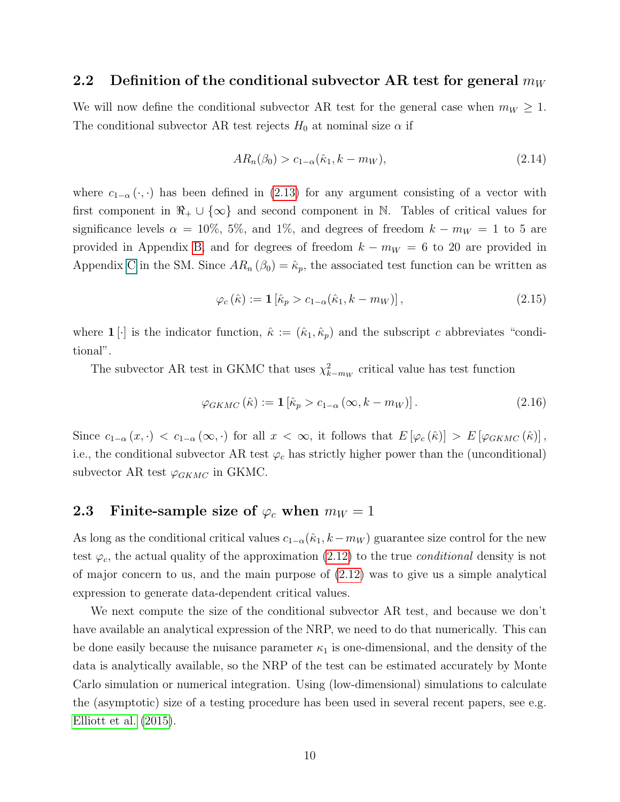### 2.2 Definition of the conditional subvector AR test for general  $m_W$

We will now define the conditional subvector AR test for the general case when  $m_W \geq 1$ . The conditional subvector AR test rejects  $H_0$  at nominal size  $\alpha$  if

<span id="page-10-2"></span>
$$
AR_n(\beta_0) > c_{1-\alpha}(\hat{\kappa}_1, k - m_W), \tag{2.14}
$$

where  $c_{1-\alpha}(\cdot, \cdot)$  has been defined in [\(2.13\)](#page-9-1) for any argument consisting of a vector with first component in  $\mathbb{R}_+ \cup \{\infty\}$  and second component in N. Tables of critical values for significance levels  $\alpha = 10\%, 5\%,$  and 1%, and degrees of freedom  $k - m_W = 1$  to 5 are provided in Appendix [B,](#page-36-0) and for degrees of freedom  $k - m_W = 6$  to 20 are provided in Appendix C in the SM. Since  $AR_n(\beta_0) = \hat{\kappa}_p$ , the associated test function can be written as

<span id="page-10-0"></span>
$$
\varphi_c(\hat{\kappa}) := \mathbf{1} \left[ \hat{\kappa}_p > c_{1-\alpha}(\hat{\kappa}_1, k - m_W) \right],\tag{2.15}
$$

where  $\mathbf{1}[\cdot]$  is the indicator function,  $\hat{\kappa} := (\hat{\kappa}_1, \hat{\kappa}_p)$  and the subscript c abbreviates "conditional".

The subvector AR test in GKMC that uses  $\chi^2_{k-m_W}$  critical value has test function

<span id="page-10-1"></span>
$$
\varphi_{GKMC}(\hat{\kappa}) := \mathbf{1} \left[ \hat{\kappa}_p > c_{1-\alpha} \left( \infty, k - m_W \right) \right]. \tag{2.16}
$$

Since  $c_{1-\alpha}(x, \cdot) < c_{1-\alpha}(\infty, \cdot)$  for all  $x < \infty$ , it follows that  $E[\varphi_c(\hat{\kappa})] > E[\varphi_{GKMC}(\hat{\kappa})]$ , i.e., the conditional subvector AR test  $\varphi_c$  has strictly higher power than the (unconditional) subvector AR test  $\varphi_{GKMC}$  in GKMC.

# 2.3 Finite-sample size of  $\varphi_c$  when  $m_W = 1$

As long as the conditional critical values  $c_{1-\alpha}(\hat{\kappa}_1, k-m_W)$  guarantee size control for the new test  $\varphi_c$ , the actual quality of the approximation [\(2.12\)](#page-8-0) to the true *conditional* density is not of major concern to us, and the main purpose of [\(2.12\)](#page-8-0) was to give us a simple analytical expression to generate data-dependent critical values.

We next compute the size of the conditional subvector AR test, and because we don't have available an analytical expression of the NRP, we need to do that numerically. This can be done easily because the nuisance parameter  $\kappa_1$  is one-dimensional, and the density of the data is analytically available, so the NRP of the test can be estimated accurately by Monte Carlo simulation or numerical integration. Using (low-dimensional) simulations to calculate the (asymptotic) size of a testing procedure has been used in several recent papers, see e.g. [Elliott et al.](#page-41-8) [\(2015\)](#page-41-8).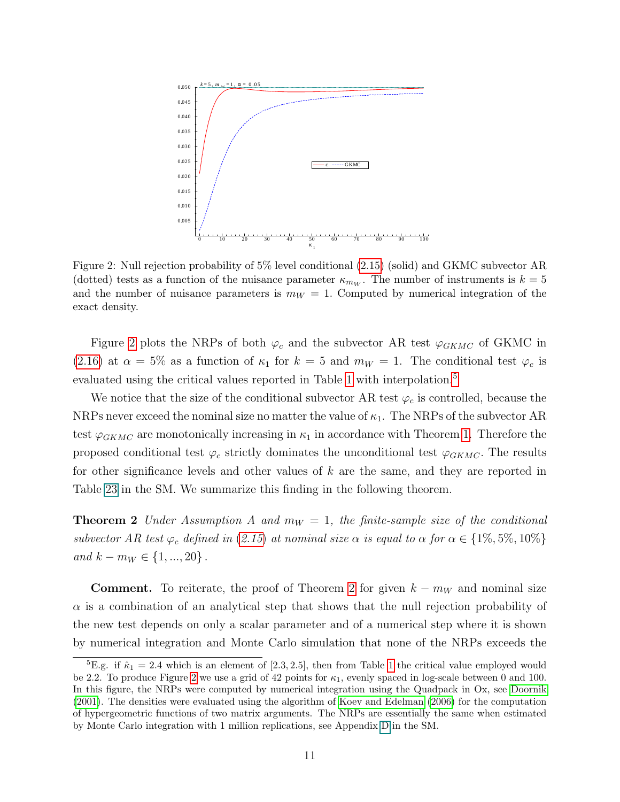<span id="page-11-0"></span>

Figure 2: Null rejection probability of 5% level conditional [\(2.15\)](#page-10-0) (solid) and GKMC subvector AR (dotted) tests as a function of the nuisance parameter  $\kappa_{mw}$ . The number of instruments is  $k=5$ and the number of nuisance parameters is  $m_W = 1$ . Computed by numerical integration of the exact density.

Figure [2](#page-11-0) plots the NRPs of both  $\varphi_c$  and the subvector AR test  $\varphi_{GKMC}$  of GKMC in [\(2.16\)](#page-10-1) at  $\alpha = 5\%$  as a function of  $\kappa_1$  for  $k = 5$  and  $m_W = 1$ . The conditional test  $\varphi_c$  is evaluated using the critical values reported in Table [1](#page-9-0) with interpolation.<sup>[5](#page-1-0)</sup>

We notice that the size of the conditional subvector AR test  $\varphi_c$  is controlled, because the NRPs never exceed the nominal size no matter the value of  $\kappa_1$ . The NRPs of the subvector AR test  $\varphi_{GKMC}$  are monotonically increasing in  $\kappa_1$  in accordance with Theorem [1.](#page-7-1) Therefore the proposed conditional test  $\varphi_c$  strictly dominates the unconditional test  $\varphi_{GKMC}$ . The results for other significance levels and other values of k are the same, and they are reported in Table 23 in the SM. We summarize this finding in the following theorem.

<span id="page-11-1"></span>**Theorem 2** Under Assumption A and  $m_W = 1$ , the finite-sample size of the conditional subvector AR test  $\varphi_c$  defined in ([2.15](#page-10-0)) at nominal size  $\alpha$  is equal to  $\alpha$  for  $\alpha \in \{1\%, 5\%, 10\%\}$ and  $k - m_W \in \{1, ..., 20\}$ .

**Comment.** To reiterate, the proof of Theorem [2](#page-11-1) for given  $k - m_W$  and nominal size  $\alpha$  is a combination of an analytical step that shows that the null rejection probability of the new test depends on only a scalar parameter and of a numerical step where it is shown by numerical integration and Monte Carlo simulation that none of the NRPs exceeds the

<sup>&</sup>lt;sup>5</sup>E.g. if  $\hat{\kappa}_1 = 2.4$  which is an element of [2.3, 2.5], then from Table [1](#page-9-0) the critical value employed would be [2](#page-11-0).2. To produce Figure 2 we use a grid of 42 points for  $\kappa_1$ , evenly spaced in log-scale between 0 and 100. In this figure, the NRPs were computed by numerical integration using the Quadpack in Ox, see [Doornik](#page-41-16) [\(2001\)](#page-41-16). The densities were evaluated using the algorithm of [Koev and Edelman \(2006\)](#page-43-16) for the computation of hypergeometric functions of two matrix arguments. The NRPs are essentially the same when estimated by Monte Carlo integration with 1 million replications, see Appendix D in the SM.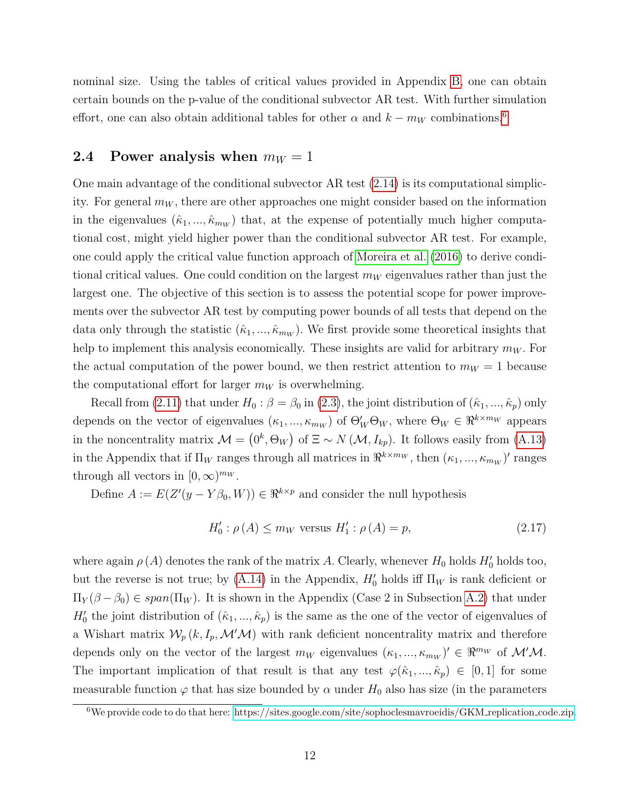nominal size. Using the tables of critical values provided in Appendix [B,](#page-36-0) one can obtain certain bounds on the p-value of the conditional subvector AR test. With further simulation effort, one can also obtain additional tables for other  $\alpha$  and  $k - m_W$  combinations.<sup>[6](#page-1-0)</sup>

### 2.4 Power analysis when  $m_W = 1$

One main advantage of the conditional subvector AR test [\(2.14\)](#page-10-2) is its computational simplicity. For general  $m_W$ , there are other approaches one might consider based on the information in the eigenvalues  $(\hat{\kappa}_1, ..., \hat{\kappa}_{m_W})$  that, at the expense of potentially much higher computational cost, might yield higher power than the conditional subvector AR test. For example, one could apply the critical value function approach of [Moreira et al.](#page-43-17) [\(2016\)](#page-43-17) to derive conditional critical values. One could condition on the largest  $m_W$  eigenvalues rather than just the largest one. The objective of this section is to assess the potential scope for power improvements over the subvector AR test by computing power bounds of all tests that depend on the data only through the statistic  $(\hat{\kappa}_1, ..., \hat{\kappa}_{m_W})$ . We first provide some theoretical insights that help to implement this analysis economically. These insights are valid for arbitrary  $m_W$ . For the actual computation of the power bound, we then restrict attention to  $m_W = 1$  because the computational effort for larger  $m_W$  is overwhelming.

Recall from [\(2.11\)](#page-7-0) that under  $H_0$ :  $\beta = \beta_0$  in [\(2.3\)](#page-5-1), the joint distribution of  $(\hat{\kappa}_1, ..., \hat{\kappa}_p)$  only depends on the vector of eigenvalues  $(\kappa_1, ..., \kappa_{m_W})$  of  $\Theta'_W \Theta_W$ , where  $\Theta_W \in \Re^{k \times m_W}$  appears in the noncentrality matrix  $\mathcal{M} = (0^k, \Theta_W)$  of  $\Xi \sim N(\mathcal{M}, I_{kp})$ . It follows easily from [\(A.13\)](#page-27-1) in the Appendix that if  $\Pi_W$  ranges through all matrices in  $\Re^{k \times m_W}$ , then  $(\kappa_1, ..., \kappa_{m_W})'$  ranges through all vectors in  $[0, \infty)^{m_W}$ .

Define  $A := E(Z'(y - Y\beta_0, W)) \in \Re^{k \times p}$  and consider the null hypothesis

<span id="page-12-0"></span>
$$
H_0' : \rho(A) \le m_W \text{ versus } H_1' : \rho(A) = p,
$$
\n(2.17)

where again  $\rho(A)$  denotes the rank of the matrix A. Clearly, whenever  $H_0$  holds  $H'_0$  holds too, but the reverse is not true; by  $(A.14)$  in the Appendix,  $H'_0$  holds iff  $\Pi_W$  is rank deficient or  $\Pi_Y(\beta-\beta_0) \in span(\Pi_W)$ . It is shown in the Appendix (Case 2 in Subsection [A.2\)](#page-26-0) that under  $H'_0$  the joint distribution of  $(\hat{\kappa}_1, ..., \hat{\kappa}_p)$  is the same as the one of the vector of eigenvalues of a Wishart matrix  $W_p(k, I_p, \mathcal{M}'\mathcal{M})$  with rank deficient noncentrality matrix and therefore depends only on the vector of the largest  $m_W$  eigenvalues  $(\kappa_1, ..., \kappa_{m_W})' \in \Re^{m_W}$  of  $\mathcal{M}'\mathcal{M}$ . The important implication of that result is that any test  $\varphi(\hat{\kappa}_1, ..., \hat{\kappa}_p) \in [0,1]$  for some measurable function  $\varphi$  that has size bounded by  $\alpha$  under  $H_0$  also has size (in the parameters

 $6$ We provide code to do that here: [https://sites.google.com/site/sophoclesmavroeidis/GKM](https://sites.google.com/site/sophoclesmavroeidis/GKM_replication_code.zip)\_replication\_code.zip.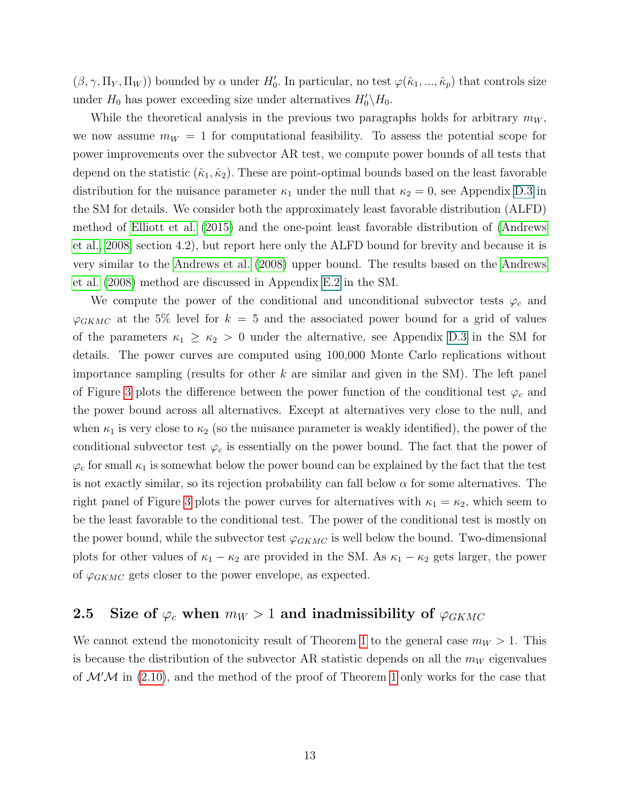$(\beta, \gamma, \Pi_Y, \Pi_W)$  bounded by  $\alpha$  under  $H'_0$ . In particular, no test  $\varphi(\hat{\kappa}_1, ..., \hat{\kappa}_p)$  that controls size under  $H_0$  has power exceeding size under alternatives  $H_0'\backslash H_0$ .

While the theoretical analysis in the previous two paragraphs holds for arbitrary  $m_W$ , we now assume  $m_W = 1$  for computational feasibility. To assess the potential scope for power improvements over the subvector AR test, we compute power bounds of all tests that depend on the statistic  $(\hat{\kappa}_1, \hat{\kappa}_2)$ . These are point-optimal bounds based on the least favorable distribution for the nuisance parameter  $\kappa_1$  under the null that  $\kappa_2 = 0$ , see Appendix D.3 in the SM for details. We consider both the approximately least favorable distribution (ALFD) method of [Elliott et al.](#page-41-8) [\(2015\)](#page-41-8) and the one-point least favorable distribution of [\(Andrews](#page-41-4) [et al., 2008,](#page-41-4) section 4.2), but report here only the ALFD bound for brevity and because it is very similar to the [Andrews et al.](#page-41-4) [\(2008\)](#page-41-4) upper bound. The results based on the [Andrews](#page-41-4) [et al.](#page-41-4) [\(2008\)](#page-41-4) method are discussed in Appendix E.2 in the SM.

We compute the power of the conditional and unconditional subvector tests  $\varphi_c$  and  $\varphi_{GKMC}$  at the 5% level for  $k = 5$  and the associated power bound for a grid of values of the parameters  $\kappa_1 \geq \kappa_2 > 0$  under the alternative, see Appendix D.3 in the SM for details. The power curves are computed using 100,000 Monte Carlo replications without importance sampling (results for other  $k$  are similar and given in the SM). The left panel of Figure [3](#page-14-0) plots the difference between the power function of the conditional test  $\varphi_c$  and the power bound across all alternatives. Except at alternatives very close to the null, and when  $\kappa_1$  is very close to  $\kappa_2$  (so the nuisance parameter is weakly identified), the power of the conditional subvector test  $\varphi_c$  is essentially on the power bound. The fact that the power of  $\varphi_c$  for small  $\kappa_1$  is somewhat below the power bound can be explained by the fact that the test is not exactly similar, so its rejection probability can fall below  $\alpha$  for some alternatives. The right panel of Figure [3](#page-14-0) plots the power curves for alternatives with  $\kappa_1 = \kappa_2$ , which seem to be the least favorable to the conditional test. The power of the conditional test is mostly on the power bound, while the subvector test  $\varphi_{GKMC}$  is well below the bound. Two-dimensional plots for other values of  $\kappa_1 - \kappa_2$  are provided in the SM. As  $\kappa_1 - \kappa_2$  gets larger, the power of  $\varphi_{GKMC}$  gets closer to the power envelope, as expected.

# 2.5 Size of  $\varphi_c$  when  $m_W > 1$  and inadmissibility of  $\varphi_{GKMC}$

We cannot extend the monotonicity result of Theorem [1](#page-7-1) to the general case  $m_W > 1$ . This is because the distribution of the subvector AR statistic depends on all the  $m_W$  eigenvalues of  $\mathcal{M}^{\prime}\mathcal{M}$  in [\(2.10\)](#page-7-2), and the method of the proof of Theorem [1](#page-7-1) only works for the case that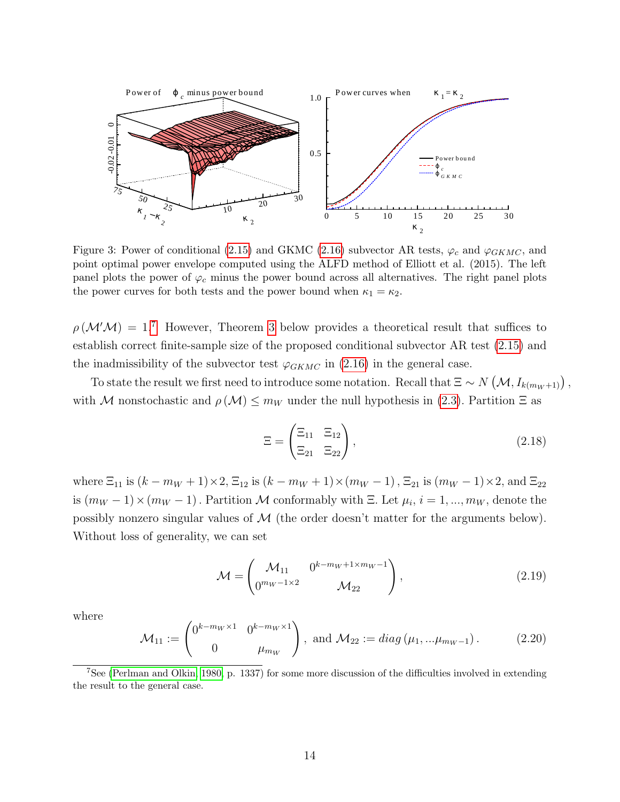<span id="page-14-0"></span>

Figure 3: Power of conditional [\(2.15\)](#page-10-0) and GKMC [\(2.16\)](#page-10-1) subvector AR tests,  $\varphi_c$  and  $\varphi_{GKMC}$ , and point optimal power envelope computed using the ALFD method of Elliott et al. (2015). The left panel plots the power of  $\varphi_c$  minus the power bound across all alternatives. The right panel plots the power curves for both tests and the power bound when  $\kappa_1 = \kappa_2$ .

 $\rho(\mathcal{M}^{\prime}\mathcal{M}) = 1$ .<sup>[7](#page-1-0)</sup> However, Theorem [3](#page-15-0) below provides a theoretical result that suffices to establish correct finite-sample size of the proposed conditional subvector AR test [\(2.15\)](#page-10-0) and the inadmissibility of the subvector test  $\varphi_{GKMC}$  in [\(2.16\)](#page-10-1) in the general case.

To state the result we first need to introduce some notation. Recall that  $\Xi \sim N(\mathcal{M}, I_{k(m_W+1)})$ , with M nonstochastic and  $\rho(\mathcal{M}) \leq m_W$  under the null hypothesis in [\(2.3\)](#page-5-1). Partition  $\Xi$  as

<span id="page-14-1"></span>
$$
\Xi = \begin{pmatrix} \Xi_{11} & \Xi_{12} \\ \Xi_{21} & \Xi_{22} \end{pmatrix},\tag{2.18}
$$

where  $\Xi_{11}$  is  $(k - m_W + 1) \times 2$ ,  $\Xi_{12}$  is  $(k - m_W + 1) \times (m_W - 1)$ ,  $\Xi_{21}$  is  $(m_W - 1) \times 2$ , and  $\Xi_{22}$ is  $(m_W - 1) \times (m_W - 1)$ . Partition M conformably with  $\Xi$ . Let  $\mu_i$ ,  $i = 1, ..., m_W$ , denote the possibly nonzero singular values of  $M$  (the order doesn't matter for the arguments below). Without loss of generality, we can set

$$
\mathcal{M} = \begin{pmatrix} \mathcal{M}_{11} & 0^{k - m_W + 1 \times m_W - 1} \\ 0^{m_W - 1 \times 2} & \mathcal{M}_{22} \end{pmatrix},
$$
\n(2.19)

where

<span id="page-14-2"></span>
$$
\mathcal{M}_{11} := \begin{pmatrix} 0^{k - m_W \times 1} & 0^{k - m_W \times 1} \\ 0 & \mu_{m_W} \end{pmatrix}, \text{ and } \mathcal{M}_{22} := diag(\mu_1, \dots, \mu_{m_W - 1}). \tag{2.20}
$$

<sup>7</sup>See [\(Perlman and Olkin, 1980,](#page-43-7) p. 1337) for some more discussion of the difficulties involved in extending the result to the general case.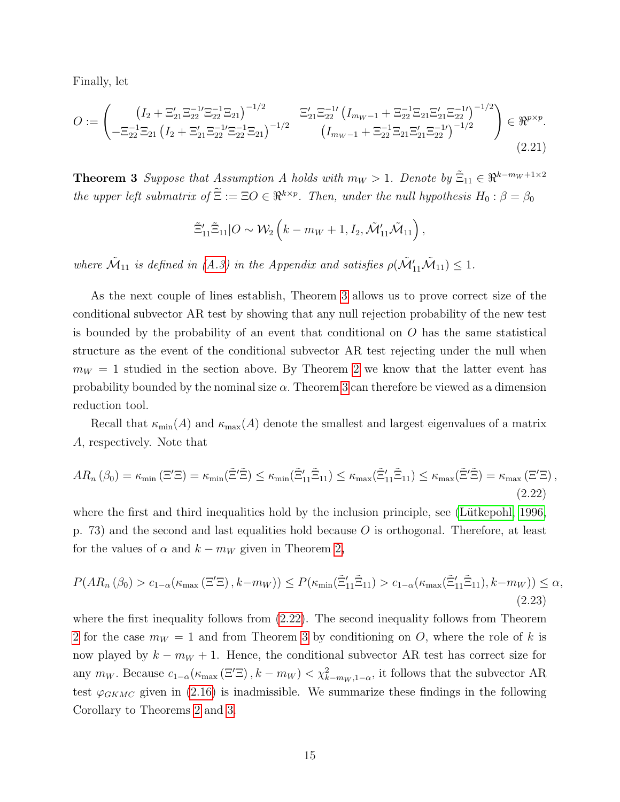Finally, let

<span id="page-15-2"></span>
$$
O := \begin{pmatrix} \left( I_2 + \Xi_{21}' \Xi_{22}^{-1} \Xi_{22}^{-1} \Xi_{21} \right)^{-1/2} & \Xi_{21}' \Xi_{22}^{-1} \left( I_{m_W - 1} + \Xi_{22}^{-1} \Xi_{21} \Xi_{22}' \Xi_{22}^{-1} \right)^{-1/2} \\ - \Xi_{22}^{-1} \Xi_{21} \left( I_2 + \Xi_{21}' \Xi_{22}^{-1} \Xi_{22}^{-1} \Xi_{21} \right)^{-1/2} & \left( I_{m_W - 1} + \Xi_{22}^{-1} \Xi_{21} \Xi_{21}' \Xi_{22}^{-1} \right)^{-1/2} \end{pmatrix} \in \mathbb{R}^{p \times p}.
$$
\n(2.21)

<span id="page-15-0"></span>**Theorem 3** Suppose that Assumption A holds with  $m_W > 1$ . Denote by  $\tilde{\Xi}_{11} \in \mathbb{R}^{k-m_W+1 \times 2}$ the upper left submatrix of  $\Xi := \Xi O \in \mathbb{R}^{k \times p}$ . Then, under the null hypothesis  $H_0 : \beta = \beta_0$ 

$$
\tilde{\Xi}_{11}'\tilde{\Xi}_{11}|O \sim \mathcal{W}_2\left(k - m_W + 1, I_2, \tilde{\mathcal{M}}'_{11}\tilde{\mathcal{M}}_{11}\right),\,
$$

where  $\tilde{\mathcal{M}}_{11}$  is defined in [\(A.3\)](#page-26-1) in the Appendix and satisfies  $\rho(\tilde{\mathcal{M}}'_{11}\tilde{\mathcal{M}}_{11}) \leq 1$ .

As the next couple of lines establish, Theorem [3](#page-15-0) allows us to prove correct size of the conditional subvector AR test by showing that any null rejection probability of the new test is bounded by the probability of an event that conditional on  $O$  has the same statistical structure as the event of the conditional subvector AR test rejecting under the null when  $m_W = 1$  studied in the section above. By Theorem [2](#page-11-1) we know that the latter event has probability bounded by the nominal size  $\alpha$ . Theorem [3](#page-15-0) can therefore be viewed as a dimension reduction tool.

Recall that  $\kappa_{\min}(A)$  and  $\kappa_{\max}(A)$  denote the smallest and largest eigenvalues of a matrix A, respectively. Note that

<span id="page-15-1"></span>
$$
AR_n\left(\beta_0\right) = \kappa_{\min}\left(\Xi'\Xi\right) = \kappa_{\min}\left(\tilde{\Xi}'\tilde{\Xi}\right) \le \kappa_{\min}\left(\tilde{\Xi}'_{11}\tilde{\Xi}_{11}\right) \le \kappa_{\max}\left(\tilde{\Xi}'_{11}\tilde{\Xi}_{11}\right) \le \kappa_{\max}\left(\tilde{\Xi}'\tilde{\Xi}\right) = \kappa_{\max}\left(\Xi'\Xi\right),\tag{2.22}
$$

where the first and third inequalities hold by the inclusion principle, see (Lütkepohl, 1996, p. 73) and the second and last equalities hold because O is orthogonal. Therefore, at least for the values of  $\alpha$  and  $k - m_W$  given in Theorem [2](#page-11-1),

$$
P(AR_n(\beta_0) > c_{1-\alpha}(\kappa_{\max}(\Xi'\Xi), k-m_W)) \le P(\kappa_{\min}(\tilde{\Xi}'_{11}\tilde{\Xi}_{11}) > c_{1-\alpha}(\kappa_{\max}(\tilde{\Xi}'_{11}\tilde{\Xi}_{11}), k-m_W)) \le \alpha,
$$
\n(2.23)

where the first inequality follows from [\(2.22\)](#page-15-1). The second inequality follows from Theorem [2](#page-11-1) for the case  $m_W = 1$  and from Theorem [3](#page-15-0) by conditioning on O, where the role of k is now played by  $k - m_W + 1$ . Hence, the conditional subvector AR test has correct size for any  $m_W$ . Because  $c_{1-\alpha}(\kappa_{\max}(\Xi'\Xi), k-m_W) < \chi^2_{k-m_W,1-\alpha}$ , it follows that the subvector AR test  $\varphi_{GKMC}$  given in [\(2.16\)](#page-10-1) is inadmissible. We summarize these findings in the following Corollary to Theorems [2](#page-11-1) and [3.](#page-15-0)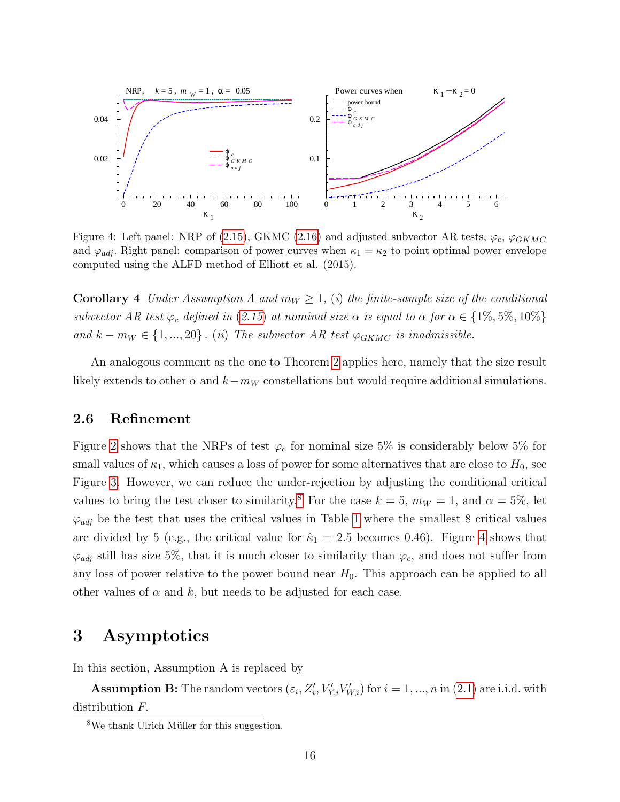<span id="page-16-1"></span>

Figure 4: Left panel: NRP of [\(2.15\)](#page-10-0), GKMC [\(2.16\)](#page-10-1) and adjusted subvector AR tests,  $\varphi_c$ ,  $\varphi_{GKMC}$ and  $\varphi_{adj}$ . Right panel: comparison of power curves when  $\kappa_1 = \kappa_2$  to point optimal power envelope computed using the ALFD method of Elliott et al. (2015).

**Corollary 4** Under Assumption A and  $m_W \ge 1$ , (i) the finite-sample size of the conditional subvector AR test  $\varphi_c$  defined in ([2.15](#page-10-0)) at nominal size  $\alpha$  is equal to  $\alpha$  for  $\alpha \in \{1\%, 5\%, 10\%\}$ and  $k - m_W \in \{1, ..., 20\}$ . (ii) The subvector AR test  $\varphi_{GKMC}$  is inadmissible.

An analogous comment as the one to Theorem [2](#page-11-1) applies here, namely that the size result likely extends to other  $\alpha$  and  $k-m_W$  constellations but would require additional simulations.

### <span id="page-16-2"></span>2.6 Refinement

Figure [2](#page-11-0) shows that the NRPs of test  $\varphi_c$  for nominal size 5% is considerably below 5% for small values of  $\kappa_1$ , which causes a loss of power for some alternatives that are close to  $H_0$ , see Figure [3.](#page-14-0) However, we can reduce the under-rejection by adjusting the conditional critical values to bring the test closer to similarity.<sup>[8](#page-1-0)</sup> For the case  $k = 5$ ,  $m_W = 1$ , and  $\alpha = 5\%$ , let  $\varphi_{adj}$  be the test that uses the critical values in Table [1](#page-9-0) where the smallest 8 critical values are divided by 5 (e.g., the critical value for  $\hat{\kappa}_1 = 2.5$  becomes 0.46). Figure [4](#page-16-1) shows that  $\varphi_{adj}$  still has size 5%, that it is much closer to similarity than  $\varphi_c$ , and does not suffer from any loss of power relative to the power bound near  $H_0$ . This approach can be applied to all other values of  $\alpha$  and k, but needs to be adjusted for each case.

# <span id="page-16-0"></span>3 Asymptotics

In this section, Assumption A is replaced by

**Assumption B:** The random vectors  $(\varepsilon_i, Z'_i, V'_{Y,i}V'_{W,i})$  for  $i = 1, ..., n$  in [\(2.1\)](#page-5-2) are i.i.d. with distribution F.

 $8$ We thank Ulrich Müller for this suggestion.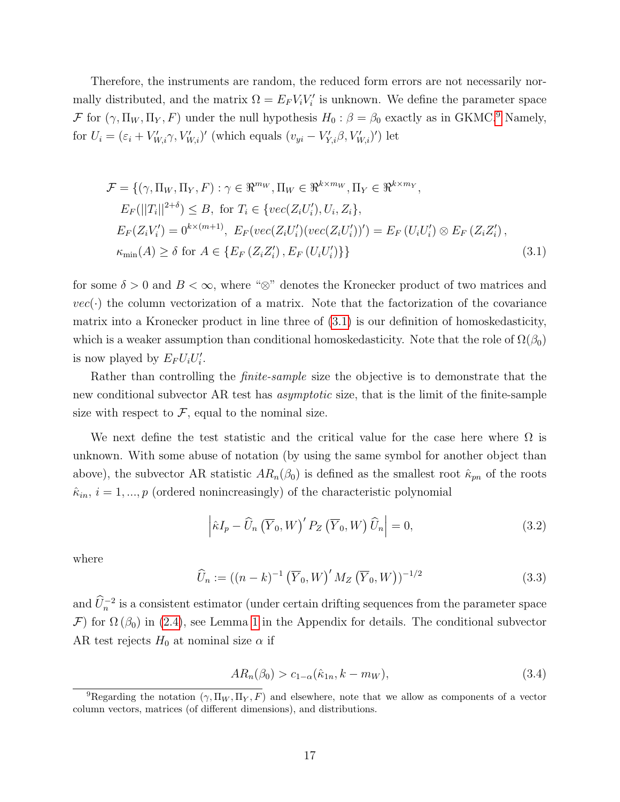Therefore, the instruments are random, the reduced form errors are not necessarily normally distributed, and the matrix  $\Omega = E_F V_i V'_i$  is unknown. We define the parameter space F for  $(\gamma, \Pi_W, \Pi_Y, F)$  under the null hypothesis  $H_0: \beta = \beta_0$  exactly as in GKMC.<sup>[9](#page-1-0)</sup> Namely, for  $U_i = (\varepsilon_i + V'_{W,i} \gamma, V'_{W,i})'$  (which equals  $(v_{yi} - V'_{Y,i} \beta, V'_{W,i})'$ ) let

<span id="page-17-0"></span>
$$
\mathcal{F} = \{ (\gamma, \Pi_W, \Pi_Y, F) : \gamma \in \mathbb{R}^{m_W}, \Pi_W \in \mathbb{R}^{k \times m_W}, \Pi_Y \in \mathbb{R}^{k \times m_Y},
$$
  
\n
$$
E_F(||T_i||^{2+\delta}) \le B, \text{ for } T_i \in \{vec(Z_i U_i'), U_i, Z_i\},
$$
  
\n
$$
E_F(Z_i V_i') = 0^{k \times (m+1)}, E_F(vec(Z_i U_i')(vec(Z_i U_i'))') = E_F(U_i U_i') \otimes E_F(Z_i Z_i'),
$$
  
\n
$$
\kappa_{\min}(A) \ge \delta \text{ for } A \in \{E_F(Z_i Z_i'), E_F(U_i U_i')\}\}
$$
\n(3.1)

for some  $\delta > 0$  and  $B < \infty$ , where " $\otimes$ " denotes the Kronecker product of two matrices and  $vec(\cdot)$  the column vectorization of a matrix. Note that the factorization of the covariance matrix into a Kronecker product in line three of [\(3.1\)](#page-17-0) is our definition of homoskedasticity, which is a weaker assumption than conditional homoskedasticity. Note that the role of  $\Omega(\beta_0)$ is now played by  $E_F U_i U'_i$ .

Rather than controlling the *finite-sample* size the objective is to demonstrate that the new conditional subvector AR test has *asymptotic* size, that is the limit of the finite-sample size with respect to  $\mathcal{F}$ , equal to the nominal size.

We next define the test statistic and the critical value for the case here where  $\Omega$  is unknown. With some abuse of notation (by using the same symbol for another object than above), the subvector AR statistic  $AR_n(\beta_0)$  is defined as the smallest root  $\hat{\kappa}_{pn}$  of the roots  $\hat{\kappa}_{in}$ ,  $i = 1, ..., p$  (ordered nonincreasingly) of the characteristic polynomial

<span id="page-17-1"></span>
$$
\left| \hat{\kappa} I_p - \widehat{U}_n \left( \overline{Y}_0, W \right)' P_Z \left( \overline{Y}_0, W \right) \widehat{U}_n \right| = 0, \tag{3.2}
$$

where

<span id="page-17-3"></span>
$$
\widehat{U}_n := ((n-k)^{-1} \left(\overline{Y}_0, W\right)' M_Z \left(\overline{Y}_0, W\right))^{-1/2}
$$
\n(3.3)

and  $\hat{U}_n^{-2}$  is a consistent estimator (under certain drifting sequences from the parameter space F) for  $\Omega(\beta_0)$  in [\(2.4\)](#page-6-0), see Lemma [1](#page-32-0) in the Appendix for details. The conditional subvector AR test rejects  $H_0$  at nominal size  $\alpha$  if

<span id="page-17-2"></span>
$$
AR_n(\beta_0) > c_{1-\alpha}(\hat{\kappa}_{1n}, k - m_W), \tag{3.4}
$$

<sup>&</sup>lt;sup>9</sup>Regarding the notation  $(\gamma, \Pi_W, \Pi_Y, F)$  and elsewhere, note that we allow as components of a vector column vectors, matrices (of different dimensions), and distributions.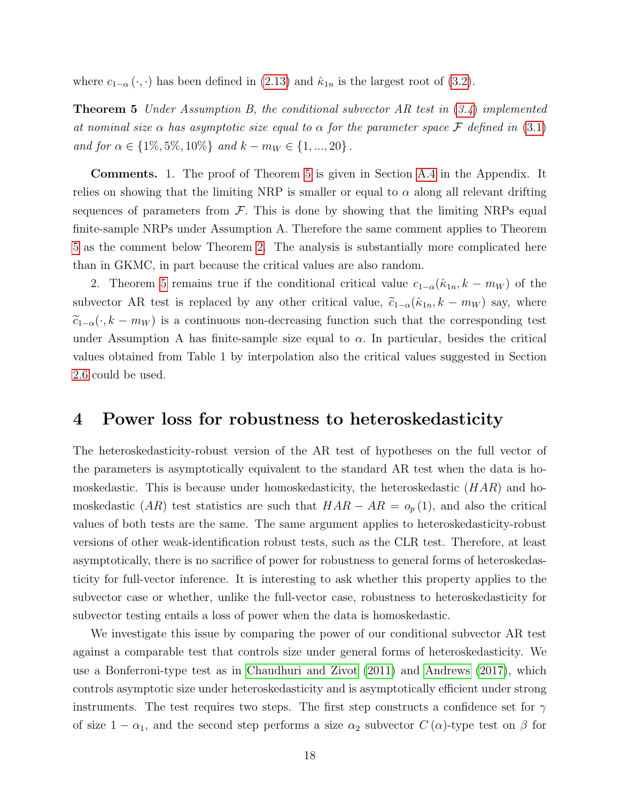<span id="page-18-1"></span>where  $c_{1-\alpha}(\cdot, \cdot)$  has been defined in [\(2.13\)](#page-9-1) and  $\hat{\kappa}_{1n}$  is the largest root of [\(3.2\)](#page-17-1).

**Theorem 5** Under Assumption B, the conditional subvector AR test in ([3.4](#page-17-2)) implemented at nominal size  $\alpha$  has asymptotic size equal to  $\alpha$  for the parameter space F defined in [\(3.1\)](#page-17-0) and for  $\alpha \in \{1\%, 5\%, 10\%\}$  and  $k - m_W \in \{1, ..., 20\}$ .

Comments. 1. The proof of Theorem [5](#page-18-1) is given in Section [A.4](#page-29-1) in the Appendix. It relies on showing that the limiting NRP is smaller or equal to  $\alpha$  along all relevant drifting sequences of parameters from  $\mathcal F$ . This is done by showing that the limiting NRPs equal finite-sample NRPs under Assumption A. Therefore the same comment applies to Theorem [5](#page-18-1) as the comment below Theorem [2.](#page-11-1) The analysis is substantially more complicated here than in GKMC, in part because the critical values are also random.

2. Theorem [5](#page-18-1) remains true if the conditional critical value  $c_{1-\alpha}(\hat{\kappa}_{1n}, k - m_W)$  of the subvector AR test is replaced by any other critical value,  $\tilde{c}_{1-\alpha}(\hat{k}_{1n}, k - m_W)$  say, where  $\tilde{c}_{1-\alpha}(\cdot, k - m_W)$  is a continuous non-decreasing function such that the corresponding test under Assumption A has finite-sample size equal to  $\alpha$ . In particular, besides the critical values obtained from Table 1 by interpolation also the critical values suggested in Section [2.6](#page-16-2) could be used.

# <span id="page-18-0"></span>4 Power loss for robustness to heteroskedasticity

The heteroskedasticity-robust version of the AR test of hypotheses on the full vector of the parameters is asymptotically equivalent to the standard AR test when the data is homoskedastic. This is because under homoskedasticity, the heteroskedastic  $(HAR)$  and homoskedastic  $(AR)$  test statistics are such that  $HAR - AR = o_p(1)$ , and also the critical values of both tests are the same. The same argument applies to heteroskedasticity-robust versions of other weak-identification robust tests, such as the CLR test. Therefore, at least asymptotically, there is no sacrifice of power for robustness to general forms of heteroskedasticity for full-vector inference. It is interesting to ask whether this property applies to the subvector case or whether, unlike the full-vector case, robustness to heteroskedasticity for subvector testing entails a loss of power when the data is homoskedastic.

We investigate this issue by comparing the power of our conditional subvector AR test against a comparable test that controls size under general forms of heteroskedasticity. We use a Bonferroni-type test as in [Chaudhuri and Zivot](#page-41-11) [\(2011\)](#page-41-11) and [Andrews](#page-41-12) [\(2017\)](#page-41-12), which controls asymptotic size under heteroskedasticity and is asymptotically efficient under strong instruments. The test requires two steps. The first step constructs a confidence set for  $\gamma$ of size  $1 - \alpha_1$ , and the second step performs a size  $\alpha_2$  subvector  $C(\alpha)$ -type test on  $\beta$  for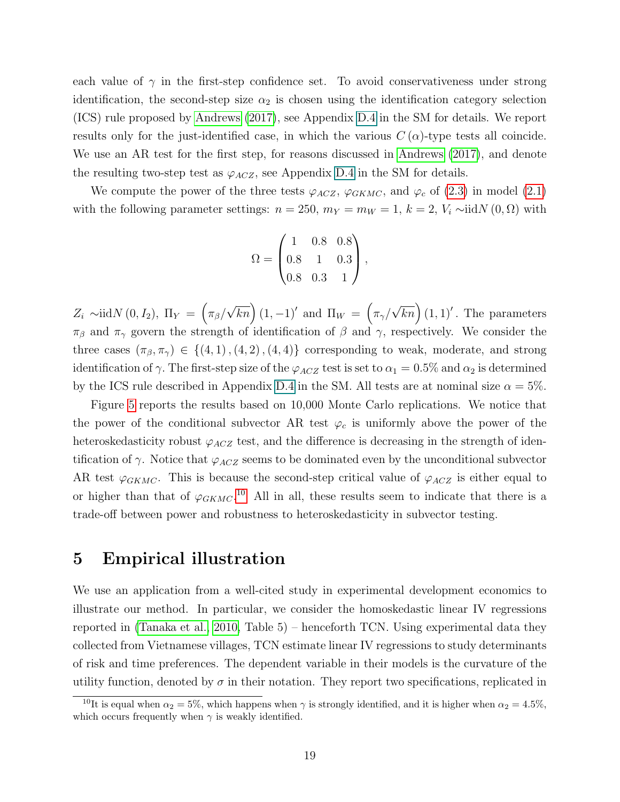each value of  $\gamma$  in the first-step confidence set. To avoid conservativeness under strong identification, the second-step size  $\alpha_2$  is chosen using the identification category selection (ICS) rule proposed by [Andrews](#page-41-12) [\(2017\)](#page-41-12), see Appendix D.4 in the SM for details. We report results only for the just-identified case, in which the various  $C(\alpha)$ -type tests all coincide. We use an AR test for the first step, for reasons discussed in [Andrews](#page-41-12) [\(2017\)](#page-41-12), and denote the resulting two-step test as  $\varphi_{ACZ}$ , see Appendix D.4 in the SM for details.

We compute the power of the three tests  $\varphi_{ACZ}$ ,  $\varphi_{GKMC}$ , and  $\varphi_c$  of [\(2.3\)](#page-5-1) in model [\(2.1\)](#page-5-2) with the following parameter settings:  $n = 250$ ,  $m_Y = m_W = 1$ ,  $k = 2$ ,  $V_i \sim \text{iid}N(0, \Omega)$  with

$$
\Omega = \begin{pmatrix} 1 & 0.8 & 0.8 \\ 0.8 & 1 & 0.3 \\ 0.8 & 0.3 & 1 \end{pmatrix},
$$

 $Z_i \sim \text{iid}N(0, I_2), \Pi_Y = \left(\pi_\beta\right)$  $\sqrt{kn}$  (1, -1)' and  $\Pi_W = \left(\pi_{\gamma}\right)^{n}$  $\sqrt{kn}$  (1, 1)'. The parameters  $\pi_{\beta}$  and  $\pi_{\gamma}$  govern the strength of identification of  $\beta$  and  $\gamma$ , respectively. We consider the three cases  $(\pi_{\beta}, \pi_{\gamma}) \in \{(4, 1), (4, 2), (4, 4)\}\$ corresponding to weak, moderate, and strong identification of  $\gamma$ . The first-step size of the  $\varphi_{ACZ}$  test is set to  $\alpha_1 = 0.5\%$  and  $\alpha_2$  is determined by the ICS rule described in Appendix D.4 in the SM. All tests are at nominal size  $\alpha = 5\%$ .

Figure [5](#page-20-0) reports the results based on 10,000 Monte Carlo replications. We notice that the power of the conditional subvector AR test  $\varphi_c$  is uniformly above the power of the heteroskedasticity robust  $\varphi_{ACZ}$  test, and the difference is decreasing in the strength of identification of  $\gamma$ . Notice that  $\varphi_{ACZ}$  seems to be dominated even by the unconditional subvector AR test  $\varphi_{GKMC}$ . This is because the second-step critical value of  $\varphi_{ACZ}$  is either equal to or higher than that of  $\varphi_{GKMC}$ .<sup>[10](#page-1-0)</sup> All in all, these results seem to indicate that there is a trade-off between power and robustness to heteroskedasticity in subvector testing.

# <span id="page-19-0"></span>5 Empirical illustration

We use an application from a well-cited study in experimental development economics to illustrate our method. In particular, we consider the homoskedastic linear IV regressions reported in [\(Tanaka et al., 2010,](#page-44-2) Table 5) – henceforth TCN. Using experimental data they collected from Vietnamese villages, TCN estimate linear IV regressions to study determinants of risk and time preferences. The dependent variable in their models is the curvature of the utility function, denoted by  $\sigma$  in their notation. They report two specifications, replicated in

<sup>&</sup>lt;sup>10</sup>It is equal when  $\alpha_2 = 5\%$ , which happens when  $\gamma$  is strongly identified, and it is higher when  $\alpha_2 = 4.5\%$ , which occurs frequently when  $\gamma$  is weakly identified.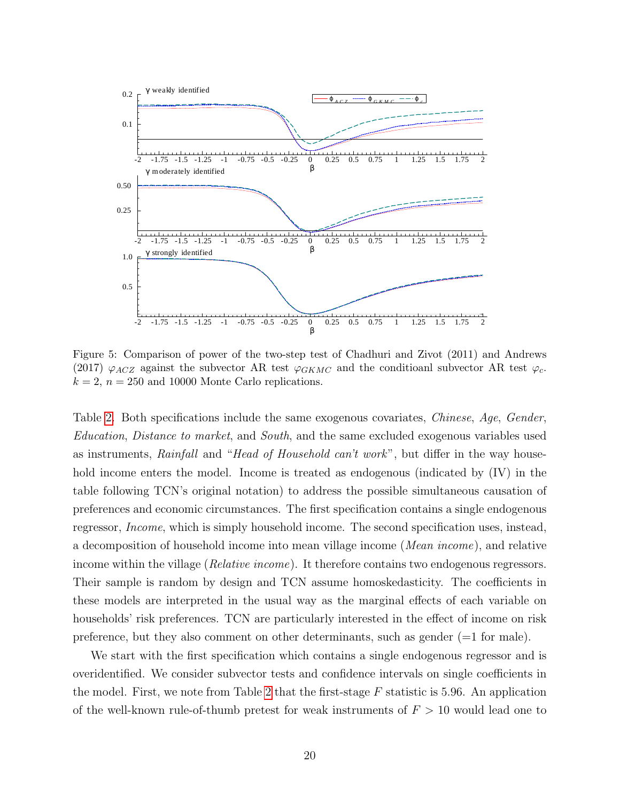<span id="page-20-0"></span>

Figure 5: Comparison of power of the two-step test of Chadhuri and Zivot (2011) and Andrews (2017)  $\varphi_{ACZ}$  against the subvector AR test  $\varphi_{GKMC}$  and the conditioanl subvector AR test  $\varphi_c$ .  $k = 2$ ,  $n = 250$  and 10000 Monte Carlo replications.

Table [2.](#page-21-0) Both specifications include the same exogenous covariates, Chinese, Age, Gender, Education, Distance to market, and South, and the same excluded exogenous variables used as instruments, Rainfall and "Head of Household can't work", but differ in the way household income enters the model. Income is treated as endogenous (indicated by  $(IV)$  in the table following TCN's original notation) to address the possible simultaneous causation of preferences and economic circumstances. The first specification contains a single endogenous regressor, Income, which is simply household income. The second specification uses, instead, a decomposition of household income into mean village income (Mean income), and relative income within the village (*Relative income*). It therefore contains two endogenous regressors. Their sample is random by design and TCN assume homoskedasticity. The coefficients in these models are interpreted in the usual way as the marginal effects of each variable on households' risk preferences. TCN are particularly interested in the effect of income on risk preference, but they also comment on other determinants, such as gender  $(=1$  for male).

We start with the first specification which contains a single endogenous regressor and is overidentified. We consider subvector tests and confidence intervals on single coefficients in the model. First, we note from Table [2](#page-21-0) that the first-stage  $F$  statistic is 5.96. An application of the well-known rule-of-thumb pretest for weak instruments of  $F > 10$  would lead one to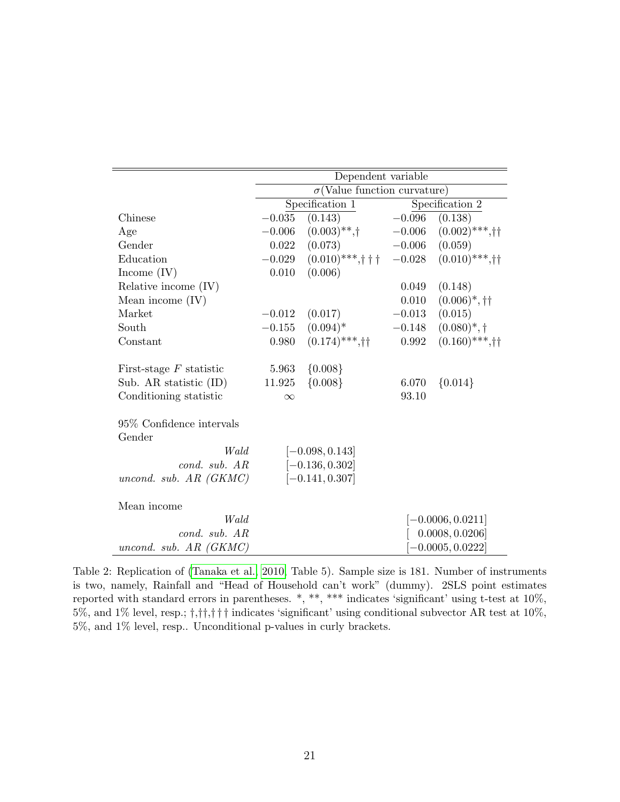<span id="page-21-0"></span>

|                              |          | Dependent variable                  |                    |                             |  |  |
|------------------------------|----------|-------------------------------------|--------------------|-----------------------------|--|--|
|                              |          | $\sigma$ (Value function curvature) |                    |                             |  |  |
|                              |          | Specification 1                     |                    | Specification 2             |  |  |
| Chinese                      | $-0.035$ | (0.143)                             | $-0.096$           | (0.138)                     |  |  |
| Age                          | $-0.006$ | $(0.003)$ **,†                      | $-0.006$           | $(0.002)$ ***,††            |  |  |
| Gender                       | 0.022    | (0.073)                             | $-0.006$           | (0.059)                     |  |  |
| Education                    | $-0.029$ | $(0.010)$ ***,†††                   | $-0.028$           | $(0.010)$ ***,††            |  |  |
| Income $(IV)$                | 0.010    | (0.006)                             |                    |                             |  |  |
| Relative income (IV)         |          |                                     | 0.049              | (0.148)                     |  |  |
| Mean income $(IV)$           |          |                                     | 0.010              | $(0.006)$ <sup>*</sup> , †† |  |  |
| Market                       | $-0.012$ | (0.017)                             | $-0.013$           | (0.015)                     |  |  |
| South                        | $-0.155$ | $(0.094)*$                          | $-0.148$           | $(0.080)^{*},\dagger$       |  |  |
| Constant                     | 0.980    | $(0.174)$ ***,††                    | 0.992              | $(0.160)$ ***,††            |  |  |
| First-stage $F$ statistic    | 5.963    | ${0.008}$                           |                    |                             |  |  |
| Sub. AR statistic (ID)       | 11.925   | ${0.008}$                           | 6.070              | ${0.014}$                   |  |  |
| Conditioning statistic       | $\infty$ |                                     | 93.10              |                             |  |  |
| 95% Confidence intervals     |          |                                     |                    |                             |  |  |
| Gender                       |          |                                     |                    |                             |  |  |
| Wald                         |          | $[-0.098, 0.143]$                   |                    |                             |  |  |
| cond. sub. AR                |          | $[-0.136, 0.302]$                   |                    |                             |  |  |
| uncond. sub. $AR$ ( $GKMC$ ) |          | $[-0.141, 0.307]$                   |                    |                             |  |  |
| Mean income                  |          |                                     |                    |                             |  |  |
| Wald                         |          |                                     |                    | $[-0.0006, 0.0211]$         |  |  |
| cond. sub. AR                |          |                                     | 0.0008, 0.0206     |                             |  |  |
| uncond. sub. $AR$ (GKMC)     |          |                                     | $-0.0005, 0.0222]$ |                             |  |  |

Table 2: Replication of [\(Tanaka et al., 2010,](#page-44-2) Table 5). Sample size is 181. Number of instruments is two, namely, Rainfall and "Head of Household can't work" (dummy). 2SLS point estimates reported with standard errors in parentheses. \*, \*\*, \*\*\* indicates 'significant' using t-test at 10%, 5%, and 1% level, resp.; †,††,† † † indicates 'significant' using conditional subvector AR test at 10%, 5%, and 1% level, resp.. Unconditional p-values in curly brackets.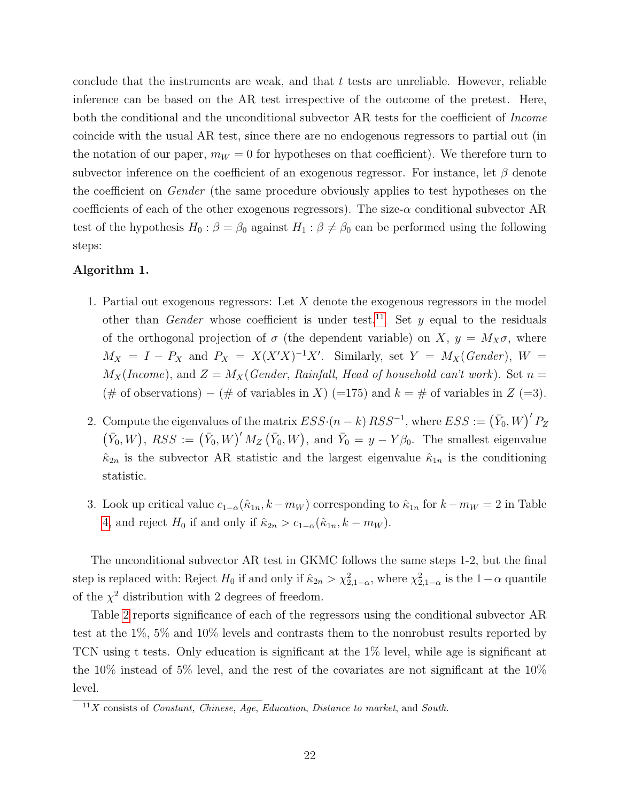conclude that the instruments are weak, and that  $t$  tests are unreliable. However, reliable inference can be based on the AR test irrespective of the outcome of the pretest. Here, both the conditional and the unconditional subvector AR tests for the coefficient of *Income* coincide with the usual AR test, since there are no endogenous regressors to partial out (in the notation of our paper,  $m_W = 0$  for hypotheses on that coefficient). We therefore turn to subvector inference on the coefficient of an exogenous regressor. For instance, let  $\beta$  denote the coefficient on Gender (the same procedure obviously applies to test hypotheses on the coefficients of each of the other exogenous regressors). The size- $\alpha$  conditional subvector AR test of the hypothesis  $H_0$ :  $\beta = \beta_0$  against  $H_1$ :  $\beta \neq \beta_0$  can be performed using the following steps:

#### <span id="page-22-0"></span>Algorithm 1.

- 1. Partial out exogenous regressors: Let X denote the exogenous regressors in the model other than *Gender* whose coefficient is under test.<sup>[11](#page-1-0)</sup> Set y equal to the residuals of the orthogonal projection of  $\sigma$  (the dependent variable) on X,  $y = M_X \sigma$ , where  $M_X = I - P_X$  and  $P_X = X(X'X)^{-1}X'$ . Similarly, set  $Y = M_X(Gender)$ ,  $W =$  $M_X(Income)$ , and  $Z = M_X(Gender, Rainfall, Head of household can't work)$ . Set  $n =$ (# of observations) – (# of variables in X) (=175) and  $k = \#$  of variables in Z (=3).
- 2. Compute the eigenvalues of the matrix  $ESS \cdot (n k) RSS^{-1}$ , where  $ESS := (\bar{Y}_0, W)' P_Z$  $(\bar{Y}_0, W)$ ,  $RSS := (\bar{Y}_0, W)' M_Z (\bar{Y}_0, W)$ , and  $\bar{Y}_0 = y - Y \beta_0$ . The smallest eigenvalue  $\hat{\kappa}_{2n}$  is the subvector AR statistic and the largest eigenvalue  $\hat{\kappa}_{1n}$  is the conditioning statistic.
- 3. Look up critical value  $c_{1-\alpha}(\hat{\kappa}_{1n}, k-m_W)$  corresponding to  $\hat{\kappa}_{1n}$  for  $k-m_W = 2$  in Table [4,](#page-38-0) and reject  $H_0$  if and only if  $\hat{\kappa}_{2n} > c_{1-\alpha}(\hat{\kappa}_{1n}, k - m_W)$ .

The unconditional subvector AR test in GKMC follows the same steps 1-2, but the final step is replaced with: Reject  $H_0$  if and only if  $\hat{\kappa}_{2n} > \chi^2_{2,1-\alpha}$ , where  $\chi^2_{2,1-\alpha}$  is the  $1-\alpha$  quantile of the  $\chi^2$  distribution with 2 degrees of freedom.

Table [2](#page-21-0) reports significance of each of the regressors using the conditional subvector AR test at the 1%, 5% and 10% levels and contrasts them to the nonrobust results reported by TCN using t tests. Only education is significant at the 1% level, while age is significant at the 10% instead of 5% level, and the rest of the covariates are not significant at the 10% level.

 $11X$  consists of *Constant, Chinese, Age, Education, Distance to market, and South.*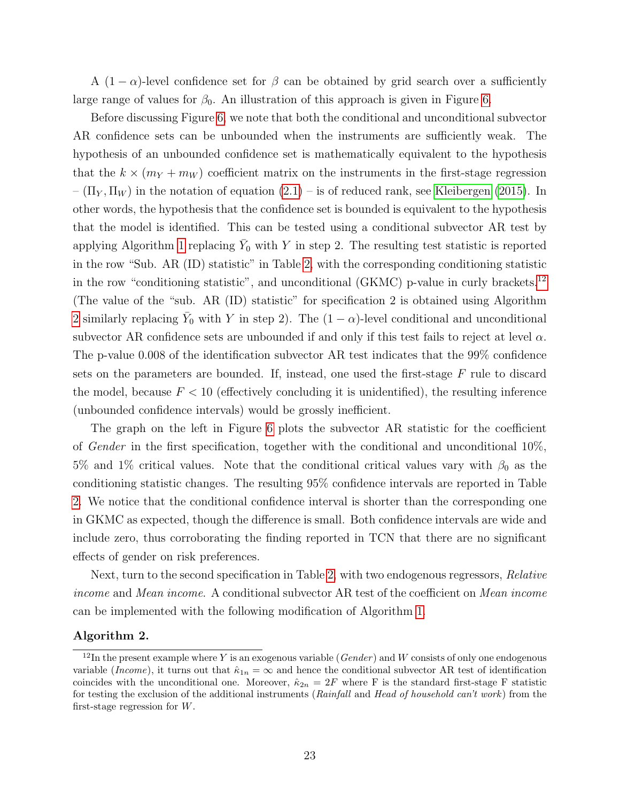A  $(1 - \alpha)$ -level confidence set for  $\beta$  can be obtained by grid search over a sufficiently large range of values for  $\beta_0$ . An illustration of this approach is given in Figure [6.](#page-24-0)

Before discussing Figure [6,](#page-24-0) we note that both the conditional and unconditional subvector AR confidence sets can be unbounded when the instruments are sufficiently weak. The hypothesis of an unbounded confidence set is mathematically equivalent to the hypothesis that the  $k \times (m_Y + m_W)$  coefficient matrix on the instruments in the first-stage regression  $-(\Pi_Y, \Pi_W)$  in the notation of equation  $(2.1)$  – is of reduced rank, see [Kleibergen](#page-43-0) [\(2015\)](#page-43-0). In other words, the hypothesis that the confidence set is bounded is equivalent to the hypothesis that the model is identified. This can be tested using a conditional subvector AR test by applying Algorithm [1](#page-22-0) replacing  $\bar{Y}_0$  with Y in step 2. The resulting test statistic is reported in the row "Sub. AR (ID) statistic" in Table [2,](#page-21-0) with the corresponding conditioning statistic in the row "conditioning statistic", and unconditional (GKMC) p-value in curly brackets.<sup>[12](#page-1-0)</sup> (The value of the "sub. AR (ID) statistic" for specification 2 is obtained using Algorithm [2](#page-23-0) similarly replacing  $\bar{Y}_0$  with Y in step 2). The  $(1 - \alpha)$ -level conditional and unconditional subvector AR confidence sets are unbounded if and only if this test fails to reject at level  $\alpha$ . The p-value 0.008 of the identification subvector AR test indicates that the 99% confidence sets on the parameters are bounded. If, instead, one used the first-stage  $F$  rule to discard the model, because  $F < 10$  (effectively concluding it is unidentified), the resulting inference (unbounded confidence intervals) would be grossly inefficient.

The graph on the left in Figure [6](#page-24-0) plots the subvector AR statistic for the coefficient of Gender in the first specification, together with the conditional and unconditional 10%, 5% and 1% critical values. Note that the conditional critical values vary with  $\beta_0$  as the conditioning statistic changes. The resulting 95% confidence intervals are reported in Table [2.](#page-21-0) We notice that the conditional confidence interval is shorter than the corresponding one in GKMC as expected, though the difference is small. Both confidence intervals are wide and include zero, thus corroborating the finding reported in TCN that there are no significant effects of gender on risk preferences.

Next, turn to the second specification in Table [2,](#page-21-0) with two endogenous regressors, Relative income and Mean income. A conditional subvector AR test of the coefficient on Mean income can be implemented with the following modification of Algorithm [1.](#page-22-0)

#### <span id="page-23-0"></span>Algorithm 2.

 $12$ In the present example where Y is an exogenous variable (Gender) and W consists of only one endogenous variable (Income), it turns out that  $\hat{\kappa}_{1n} = \infty$  and hence the conditional subvector AR test of identification coincides with the unconditional one. Moreover,  $\hat{\kappa}_{2n} = 2F$  where F is the standard first-stage F statistic for testing the exclusion of the additional instruments (Rainfall and Head of household can't work) from the first-stage regression for W.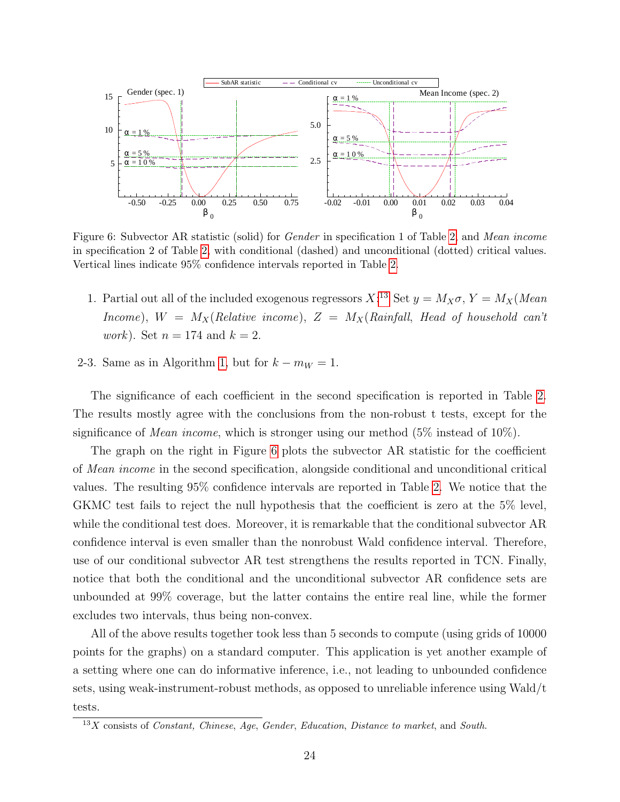<span id="page-24-0"></span>

Figure 6: Subvector AR statistic (solid) for Gender in specification 1 of Table [2,](#page-21-0) and Mean income in specification 2 of Table [2,](#page-21-0) with conditional (dashed) and unconditional (dotted) critical values. Vertical lines indicate 95% confidence intervals reported in Table [2.](#page-21-0)

- 1. Partial out all of the included exogenous regressors  $X$ <sup>[13](#page-1-0)</sup> Set  $y = M_X \sigma$ ,  $Y = M_X(Mean)$ Income),  $W = M_X(Relative\ income), Z = M_X(Rainfall, Head\ of\ household\ can't$ *work*). Set  $n = 174$  and  $k = 2$ .
- 2-3. Same as in Algorithm [1,](#page-22-0) but for  $k m_W = 1$ .

The significance of each coefficient in the second specification is reported in Table [2.](#page-21-0) The results mostly agree with the conclusions from the non-robust t tests, except for the significance of Mean income, which is stronger using our method (5% instead of 10%).

The graph on the right in Figure [6](#page-24-0) plots the subvector AR statistic for the coefficient of Mean income in the second specification, alongside conditional and unconditional critical values. The resulting 95% confidence intervals are reported in Table [2.](#page-21-0) We notice that the GKMC test fails to reject the null hypothesis that the coefficient is zero at the 5% level, while the conditional test does. Moreover, it is remarkable that the conditional subvector AR confidence interval is even smaller than the nonrobust Wald confidence interval. Therefore, use of our conditional subvector AR test strengthens the results reported in TCN. Finally, notice that both the conditional and the unconditional subvector AR confidence sets are unbounded at 99% coverage, but the latter contains the entire real line, while the former excludes two intervals, thus being non-convex.

All of the above results together took less than 5 seconds to compute (using grids of 10000 points for the graphs) on a standard computer. This application is yet another example of a setting where one can do informative inference, i.e., not leading to unbounded confidence sets, using weak-instrument-robust methods, as opposed to unreliable inference using Wald/t tests.

 $13X$  consists of *Constant, Chinese, Age, Gender, Education, Distance to market, and South.*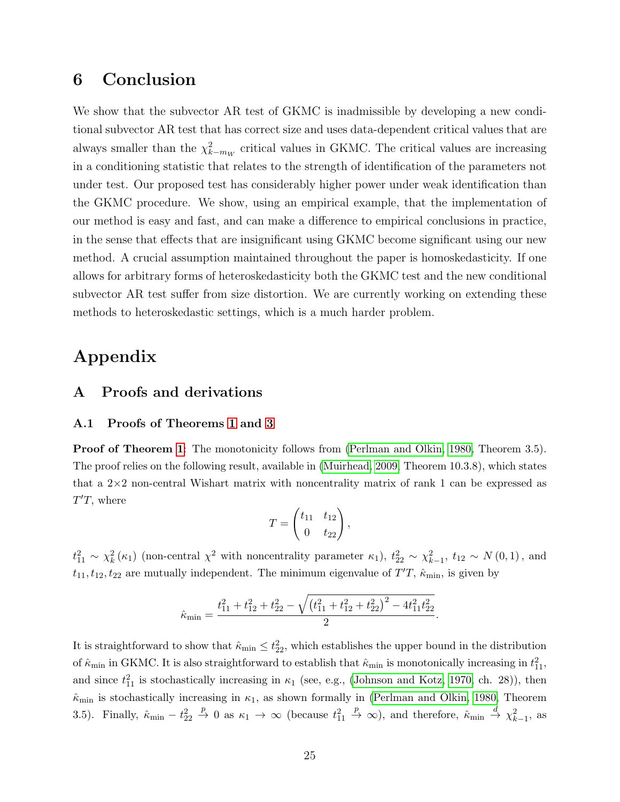# <span id="page-25-0"></span>6 Conclusion

We show that the subvector AR test of GKMC is inadmissible by developing a new conditional subvector AR test that has correct size and uses data-dependent critical values that are always smaller than the  $\chi^2_{k-m_W}$  critical values in GKMC. The critical values are increasing in a conditioning statistic that relates to the strength of identification of the parameters not under test. Our proposed test has considerably higher power under weak identification than the GKMC procedure. We show, using an empirical example, that the implementation of our method is easy and fast, and can make a difference to empirical conclusions in practice, in the sense that effects that are insignificant using GKMC become significant using our new method. A crucial assumption maintained throughout the paper is homoskedasticity. If one allows for arbitrary forms of heteroskedasticity both the GKMC test and the new conditional subvector AR test suffer from size distortion. We are currently working on extending these methods to heteroskedastic settings, which is a much harder problem.

# Appendix

## A Proofs and derivations

#### A.1 Proofs of Theorems [1](#page-7-1) and [3](#page-15-0)

**Proof of Theorem [1](#page-7-1):** The monotonicity follows from [\(Perlman and Olkin, 1980,](#page-43-7) Theorem 3.5). The proof relies on the following result, available in [\(Muirhead, 2009,](#page-43-6) Theorem 10.3.8), which states that a  $2\times 2$  non-central Wishart matrix with noncentrality matrix of rank 1 can be expressed as  $T'T$ , where

$$
T=\begin{pmatrix} t_{11} & t_{12} \\ 0 & t_{22} \end{pmatrix},
$$

 $t_{11}^2 \sim \chi_k^2(\kappa_1)$  (non-central  $\chi^2$  with noncentrality parameter  $\kappa_1$ ),  $t_{22}^2 \sim \chi_{k-1}^2$ ,  $t_{12} \sim N(0, 1)$ , and  $t_{11}, t_{12}, t_{22}$  are mutually independent. The minimum eigenvalue of  $T'T$ ,  $\hat{\kappa}_{\text{min}}$ , is given by

$$
\hat{\kappa}_{\min} = \frac{t_{11}^2 + t_{12}^2 + t_{22}^2 - \sqrt{\left(t_{11}^2 + t_{12}^2 + t_{22}^2\right)^2 - 4t_{11}^2 t_{22}^2}}{2}.
$$

It is straightforward to show that  $\hat{\kappa}_{min} \leq t_{22}^2$ , which establishes the upper bound in the distribution of  $\hat{\kappa}_{min}$  in GKMC. It is also straightforward to establish that  $\hat{\kappa}_{min}$  is monotonically increasing in  $t_{11}^2$ , and since  $t_{11}^2$  is stochastically increasing in  $\kappa_1$  (see, e.g., [\(Johnson and Kotz, 1970,](#page-43-19) ch. 28)), then  $\hat{\kappa}_{\text{min}}$  is stochastically increasing in  $\kappa_1$ , as shown formally in [\(Perlman and Olkin, 1980,](#page-43-7) Theorem 3.5). Finally,  $\hat{\kappa}_{\min} - t_{22}^2 \stackrel{p}{\to} 0$  as  $\kappa_1 \to \infty$  (because  $t_{11}^2 \stackrel{p}{\to} \infty$ ), and therefore,  $\hat{\kappa}_{\min} \stackrel{d}{\to} \chi^2_{k-1}$ , as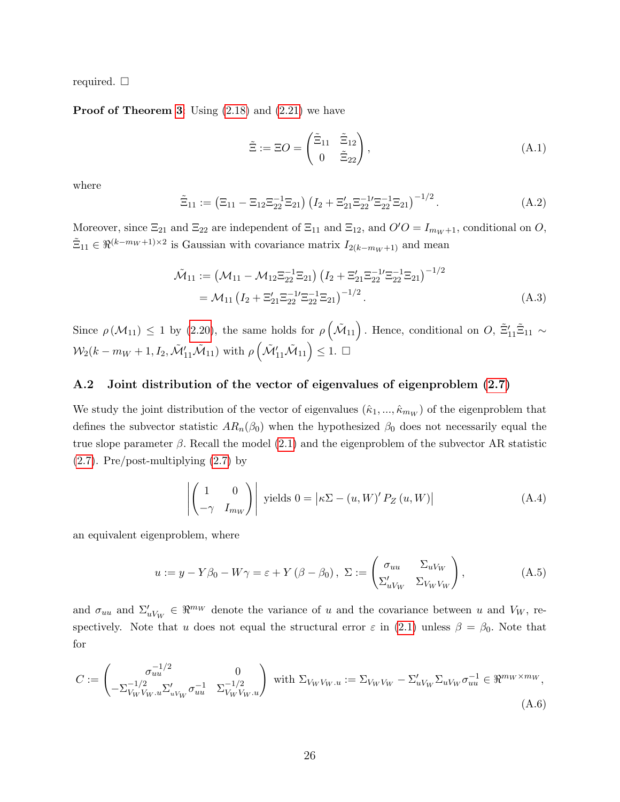required.  $\Box$ 

#### **Proof of Theorem [3](#page-15-0):** Using  $(2.18)$  and  $(2.21)$  we have

<span id="page-26-1"></span>
$$
\tilde{\Xi} := \Xi O = \begin{pmatrix} \tilde{\Xi}_{11} & \tilde{\Xi}_{12} \\ 0 & \tilde{\Xi}_{22} \end{pmatrix},\tag{A.1}
$$

where

$$
\tilde{\Xi}_{11} := (\Xi_{11} - \Xi_{12}\Xi_{22}^{-1}\Xi_{21}) \left(I_2 + \Xi_{21}'\Xi_{22}^{-1}\Xi_{22}\Xi_{21}\right)^{-1/2}.
$$
\n(A.2)

Moreover, since  $\Xi_{21}$  and  $\Xi_{22}$  are independent of  $\Xi_{11}$  and  $\Xi_{12}$ , and  $O'O = I_{m_W+1}$ , conditional on O,  $\tilde{\Xi}_{11} \in \Re^{(k-m_W+1)\times 2}$  is Gaussian with covariance matrix  $I_{2(k-m_W+1)}$  and mean

$$
\tilde{\mathcal{M}}_{11} := \left( \mathcal{M}_{11} - \mathcal{M}_{12} \Xi_{22}^{-1} \Xi_{21} \right) \left( I_2 + \Xi_{21}' \Xi_{22}^{-1} \Xi_{22}^{-1} \Xi_{21} \right)^{-1/2} \n= \mathcal{M}_{11} \left( I_2 + \Xi_{21}' \Xi_{22}^{-1} \Xi_{22}^{-1} \Xi_{21} \right)^{-1/2}.
$$
\n(A.3)

Since  $\rho(M_{11}) \leq 1$  by [\(2.20\)](#page-14-2), the same holds for  $\rho(\tilde{M}_{11})$ . Hence, conditional on  $O, \tilde{\Xi}'_{11}\tilde{\Xi}_{11} \sim$  $\mathcal{W}_2(k-m_W+1,I_2,\tilde{\mathcal{M}}'_{11}\tilde{\mathcal{M}}_{11})$  with  $\rho\left(\tilde{\mathcal{M}}'_{11}\tilde{\mathcal{M}}_{11}\right)\leq 1.$   $\Box$ 

#### <span id="page-26-0"></span>A.2 Joint distribution of the vector of eigenvalues of eigenproblem [\(2.7\)](#page-6-1)

We study the joint distribution of the vector of eigenvalues  $(\hat{\kappa}_1, ..., \hat{\kappa}_{m_W})$  of the eigenproblem that defines the subvector statistic  $AR_n(\beta_0)$  when the hypothesized  $\beta_0$  does not necessarily equal the true slope parameter  $\beta$ . Recall the model [\(2.1\)](#page-5-2) and the eigenproblem of the subvector AR statistic [\(2.7\)](#page-6-1). Pre/post-multiplying [\(2.7\)](#page-6-1) by

<span id="page-26-2"></span>
$$
\left| \begin{pmatrix} 1 & 0 \\ -\gamma & I_{mw} \end{pmatrix} \right| \text{ yields } 0 = \left| \kappa \Sigma - (u, W)' P_Z(u, W) \right| \tag{A.4}
$$

an equivalent eigenproblem, where

$$
u := y - Y\beta_0 - W\gamma = \varepsilon + Y(\beta - \beta_0), \ \Sigma := \begin{pmatrix} \sigma_{uu} & \Sigma_{uV_W} \\ \Sigma'_{uV_W} & \Sigma_{V_WV_W} \end{pmatrix},
$$
(A.5)

and  $\sigma_{uu}$  and  $\Sigma'_{uV_W} \in \mathbb{R}^{m_W}$  denote the variance of u and the covariance between u and  $V_W$ , respectively. Note that u does not equal the structural error  $\varepsilon$  in [\(2.1\)](#page-5-2) unless  $\beta = \beta_0$ . Note that for

$$
C := \begin{pmatrix} \sigma_{uu}^{-1/2} & 0 \\ -\Sigma_{V_W V_W.u}^{-1/2} \Sigma_{uV_W}' \sigma_{uu}^{-1} & \Sigma_{V_W V_W.u}^{-1/2} \end{pmatrix} \text{ with } \Sigma_{V_W V_W.u} := \Sigma_{V_W V_W} - \Sigma_{uV_W}' \Sigma_{uV_W} \sigma_{uu}^{-1} \in \mathbb{R}^{m_W \times m_W},
$$
\n(A.6)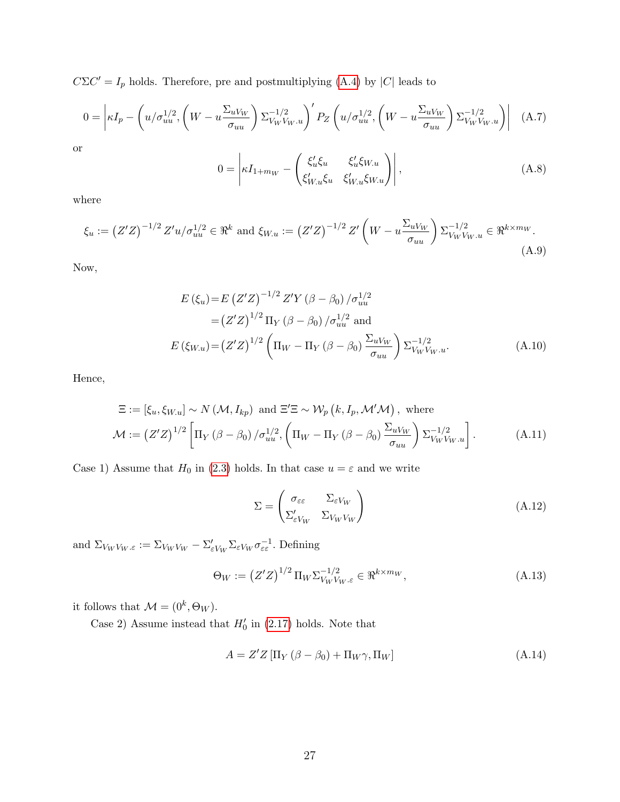$C\Sigma C' = I_p$  holds. Therefore, pre and postmultiplying [\(A.4\)](#page-26-2) by |C| leads to

$$
0 = \left| \kappa I_p - \left( u/\sigma_{uu}^{1/2}, \left( W - u \frac{\Sigma_{uV_W}}{\sigma_{uu}} \right) \Sigma_{V_W V_W, u}^{-1/2} \right)' P_Z \left( u/\sigma_{uu}^{1/2}, \left( W - u \frac{\Sigma_{uV_W}}{\sigma_{uu}} \right) \Sigma_{V_W V_W, u}^{-1/2} \right) \right| \tag{A.7}
$$

or

$$
0 = \left| \kappa I_{1+m_W} - \left( \frac{\xi_u' \xi_u}{\xi_{W,u} \xi_u} \frac{\xi_u' \xi_{W,u}}{\xi_{W,u} \xi_{W,u}} \right) \right|,
$$
\n(A.8)

where

$$
\xi_u := \left(Z'Z\right)^{-1/2} Z' u / \sigma_{uu}^{1/2} \in \mathbb{R}^k \text{ and } \xi_{W.u} := \left(Z'Z\right)^{-1/2} Z' \left(W - u \frac{\Sigma_{uV_W}}{\sigma_{uu}}\right) \Sigma_{V_W V_W.u}^{-1/2} \in \mathbb{R}^{k \times m_W}.
$$
\n(A.9)

Now,

$$
E (\xi_u) = E (Z'Z)^{-1/2} Z'Y (\beta - \beta_0) / \sigma_{uu}^{1/2}
$$
  
=  $(Z'Z)^{1/2} \Pi_Y (\beta - \beta_0) / \sigma_{uu}^{1/2}$  and  

$$
E (\xi_{W.u}) = (Z'Z)^{1/2} \left( \Pi_W - \Pi_Y (\beta - \beta_0) \frac{\Sigma_{uV_W}}{\sigma_{uu}} \right) \Sigma_{V_W V_W.u}^{-1/2}.
$$
 (A.10)

Hence,

$$
\Xi := [\xi_u, \xi_{W,u}] \sim N \left( \mathcal{M}, I_{kp} \right) \text{ and } \Xi' \Xi \sim \mathcal{W}_p \left( k, I_p, \mathcal{M}' \mathcal{M} \right), \text{ where}
$$

$$
\mathcal{M} := \left( Z' Z \right)^{1/2} \left[ \Pi_Y \left( \beta - \beta_0 \right) / \sigma_{uu}^{1/2}, \left( \Pi_W - \Pi_Y \left( \beta - \beta_0 \right) \frac{\Sigma_u V_W}{\sigma_{uu}} \right) \Sigma_{V_W V_W, u}^{-1/2} \right]. \tag{A.11}
$$

Case 1) Assume that  $H_0$  in [\(2.3\)](#page-5-1) holds. In that case  $u = \varepsilon$  and we write

<span id="page-27-0"></span>
$$
\Sigma = \begin{pmatrix} \sigma_{\varepsilon \varepsilon} & \Sigma_{\varepsilon V_W} \\ \Sigma_{\varepsilon V_W} & \Sigma_{V_W V_W} \end{pmatrix} \tag{A.12}
$$

and  $\Sigma_{V_W V_W \dots \varepsilon} := \Sigma_{V_W V_W} - \Sigma_{\varepsilon V_W} \Sigma_{\varepsilon V_W} \sigma_{\varepsilon \varepsilon}^{-1}$ . Defining

<span id="page-27-1"></span>
$$
\Theta_W := \left(Z'Z\right)^{1/2} \Pi_W \Sigma_{V_W V_W, \varepsilon}^{-1/2} \in \Re^{k \times m_W},\tag{A.13}
$$

it follows that  $\mathcal{M} = (0^k, \Theta_W)$ .

Case 2) Assume instead that  $H'_0$  in [\(2.17\)](#page-12-0) holds. Note that

<span id="page-27-2"></span>
$$
A = Z'Z \left[ \Pi_Y \left( \beta - \beta_0 \right) + \Pi_W \gamma, \Pi_W \right] \tag{A.14}
$$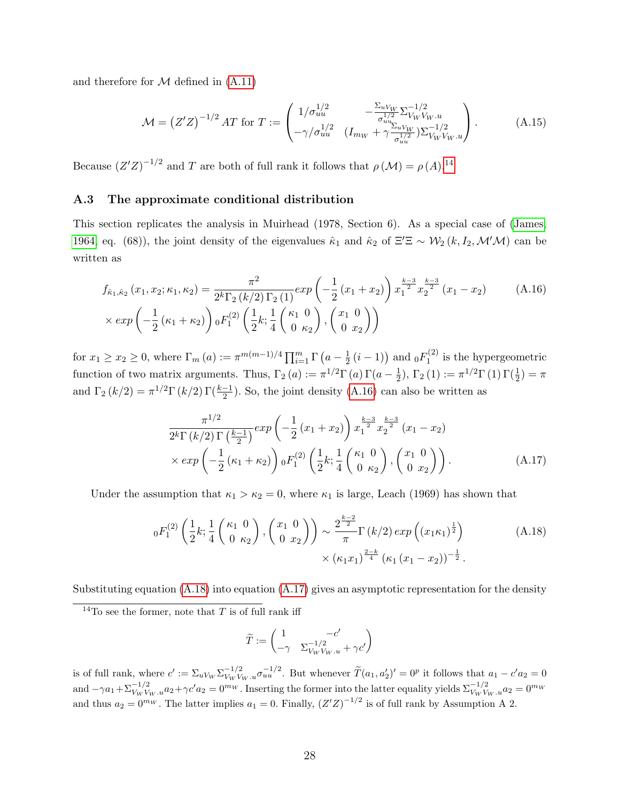and therefore for  $M$  defined in  $(A.11)$ 

$$
\mathcal{M} = (Z'Z)^{-1/2} A T \text{ for } T := \begin{pmatrix} 1/\sigma_{uu}^{1/2} & -\frac{\Sigma_{uV_W}}{\sigma_{uu}^{1/2}} \Sigma_{V_W V_W, u}^{-1/2} \\ -\gamma/\sigma_{uu}^{1/2} & (I_{m_W} + \gamma \frac{\Sigma_{uV_W}}{\sigma_{uu}^{1/2}}) \Sigma_{V_W V_W, u}^{-1/2} \end{pmatrix} .
$$
 (A.15)

Because  $(Z'Z)^{-1/2}$  and T are both of full rank it follows that  $\rho(M) = \rho(A)^{14}$  $\rho(M) = \rho(A)^{14}$  $\rho(M) = \rho(A)^{14}$ .

### <span id="page-28-0"></span>A.3 The approximate conditional distribution

This section replicates the analysis in Muirhead (1978, Section 6). As a special case of [\(James,](#page-43-20) [1964,](#page-43-20) eq. (68)), the joint density of the eigenvalues  $\hat{\kappa}_1$  and  $\hat{\kappa}_2$  of  $\Xi' \Xi \sim \mathcal{W}_2(k, I_2, \mathcal{M}'\mathcal{M})$  can be written as

$$
f_{\hat{\kappa}_{1},\hat{\kappa}_{2}}(x_{1},x_{2};\kappa_{1},\kappa_{2}) = \frac{\pi^{2}}{2^{k}\Gamma_{2}(k/2)\Gamma_{2}(1)}exp\left(-\frac{1}{2}(x_{1}+x_{2})\right)x_{1}^{\frac{k-3}{2}}x_{2}^{\frac{k-3}{2}}(x_{1}-x_{2})
$$
(A.16)  

$$
\times exp\left(-\frac{1}{2}(\kappa_{1}+\kappa_{2})\right) {}_{0}F_{1}^{(2)}\left(\frac{1}{2}k;\frac{1}{4}\begin{pmatrix} \kappa_{1} & 0\\ 0 & \kappa_{2} \end{pmatrix}, \begin{pmatrix} x_{1} & 0\\ 0 & x_{2} \end{pmatrix}\right)
$$

for  $x_1 \ge x_2 \ge 0$ , where  $\Gamma_m(a) := \pi^{m(m-1)/4} \prod_{i=1}^m \Gamma(a - \frac{1}{2})$  $\frac{1}{2}$   $(i-1)$  and  ${}_0F_1^{(2)}$  $j_1^{(2)}$  is the hypergeometric function of two matrix arguments. Thus,  $\Gamma_2(a) := \pi^{1/2} \Gamma(a) \Gamma(a - \frac{1}{2})$  $(\frac{1}{2}), \Gamma_2(1) := \pi^{1/2} \Gamma(1) \Gamma(\frac{1}{2}) = \pi$ and  $\Gamma_2(k/2) = \pi^{1/2} \Gamma(k/2) \Gamma(\frac{k-1}{2})$ . So, the joint density [\(A.16\)](#page-28-1) can also be written as

<span id="page-28-1"></span>
$$
\frac{\pi^{1/2}}{2^k \Gamma(k/2) \Gamma(\frac{k-1}{2})} exp\left(-\frac{1}{2}(x_1 + x_2)\right) x_1^{\frac{k-3}{2}} x_2^{\frac{k-3}{2}} (x_1 - x_2)
$$
\n
$$
\times exp\left(-\frac{1}{2}(\kappa_1 + \kappa_2)\right) {}_0F_1^{(2)}\left(\frac{1}{2}k; \frac{1}{4}\binom{\kappa_1}{0} \frac{0}{\kappa_2}\right), \binom{x_1}{0} x_2
$$
\n(A.17)

Under the assumption that  $\kappa_1 > \kappa_2 = 0$ , where  $\kappa_1$  is large, Leach (1969) has shown that

$$
{}_{0}F_{1}^{(2)}\left(\frac{1}{2}k;\frac{1}{4}\left(\begin{array}{c} \kappa_{1} & 0\\ 0 & \kappa_{2} \end{array}\right),\left(\begin{array}{c} x_{1} & 0\\ 0 & x_{2} \end{array}\right)\right) \sim \frac{2^{\frac{k-2}{2}}}{\pi}\Gamma\left(k/2\right)\exp\left((x_{1}\kappa_{1})^{\frac{1}{2}}\right) \times \left(\kappa_{1}x_{1}\right)^{\frac{2-k}{4}}\left(\kappa_{1}\left(x_{1}-x_{2}\right)\right)^{-\frac{1}{2}}.
$$
\n(A.18)

Substituting equation [\(A.18\)](#page-28-2) into equation [\(A.17\)](#page-28-3) gives an asymptotic representation for the density

<span id="page-28-3"></span><span id="page-28-2"></span>
$$
\widetilde{T}:=\begin{pmatrix}1 & -c'\\ -\gamma & \Sigma_{V_WV_W,u}^{-1/2}+\gamma c'\end{pmatrix}
$$

is of full rank, where  $c' := \sum_{u \mid w} \sum_{v \mid w} \frac{1}{2} \sum_{u \mid u} \frac{1}{2} \sum_{u \mid u} \frac{1}{2}$ . But whenever  $\widetilde{T}(a_1, a'_2)' = 0^p$  it follows that  $a_1 - c' a_2 = 0$ and  $-\gamma a_1 + \sum_{V_W V_W}^{-1/2} a_2 + \gamma c' a_2 = 0^m w$ . Inserting the former into the latter equality yields  $\sum_{V_W V_W}^{-1/2} a_2 = 0^m w$ and thus  $a_2 = 0^{m_W}$ . The latter implies  $a_1 = 0$ . Finally,  $(Z'Z)^{-1/2}$  is of full rank by Assumption A 2.

<sup>&</sup>lt;sup>14</sup>To see the former, note that T is of full rank iff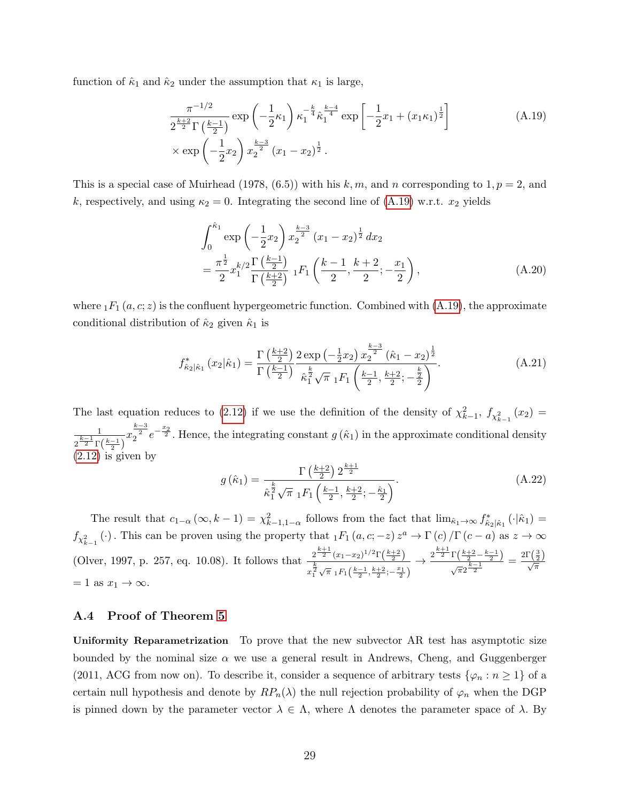function of  $\hat{\kappa}_1$  and  $\hat{\kappa}_2$  under the assumption that  $\kappa_1$  is large,

$$
\frac{\pi^{-1/2}}{2^{\frac{k+2}{2}}\Gamma(\frac{k-1}{2})} \exp\left(-\frac{1}{2}\kappa_1\right) \kappa_1^{-\frac{k}{4}} \hat{\kappa}_1^{\frac{k-4}{4}} \exp\left[-\frac{1}{2}x_1 + (x_1\kappa_1)^{\frac{1}{2}}\right] \times \exp\left(-\frac{1}{2}x_2\right) x_2^{\frac{k-3}{2}} (x_1 - x_2)^{\frac{1}{2}}.
$$
\n(A.19)

This is a special case of Muirhead (1978, (6.5)) with his k, m, and n corresponding to  $1, p = 2$ , and k, respectively, and using  $\kappa_2 = 0$ . Integrating the second line of [\(A.19\)](#page-29-2) w.r.t.  $x_2$  yields

<span id="page-29-2"></span>
$$
\int_0^{\hat{\kappa}_1} \exp\left(-\frac{1}{2}x_2\right) x_2^{\frac{k-3}{2}} (x_1 - x_2)^{\frac{1}{2}} dx_2
$$
\n
$$
= \frac{\pi^{\frac{1}{2}}}{2} x_1^{k/2} \frac{\Gamma\left(\frac{k-1}{2}\right)}{\Gamma\left(\frac{k+2}{2}\right)} {}_1F_1\left(\frac{k-1}{2}, \frac{k+2}{2}; -\frac{x_1}{2}\right), \tag{A.20}
$$

where  $_1F_1(a, c; z)$  is the confluent hypergeometric function. Combined with [\(A.19\)](#page-29-2), the approximate conditional distribution of  $\hat{\kappa}_2$  given  $\hat{\kappa}_1$  is

$$
f_{\hat{\kappa}_2|\hat{\kappa}_1}^*\left(x_2|\hat{\kappa}_1\right) = \frac{\Gamma\left(\frac{k+2}{2}\right)}{\Gamma\left(\frac{k-1}{2}\right)} \frac{2 \exp\left(-\frac{1}{2}x_2\right) x_2^{\frac{k-3}{2}} \left(\hat{\kappa}_1 - x_2\right)^{\frac{1}{2}}}{\hat{\kappa}_1^{\frac{k}{2}} \sqrt{\pi} \, {}_1F_1\left(\frac{k-1}{2}, \frac{k+2}{2}; -\frac{\frac{k}{2}}{2}\right)}.
$$
\n(A.21)

The last equation reduces to [\(2.12\)](#page-8-0) if we use the definition of the density of  $\chi^2_{k-1}$ ,  $f_{\chi^2_{k-1}}(x_2)$  = 1  $2^{\frac{k-1}{2}}\Gamma(\frac{k-1}{2})$  $x_2^{\frac{k-3}{2}}e^{-\frac{x_2}{2}}$ . Hence, the integrating constant  $g(\hat{\kappa}_1)$  in the approximate conditional density  $(2.12)$  is given by

<span id="page-29-0"></span>
$$
g\left(\hat{\kappa}_1\right) = \frac{\Gamma\left(\frac{k+2}{2}\right)2^{\frac{k+1}{2}}}{\hat{\kappa}_1^{\frac{k}{2}}\sqrt{\pi} \; {}_1F_1\left(\frac{k-1}{2}, \frac{k+2}{2}; -\frac{\hat{\kappa}_1}{2}\right)}.\tag{A.22}
$$

The result that  $c_{1-\alpha}(\infty, k-1) = \chi^2_{k-1,1-\alpha}$  follows from the fact that  $\lim_{\hat{\kappa}_1 \to \infty} f^*_{\hat{\kappa}_2|\hat{\kappa}_1}(\cdot|\hat{\kappa}_1) =$  $f_{\chi^2_{k-1}}(\cdot)$ . This can be proven using the property that  ${}_1F_1(a,c;-z)z^a \to \Gamma(c)/\Gamma(c-a)$  as  $z \to \infty$ (Olver, 1997, p. 257, eq. 10.08). It follows that  $\frac{2^{\frac{k+1}{2}}(x_1-x_2)^{1/2}\Gamma(\frac{k+2}{2})}{k}$  $x_1^{\frac{k}{2}} \sqrt{\pi} \, {}_1F_1\left(\frac{k-1}{2},\frac{k+2}{2};-\frac{x_1}{2}\right)$  $\to \frac{\frac{k+1}{2}\Gamma(\frac{k+2}{2}-\frac{k-1}{2})}{k-1}$  $\frac{\Gamma\left(\frac{k+2}{2}-\frac{k-1}{2}\right)}{\sqrt{\pi}2^{\frac{k-1}{2}}}=\frac{2\Gamma\left(\frac{3}{2}\right)}{\sqrt{\pi}}$  $= 1$  as  $x_1 \rightarrow \infty$ .

#### <span id="page-29-1"></span>A.4 Proof of Theorem [5](#page-18-1)

Uniformity Reparametrization To prove that the new subvector AR test has asymptotic size bounded by the nominal size  $\alpha$  we use a general result in Andrews, Cheng, and Guggenberger (2011, ACG from now on). To describe it, consider a sequence of arbitrary tests  $\{\varphi_n : n \geq 1\}$  of a certain null hypothesis and denote by  $RP_n(\lambda)$  the null rejection probability of  $\varphi_n$  when the DGP is pinned down by the parameter vector  $\lambda \in \Lambda$ , where  $\Lambda$  denotes the parameter space of  $\lambda$ . By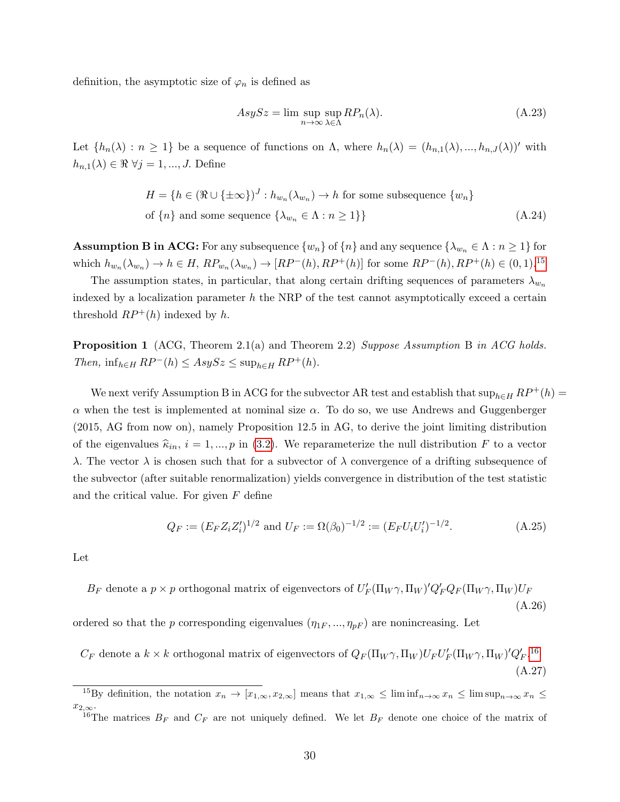definition, the asymptotic size of  $\varphi_n$  is defined as

<span id="page-30-0"></span>
$$
AsySz = \limsup_{n \to \infty} \sup_{\lambda \in \Lambda} RP_n(\lambda). \tag{A.23}
$$

Let  $\{h_n(\lambda): n \geq 1\}$  be a sequence of functions on  $\Lambda$ , where  $h_n(\lambda) = (h_{n,1}(\lambda), ..., h_{n,J}(\lambda))'$  with  $h_{n,1}(\lambda) \in \Re \ \forall j = 1, ..., J$ . Define

$$
H = \{ h \in (\Re \cup \{\pm \infty\})^J : h_{w_n}(\lambda_{w_n}) \to h \text{ for some subsequence } \{w_n\}
$$
  
of  $\{n\}$  and some sequence  $\{\lambda_{w_n} \in \Lambda : n \ge 1\}$  (A.24)

**Assumption B in ACG:** For any subsequence  $\{w_n\}$  of  $\{n\}$  and any sequence  $\{\lambda_{w_n} \in \Lambda : n \geq 1\}$  for which  $h_{w_n}(\lambda_{w_n}) \to h \in H$ ,  $RP_{w_n}(\lambda_{w_n}) \to [RP^-(h), RP^+(h)]$  for some  $RP^-(h), RP^+(h) \in (0,1)$ .<sup>[15](#page-1-0)</sup>

The assumption states, in particular, that along certain drifting sequences of parameters  $\lambda_{w_n}$ indexed by a localization parameter  $h$  the NRP of the test cannot asymptotically exceed a certain threshold  $RP^+(h)$  indexed by h.

<span id="page-30-1"></span>**Proposition 1** (ACG, Theorem 2.1(a) and Theorem 2.2) Suppose Assumption B in ACG holds. Then,  $\inf_{h \in H} RP^{-}(h) \leq AsySz \leq \sup_{h \in H} RP^{+}(h)$ .

We next verify Assumption B in ACG for the subvector AR test and establish that  $\sup_{h\in H}RP^+(h)$ α when the test is implemented at nominal size α. To do so, we use Andrews and Guggenberger (2015, AG from now on), namely Proposition 12.5 in AG, to derive the joint limiting distribution of the eigenvalues  $\hat{\kappa}_{in}$ ,  $i = 1, ..., p$  in [\(3.2\)](#page-17-1). We reparameterize the null distribution F to a vector λ. The vector  $\lambda$  is chosen such that for a subvector of  $\lambda$  convergence of a drifting subsequence of the subvector (after suitable renormalization) yields convergence in distribution of the test statistic and the critical value. For given  $F$  define

$$
Q_F := (E_F Z_i Z_i')^{1/2} \text{ and } U_F := \Omega(\beta_0)^{-1/2} := (E_F U_i U_i')^{-1/2}.
$$
 (A.25)

Let

 $B_F$  denote a  $p \times p$  orthogonal matrix of eigenvectors of  $U_F'(\Pi_W \gamma, \Pi_W)' Q_F' Q_F(\Pi_W \gamma, \Pi_W) U_F$ (A.26)

ordered so that the p corresponding eigenvalues  $(\eta_{1F}, ..., \eta_{pF})$  are nonincreasing. Let

 $C_F$  denote a  $k \times k$  orthogonal matrix of eigenvectors of  $Q_F(\Pi_W\gamma,\Pi_W)U_F U'_F(\Pi_W\gamma,\Pi_W)'Q'_F$ .<sup>[16](#page-1-0)</sup> (A.27)

<sup>&</sup>lt;sup>15</sup>By definition, the notation  $x_n \to [x_{1,\infty}, x_{2,\infty}]$  means that  $x_{1,\infty} \leq \liminf_{n\to\infty} x_n \leq \limsup_{n\to\infty} x_n \leq$  $x_{2,\infty}$ 

<sup>&</sup>lt;sup>16</sup>The matrices  $B_F$  and  $C_F$  are not uniquely defined. We let  $B_F$  denote one choice of the matrix of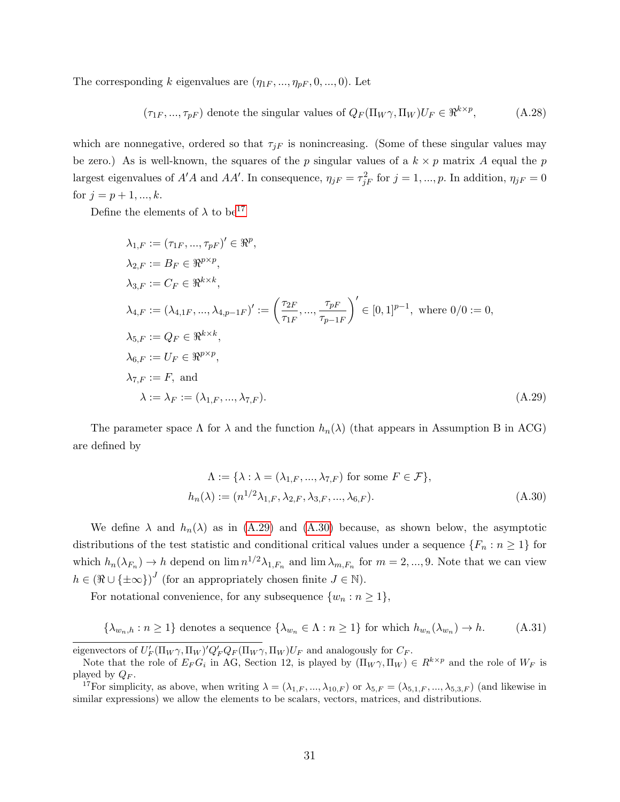The corresponding k eigenvalues are  $(\eta_{1F}, ..., \eta_{pF}, 0, ..., 0)$ . Let

<span id="page-31-3"></span>
$$
(\tau_{1F}, ..., \tau_{pF})
$$
 denote the singular values of  $Q_F(\Pi_W \gamma, \Pi_W)U_F \in \mathbb{R}^{k \times p}$ , (A.28)

which are nonnegative, ordered so that  $\tau_{jF}$  is nonincreasing. (Some of these singular values may be zero.) As is well-known, the squares of the p singular values of a  $k \times p$  matrix A equal the p largest eigenvalues of  $A'A$  and  $AA'$ . In consequence,  $\eta_{jF} = \tau_{jF}^2$  for  $j = 1, ..., p$ . In addition,  $\eta_{jF} = 0$ for  $j = p + 1, ..., k$ .

Define the elements of  $\lambda$  to be<sup>[17](#page-1-0)</sup>

$$
\lambda_{1,F} := (\tau_{1F}, ..., \tau_{pF})' \in \mathbb{R}^p,
$$
  
\n
$$
\lambda_{2,F} := B_F \in \mathbb{R}^{p \times p},
$$
  
\n
$$
\lambda_{3,F} := C_F \in \mathbb{R}^{k \times k},
$$
  
\n
$$
\lambda_{4,F} := (\lambda_{4,1F}, ..., \lambda_{4,p-1F})' := \left(\frac{\tau_{2F}}{\tau_{1F}}, ..., \frac{\tau_{pF}}{\tau_{p-1F}}\right)' \in [0,1]^{p-1}, \text{ where } 0/0 := 0,
$$
  
\n
$$
\lambda_{5,F} := Q_F \in \mathbb{R}^{k \times k},
$$
  
\n
$$
\lambda_{6,F} := U_F \in \mathbb{R}^{p \times p},
$$
  
\n
$$
\lambda_{7,F} := F, \text{ and}
$$
  
\n
$$
\lambda := \lambda_F := (\lambda_{1,F}, ..., \lambda_{7,F}).
$$
  
\n(A.29)

The parameter space  $\Lambda$  for  $\lambda$  and the function  $h_n(\lambda)$  (that appears in Assumption B in ACG) are defined by

<span id="page-31-1"></span><span id="page-31-0"></span>
$$
\Lambda := \{ \lambda : \lambda = (\lambda_{1,F}, ..., \lambda_{7,F}) \text{ for some } F \in \mathcal{F} \},
$$
  

$$
h_n(\lambda) := (n^{1/2} \lambda_{1,F}, \lambda_{2,F}, \lambda_{3,F}, ..., \lambda_{6,F}).
$$
 (A.30)

We define  $\lambda$  and  $h_n(\lambda)$  as in [\(A.29\)](#page-31-0) and [\(A.30\)](#page-31-1) because, as shown below, the asymptotic distributions of the test statistic and conditional critical values under a sequence  $\{F_n : n \geq 1\}$  for which  $h_n(\lambda_{F_n}) \to h$  depend on  $\lim_{n \to \infty} n^{1/2} \lambda_{1,F_n}$  and  $\lim_{n \to \infty} \lambda_{m,F_n}$  for  $m = 2, ..., 9$ . Note that we can view  $h \in (\Re \cup \{\pm \infty\})^J$  (for an appropriately chosen finite  $J \in \mathbb{N}$ ).

For notational convenience, for any subsequence  $\{w_n : n \geq 1\},\$ 

<span id="page-31-2"></span>
$$
\{\lambda_{w_n,h} : n \ge 1\} \text{ denotes a sequence } \{\lambda_{w_n} \in \Lambda : n \ge 1\} \text{ for which } h_{w_n}(\lambda_{w_n}) \to h. \tag{A.31}
$$

eigenvectors of  $U'_F(\Pi_W\gamma,\Pi_W)Q'_FQ_F(\Pi_W\gamma,\Pi_W)U_F$  and analogously for  $C_F$ .

Note that the role of  $E_F G_i$  in AG, Section 12, is played by  $(\Pi_W \gamma, \Pi_W) \in R^{k \times p}$  and the role of  $W_F$  is played by  $Q_F$ .

<sup>&</sup>lt;sup>17</sup>For simplicity, as above, when writing  $\lambda = (\lambda_{1,F},...,\lambda_{10,F})$  or  $\lambda_{5,F} = (\lambda_{5,1,F},...,\lambda_{5,3,F})$  (and likewise in similar expressions) we allow the elements to be scalars, vectors, matrices, and distributions.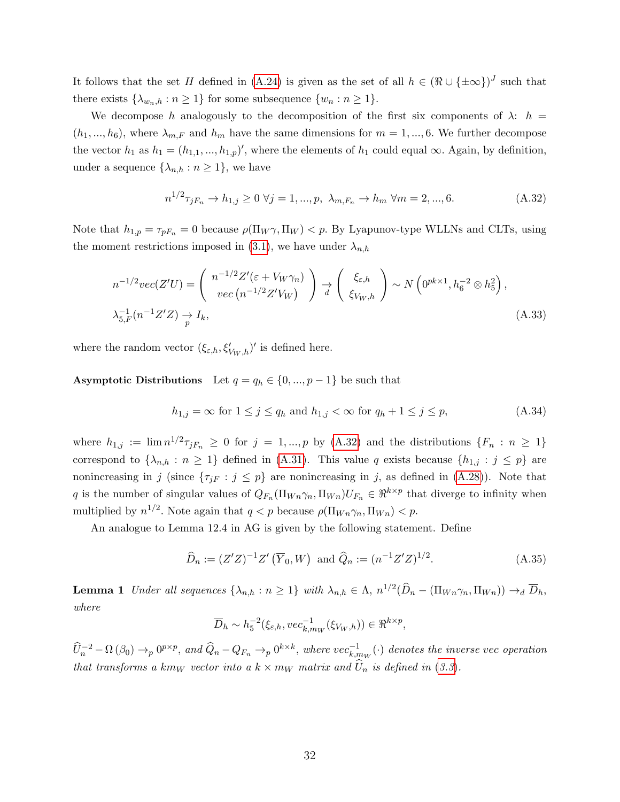It follows that the set H defined in [\(A.24\)](#page-30-0) is given as the set of all  $h \in (\Re \cup \{\pm \infty\})^J$  such that there exists  $\{\lambda_{w_n,h} : n \geq 1\}$  for some subsequence  $\{w_n : n \geq 1\}.$ 

We decompose h analogously to the decomposition of the first six components of  $\lambda$ :  $h =$  $(h_1, ..., h_6)$ , where  $\lambda_{m,F}$  and  $h_m$  have the same dimensions for  $m = 1, ..., 6$ . We further decompose the vector  $h_1$  as  $h_1 = (h_{1,1},...,h_{1,p})'$ , where the elements of  $h_1$  could equal  $\infty$ . Again, by definition, under a sequence  $\{\lambda_{n,h} : n \geq 1\}$ , we have

<span id="page-32-1"></span>
$$
n^{1/2}\tau_{jF_n} \to h_{1,j} \ge 0 \,\,\forall j = 1, ..., p, \,\,\lambda_{m,F_n} \to h_m \,\,\forall m = 2, ..., 6. \tag{A.32}
$$

Note that  $h_{1,p} = \tau_{pF_n} = 0$  because  $\rho(\Pi_W \gamma, \Pi_W) < p$ . By Lyapunov-type WLLNs and CLTs, using the moment restrictions imposed in [\(3.1\)](#page-17-0), we have under  $\lambda_{n,h}$ 

$$
n^{-1/2}vec(Z'U) = \begin{pmatrix} n^{-1/2}Z'(\varepsilon + V_W\gamma_n) \\ vec\left(n^{-1/2}Z'V_W\right) \end{pmatrix} \underset{d}{\rightarrow} \begin{pmatrix} \xi_{\varepsilon,h} \\ \xi_{V_W,h} \end{pmatrix} \sim N\left(0^{pk \times 1}, h_6^{-2} \otimes h_5^2\right),
$$
  

$$
\lambda_{5,F}^{-1}(n^{-1}Z'Z) \underset{p}{\rightarrow} I_k,
$$
 (A.33)

where the random vector  $(\xi_{\varepsilon,h}, \xi'_{V_W, h})'$  is defined here.

Asymptotic Distributions Let  $q = q_h \in \{0, ..., p-1\}$  be such that

<span id="page-32-3"></span>
$$
h_{1,j} = \infty \text{ for } 1 \le j \le q_h \text{ and } h_{1,j} < \infty \text{ for } q_h + 1 \le j \le p,\tag{A.34}
$$

where  $h_{1,j} := \lim_{n \to \infty} n^{1/2} \tau_{jF_n} \geq 0$  for  $j = 1, ..., p$  by [\(A.32\)](#page-32-1) and the distributions  $\{F_n : n \geq 1\}$ correspond to  $\{\lambda_{n,h} : n \geq 1\}$  defined in [\(A.31\)](#page-31-2). This value q exists because  $\{h_{1,j} : j \leq p\}$  are nonincreasing in j (since  $\{\tau_{jF} : j \leq p\}$  are nonincreasing in j, as defined in [\(A.28\)](#page-31-3)). Note that q is the number of singular values of  $Q_{F_n}(\Pi_{W_n}\gamma_n, \Pi_{W_n})U_{F_n} \in \mathbb{R}^{k \times p}$  that diverge to infinity when multiplied by  $n^{1/2}$ . Note again that  $q < p$  because  $\rho(\Pi_{Wn} \gamma_n, \Pi_{Wn}) < p$ .

An analogue to Lemma 12.4 in AG is given by the following statement. Define

<span id="page-32-2"></span>
$$
\widehat{D}_n := (Z'Z)^{-1}Z'\left(\overline{Y}_0, W\right) \text{ and } \widehat{Q}_n := (n^{-1}Z'Z)^{1/2}.
$$
\n(A.35)

<span id="page-32-0"></span>**Lemma 1** Under all sequences  $\{\lambda_{n,h} : n \geq 1\}$  with  $\lambda_{n,h} \in \Lambda$ ,  $n^{1/2}(\widehat{D}_n - (\Pi_{Wn} \gamma_n, \Pi_{Wn})) \to_d \overline{D}_h$ , where

$$
\overline{D}_h \sim h_5^{-2}(\xi_{\varepsilon,h}, vec_{k,m_W}^{-1}(\xi_{V_W,h})) \in \Re^{k \times p},
$$

 $\widehat{U}_n^{-2}-\Omega\left(\beta_0\right)\to_p 0^{p\times p},\ and \ \widehat{Q}_n-Q_{F_n}\to_p 0^{k\times k},\ where\ vec_{k,m_W}^{-1}(\cdot)\ denotes\ the\ inverse\ vec\ operation$ that transforms a km<sub>W</sub> vector into a  $k \times m_W$  matrix and  $U_n$  is defined in ([3.3](#page-17-3)).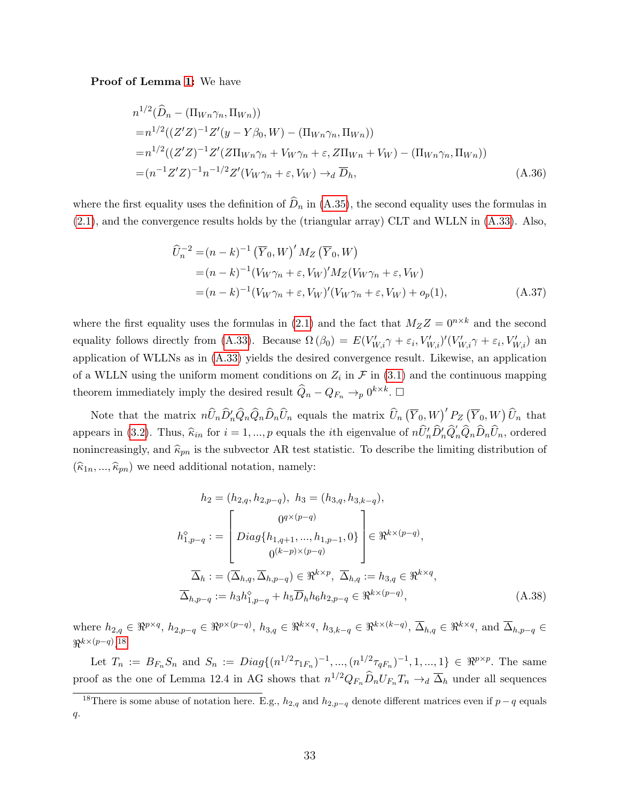Proof of Lemma [1:](#page-32-0) We have

$$
n^{1/2}(\widehat{D}_n - (\Pi_{Wn}\gamma_n, \Pi_{Wn}))
$$
  
=  $n^{1/2}((Z'Z)^{-1}Z'(y - Y\beta_0, W) - (\Pi_{Wn}\gamma_n, \Pi_{Wn}))$   
=  $n^{1/2}((Z'Z)^{-1}Z'(Z\Pi_{Wn}\gamma_n + V_W\gamma_n + \varepsilon, Z\Pi_{Wn} + V_W) - (\Pi_{Wn}\gamma_n, \Pi_{Wn}))$   
=  $(n^{-1}Z'Z)^{-1}n^{-1/2}Z'(V_W\gamma_n + \varepsilon, V_W) \rightarrow_d \overline{D}_h,$  (A.36)

where the first equality uses the definition of  $\hat{D}_n$  in [\(A.35\)](#page-32-2), the second equality uses the formulas in [\(2.1\)](#page-5-2), and the convergence results holds by the (triangular array) CLT and WLLN in [\(A.33\)](#page-32-3). Also,

$$
\widehat{U}_n^{-2} = (n - k)^{-1} \left(\overline{Y}_0, W\right)' M_Z \left(\overline{Y}_0, W\right)
$$
  
\n
$$
= (n - k)^{-1} (V_W \gamma_n + \varepsilon, V_W)' M_Z (V_W \gamma_n + \varepsilon, V_W)
$$
  
\n
$$
= (n - k)^{-1} (V_W \gamma_n + \varepsilon, V_W)' (V_W \gamma_n + \varepsilon, V_W) + o_p(1),
$$
\n(A.37)

where the first equality uses the formulas in [\(2.1\)](#page-5-2) and the fact that  $M_ZZ = 0^{n \times k}$  and the second equality follows directly from [\(A.33\)](#page-32-3). Because  $\Omega(\beta_0) = E(V'_{W,i}\gamma + \varepsilon_i, V'_{W,i})'(V'_{W,i}\gamma + \varepsilon_i, V'_{W,i})$  and application of WLLNs as in [\(A.33\)](#page-32-3) yields the desired convergence result. Likewise, an application of a WLLN using the uniform moment conditions on  $Z_i$  in  $\mathcal F$  in [\(3.1\)](#page-17-0) and the continuous mapping theorem immediately imply the desired result  $\widehat{Q}_n - Q_{F_n} \to_p 0^{k \times k}$ .  $\Box$ 

Note that the matrix  $n\widehat{U}_n\widehat{D}'_n\widehat{Q}_n\widehat{D}_n\widehat{U}_n$  equals the matrix  $\widehat{U}_n(\overline{Y}_0, W)'P_Z(\overline{Y}_0, W)\widehat{U}_n$  that appears in [\(3.2\)](#page-17-1). Thus,  $\hat{\kappa}_{in}$  for  $i = 1, ..., p$  equals the *i*th eigenvalue of  $n\hat{U}'_n\hat{D}'_n\hat{Q}'_n\hat{Q}_n\hat{D}_n\hat{U}_n$ , ordered nonincreasingly, and  $\widehat{\kappa}_{pn}$  is the subvector AR test statistic. To describe the limiting distribution of  $(\widehat{\kappa}_{1n}, ..., \widehat{\kappa}_{pn})$  we need additional notation, namely:

<span id="page-33-0"></span>
$$
h_2 = (h_{2,q}, h_{2,p-q}), h_3 = (h_{3,q}, h_{3,k-q}),
$$
  
\n
$$
h_{1,p-q}^{\circ} := \begin{bmatrix} 0^{q \times (p-q)} \\ Diag\{h_{1,q+1}, ..., h_{1,p-1}, 0\} \\ 0^{(k-p) \times (p-q)} \end{bmatrix} \in \mathbb{R}^{k \times (p-q)},
$$
  
\n
$$
\overline{\Delta}_h := (\overline{\Delta}_{h,q}, \overline{\Delta}_{h,p-q}) \in \mathbb{R}^{k \times p}, \overline{\Delta}_{h,q} := h_{3,q} \in \mathbb{R}^{k \times q},
$$
  
\n
$$
\overline{\Delta}_{h,p-q} := h_3 h_{1,p-q}^{\circ} + h_5 \overline{D}_h h_6 h_{2,p-q} \in \mathbb{R}^{k \times (p-q)},
$$
\n(A.38)

where  $h_{2,q} \in \mathbb{R}^{p \times q}$ ,  $h_{2,p-q} \in \mathbb{R}^{p \times (p-q)}$ ,  $h_{3,q} \in \mathbb{R}^{k \times q}$ ,  $h_{3,k-q} \in \mathbb{R}^{k \times (k-q)}$ ,  $\overline{\Delta}_{h,q} \in \mathbb{R}^{k \times q}$ , and  $\overline{\Delta}_{h,p-q} \in$  $\Re^{k \times (p-q)}$ .<sup>[18](#page-1-0)</sup>

Let  $T_n := B_{F_n} S_n$  and  $S_n := Diag\{(n^{1/2}\tau_{1F_n})^{-1}, ..., (n^{1/2}\tau_{qF_n})^{-1}, 1, ..., 1\} \in \Re^{p \times p}$ . The same proof as the one of Lemma 12.4 in AG shows that  $n^{1/2}Q_{F_n}\widehat{D}_nU_{F_n}T_n \to_d \overline{\Delta}_h$  under all sequences

<sup>&</sup>lt;sup>18</sup>There is some abuse of notation here. E.g.,  $h_{2,q}$  and  $h_{2,p-q}$  denote different matrices even if  $p-q$  equals  $q$ .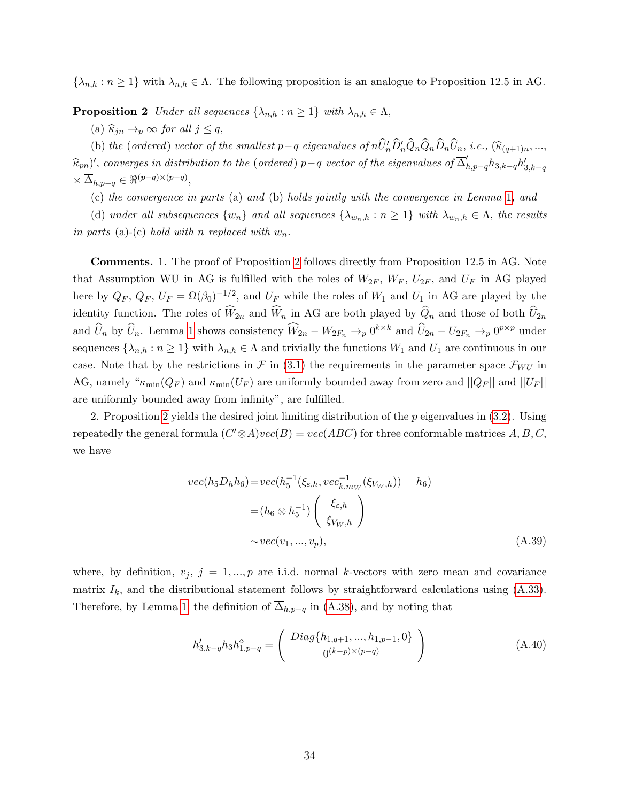<span id="page-34-0"></span> $\{\lambda_{n,h} : n \geq 1\}$  with  $\lambda_{n,h} \in \Lambda$ . The following proposition is an analogue to Proposition 12.5 in AG.

**Proposition 2** Under all sequences  $\{\lambda_{n,h} : n \geq 1\}$  with  $\lambda_{n,h} \in \Lambda$ ,

(a)  $\widehat{\kappa}_{in} \rightarrow_p \infty$  for all  $j \leq q$ ,

(b) the (ordered) vector of the smallest p-q eigenvalues of  $n\widehat{U}'_n\widehat{D}'_n\widehat{Q}_n\widehat{Q}_n\widehat{D}_n\widehat{U}_n$ , i.e.,  $(\widehat{\kappa}_{(q+1)n},...,\widehat{\kappa}_{(q+1)n})$  $(\widehat{\kappa}_{pn})'$ , converges in distribution to the (ordered) p−q vector of the eigenvalues of  $\overline{\Delta}'_{h,p-q}h_{3,k-q}h'_{3,k-q}$  $\times \overline{\Delta}_{h,p-q} \in \Re^{(p-q)\times(p-q)},$ 

(c) the convergence in parts (a) and (b) holds jointly with the convergence in Lemma [1](#page-32-0), and

(d) under all subsequences  $\{w_n\}$  and all sequences  $\{\lambda_{w_n,h} : n \geq 1\}$  with  $\lambda_{w_n,h} \in \Lambda$ , the results in parts (a)-(c) hold with n replaced with  $w_n$ .

Comments. 1. The proof of Proposition [2](#page-34-0) follows directly from Proposition 12.5 in AG. Note that Assumption WU in AG is fulfilled with the roles of  $W_{2F}$ ,  $W_{F}$ ,  $U_{2F}$ , and  $U_{F}$  in AG played here by  $Q_F$ ,  $Q_F$ ,  $U_F = \Omega(\beta_0)^{-1/2}$ , and  $U_F$  while the roles of  $W_1$  and  $U_1$  in AG are played by the identity function. The roles of  $\widehat{W}_{2n}$  and  $\widehat{W}_n$  in AG are both played by  $\widehat{Q}_n$  and those of both  $\widehat{U}_{2n}$ and  $\hat{U}_n$  by  $\hat{U}_n$ . Lemma [1](#page-32-0) shows consistency  $\widehat{W}_{2n} - W_{2F_n} \to_p 0^{k \times k}$  and  $\hat{U}_{2n} - U_{2F_n} \to_p 0^{p \times p}$  under sequences  $\{\lambda_{n,h} : n \geq 1\}$  with  $\lambda_{n,h} \in \Lambda$  and trivially the functions  $W_1$  and  $U_1$  are continuous in our case. Note that by the restrictions in  $\mathcal F$  in [\(3.1\)](#page-17-0) the requirements in the parameter space  $\mathcal F_{WU}$  in AG, namely " $\kappa_{\min}(Q_F)$  and  $\kappa_{\min}(U_F)$  are uniformly bounded away from zero and  $||Q_F||$  and  $||U_F||$ are uniformly bounded away from infinity", are fulfilled.

2. Proposition [2](#page-34-0) yields the desired joint limiting distribution of the  $p$  eigenvalues in  $(3.2)$ . Using repeatedly the general formula  $(C' \otimes A)vec(B) = vec(ABC)$  for three conformable matrices  $A, B, C$ , we have

$$
vec(h_5\overline{D}_h h_6) = vec(h_5^{-1}(\xi_{\varepsilon,h}, vec_{k,m_W}^{-1}(\xi_{V_W,h})) \quad h_6)
$$
  
=  $(h_6 \otimes h_5^{-1}) \begin{pmatrix} \xi_{\varepsilon,h} \\ \xi_{V_W,h} \end{pmatrix}$   
~ $\sim vec(v_1, ..., v_p),$  (A.39)

where, by definition,  $v_j$ ,  $j = 1, ..., p$  are i.i.d. normal k-vectors with zero mean and covariance matrix  $I_k$ , and the distributional statement follows by straightforward calculations using  $(A.33)$ . Therefore, by Lemma [1,](#page-32-0) the definition of  $\overline{\Delta}_{h,p-q}$  in [\(A.38\)](#page-33-0), and by noting that

$$
h'_{3,k-q}h_3h_{1,p-q}^{\diamond} = \begin{pmatrix} Diag\{h_{1,q+1},...,h_{1,p-1},0\} \\ 0^{(k-p)\times(p-q)} \end{pmatrix}
$$
 (A.40)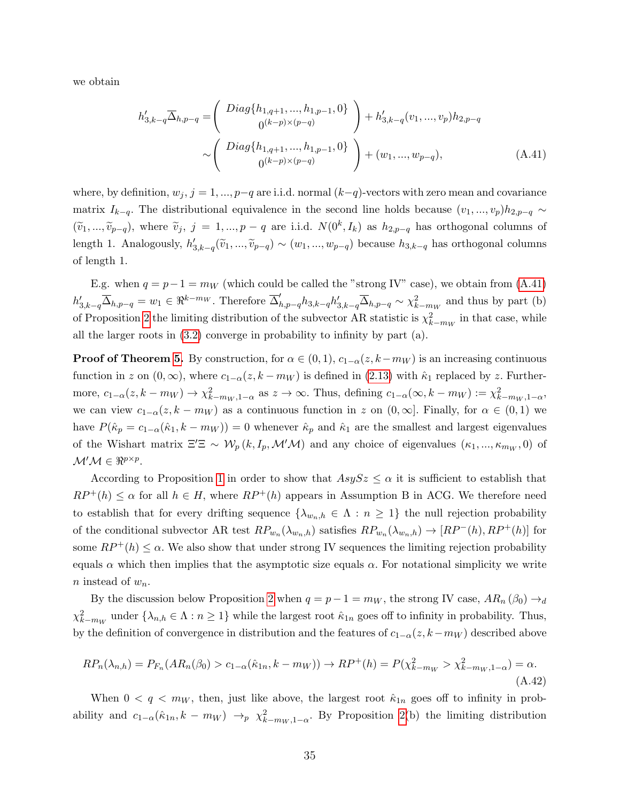we obtain

<span id="page-35-0"></span>
$$
h'_{3,k-q} \overline{\Delta}_{h,p-q} = \begin{pmatrix} Diag\{h_{1,q+1},...,h_{1,p-1},0\} \\ 0^{(k-p)\times(p-q)} \end{pmatrix} + h'_{3,k-q}(v_1,...,v_p)h_{2,p-q}
$$
  

$$
\sim \begin{pmatrix} Diag\{h_{1,q+1},...,h_{1,p-1},0\} \\ 0^{(k-p)\times(p-q)} \end{pmatrix} + (w_1,...,w_{p-q}), \qquad (A.41)
$$

where, by definition,  $w_j$ ,  $j = 1, ..., p-q$  are i.i.d. normal  $(k-q)$ -vectors with zero mean and covariance matrix  $I_{k-q}$ . The distributional equivalence in the second line holds because  $(v_1, ..., v_p)h_{2,p-q} \sim$  $(\widetilde{v}_1, ..., \widetilde{v}_{p-q})$ , where  $\widetilde{v}_j$ ,  $j = 1, ..., p-q$  are i.i.d.  $N(0^k, I_k)$  as  $h_{2,p-q}$  has orthogonal columns of length 1. Analogously,  $h'_{3,k-q}(\tilde{v}_1, ..., \tilde{v}_{p-q}) \sim (w_1, ..., w_{p-q})$  because  $h_{3,k-q}$  has orthogonal columns of length 1.

E.g. when  $q = p - 1 = m_W$  (which could be called the "strong IV" case), we obtain from [\(A.41\)](#page-35-0)  $h'_{3,k-q} \overline{\Delta}_{h,p-q} = w_1 \in \Re^{k-m_W}$ . Therefore  $\overline{\Delta}_{h,p-q}' h_{3,k-q} h'_{3,k-q} \overline{\Delta}_{h,p-q} \sim \chi^2_{k-m_W}$  and thus by part (b) of Proposition [2](#page-34-0) the limiting distribution of the subvector AR statistic is  $\chi^2_{k-m_W}$  in that case, while all the larger roots in  $(3.2)$  converge in probability to infinity by part  $(a)$ .

**Proof of Theorem [5.](#page-18-1)** By construction, for  $\alpha \in (0,1)$ ,  $c_{1-\alpha}(z, k-m_W)$  is an increasing continuous function in z on  $(0, \infty)$ , where  $c_{1-\alpha}(z, k - m_W)$  is defined in  $(2.13)$  with  $\hat{\kappa}_1$  replaced by z. Furthermore,  $c_{1-\alpha}(z, k-m_W) \to \chi^2_{k-m_W, 1-\alpha}$  as  $z \to \infty$ . Thus, defining  $c_{1-\alpha}(\infty, k-m_W) := \chi^2_{k-m_W, 1-\alpha}$ , we can view  $c_{1-\alpha}(z, k - m_W)$  as a continuous function in z on  $(0, \infty]$ . Finally, for  $\alpha \in (0, 1)$  we have  $P(\hat{\kappa}_p = c_{1-\alpha}(\hat{\kappa}_1, k - m_W)) = 0$  whenever  $\hat{\kappa}_p$  and  $\hat{\kappa}_1$  are the smallest and largest eigenvalues of the Wishart matrix  $\Xi'\Xi \sim \mathcal{W}_p(k, I_p, \mathcal{M}'\mathcal{M})$  and any choice of eigenvalues  $(\kappa_1, ..., \kappa_{m_W}, 0)$  of  $\mathcal{M}'\mathcal{M} \in \Re^{p \times p}$ .

According to Proposition [1](#page-30-1) in order to show that  $AsySz \leq \alpha$  it is sufficient to establish that  $RP^+(h) \leq \alpha$  for all  $h \in H$ , where  $RP^+(h)$  appears in Assumption B in ACG. We therefore need to establish that for every drifting sequence  $\{\lambda_{w_n,h} \in \Lambda : n \geq 1\}$  the null rejection probability of the conditional subvector AR test  $RP_{w_n}(\lambda_{w_n,h})$  satisfies  $RP_{w_n}(\lambda_{w_n,h}) \to [RP^-(h), RP^+(h)]$  for some  $RP^+(h) \leq \alpha$ . We also show that under strong IV sequences the limiting rejection probability equals  $\alpha$  which then implies that the asymptotic size equals  $\alpha$ . For notational simplicity we write n instead of  $w_n$ .

By the discussion below Proposition [2](#page-34-0) when  $q = p - 1 = m_W$ , the strong IV case,  $AR_n(\beta_0) \rightarrow_d$  $\chi^2_{k-m_W}$  under  $\{\lambda_{n,h} \in \Lambda : n \geq 1\}$  while the largest root  $\hat{\kappa}_{1n}$  goes off to infinity in probability. Thus, by the definition of convergence in distribution and the features of  $c_{1-\alpha}(z, k-m_W)$  described above

$$
RP_n(\lambda_{n,h}) = P_{F_n}(AR_n(\beta_0) > c_{1-\alpha}(\hat{\kappa}_{1n}, k - m_W)) \to RP^+(h) = P(\chi^2_{k-m_W} > \chi^2_{k-m_W, 1-\alpha}) = \alpha.
$$
\n(A.42)

When  $0 < q < m_W$ , then, just like above, the largest root  $\hat{\kappa}_{1n}$  goes off to infinity in probability and  $c_{1-\alpha}(\hat{\kappa}_{1n}, k - m_W) \to_p \chi^2_{k-m_W, 1-\alpha}$ . By Proposition [2\(](#page-34-0)b) the limiting distribution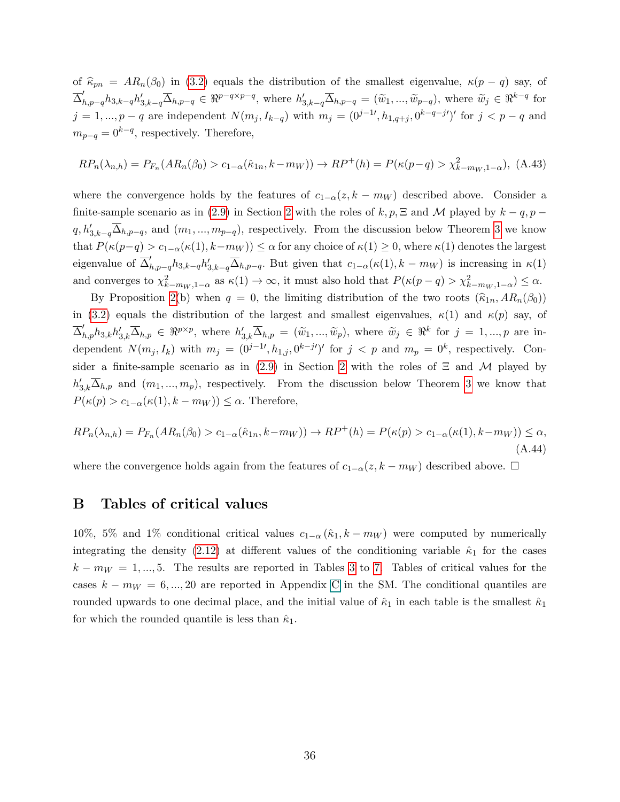of  $\hat{\kappa}_{pn} = AR_n(\beta_0)$  in [\(3.2\)](#page-17-1) equals the distribution of the smallest eigenvalue,  $\kappa(p-q)$  say, of  $\overline{\Delta}_{h,p-q}' h_{3,k-q} h'_{3,k-q} \overline{\Delta}_{h,p-q} \in \Re^{p-q \times p-q}$ , where  $h'_{3,k-q} \overline{\Delta}_{h,p-q} = (\tilde{w}_1, ..., \tilde{w}_{p-q})$ , where  $\tilde{w}_j \in \Re^{k-q}$  for  $j = 1, ..., p - q$  are independent  $N(m_j, I_{k-q})$  with  $m_j = (0^{j-1}, h_{1,q+j}, 0^{k-q-j})'$  for  $j < p - q$  and  $m_{p-q} = 0^{k-q}$ , respectively. Therefore,

$$
RP_n(\lambda_{n,h}) = P_{F_n}(AR_n(\beta_0) > c_{1-\alpha}(\hat{\kappa}_{1n}, k - m_W)) \to RP^+(h) = P(\kappa(p-q) > \chi^2_{k-m_W, 1-\alpha}), \text{ (A.43)}
$$

where the convergence holds by the features of  $c_{1-\alpha}(z, k - m_W)$  described above. Consider a finite-sample scenario as in [\(2.9\)](#page-6-3) in Section [2](#page-5-0) with the roles of  $k, p$ ,  $\Xi$  and M played by  $k - q$ ,  $p$  $q, h'_{3,k-q} \overline{\Delta}_{h,p-q}$ , and  $(m_1, ..., m_{p-q})$ , respectively. From the discussion below Theorem [3](#page-15-0) we know that  $P(\kappa(p-q) > c_{1-\alpha}(\kappa(1), k-m_W)) \leq \alpha$  for any choice of  $\kappa(1) \geq 0$ , where  $\kappa(1)$  denotes the largest eigenvalue of  $\overline{\Delta}_{h,p-q}' h_{3,k-q} h_{3,k-q}' \overline{\Delta}_{h,p-q}$ . But given that  $c_{1-\alpha}(\kappa(1), k-m_W)$  is increasing in  $\kappa(1)$ and converges to  $\chi^2_{k-m_W,1-\alpha}$  as  $\kappa(1) \to \infty$ , it must also hold that  $P(\kappa(p-q) > \chi^2_{k-m_W,1-\alpha}) \leq \alpha$ .

By Proposition [2\(](#page-34-0)b) when  $q = 0$ , the limiting distribution of the two roots  $(\widehat{\kappa}_{1n}, AR_n(\beta_0))$ in [\(3.2\)](#page-17-1) equals the distribution of the largest and smallest eigenvalues,  $\kappa(1)$  and  $\kappa(p)$  say, of  $\overline{\Delta}_{h,p}' h_{3,k} h'_{3,k} \overline{\Delta}_{h,p} \in \Re^{p \times p}$ , where  $h'_{3,k} \overline{\Delta}_{h,p} = (\tilde{w}_1, ..., \tilde{w}_p)$ , where  $\tilde{w}_j \in \Re^k$  for  $j = 1, ..., p$  are independent  $N(m_j, I_k)$  with  $m_j = (0^{j-1}, h_{1,j}, 0^{k-j})'$  for  $j < p$  and  $m_p = 0^k$ , respectively. Con-sider a finite-sample scenario as in [\(2.9\)](#page-6-3) in Section [2](#page-5-0) with the roles of  $\Xi$  and M played by  $h'_{3,k}\overline{\Delta}_{h,p}$  and  $(m_1,...,m_p)$ , respectively. From the discussion below Theorem [3](#page-15-0) we know that  $P(\kappa(p) > c_{1-\alpha}(\kappa(1), k - m_W)) \leq \alpha$ . Therefore,

$$
RP_n(\lambda_{n,h}) = P_{F_n}(AR_n(\beta_0) > c_{1-\alpha}(\hat{\kappa}_{1n}, k - m_W)) \to RP^+(h) = P(\kappa(p) > c_{1-\alpha}(\kappa(1), k - m_W)) \le \alpha,
$$
\n(A.44)

where the convergence holds again from the features of  $c_{1-\alpha}(z, k - m_W)$  described above.  $\Box$ 

#### <span id="page-36-0"></span>B Tables of critical values

10%, 5% and 1% conditional critical values  $c_{1-\alpha}$  ( $\hat{\kappa}_1$ , k –  $m_W$ ) were computed by numerically integrating the density [\(2.12\)](#page-8-0) at different values of the conditioning variable  $\hat{\kappa}_1$  for the cases  $k - m_W = 1, ..., 5$ . The results are reported in Tables [3](#page-37-0) to [7.](#page-42-0) Tables of critical values for the cases  $k - m_W = 6, ..., 20$  are reported in Appendix C in the SM. The conditional quantiles are rounded upwards to one decimal place, and the initial value of  $\hat{\kappa}_1$  in each table is the smallest  $\hat{\kappa}_1$ for which the rounded quantile is less than  $\hat{\kappa}_1$ .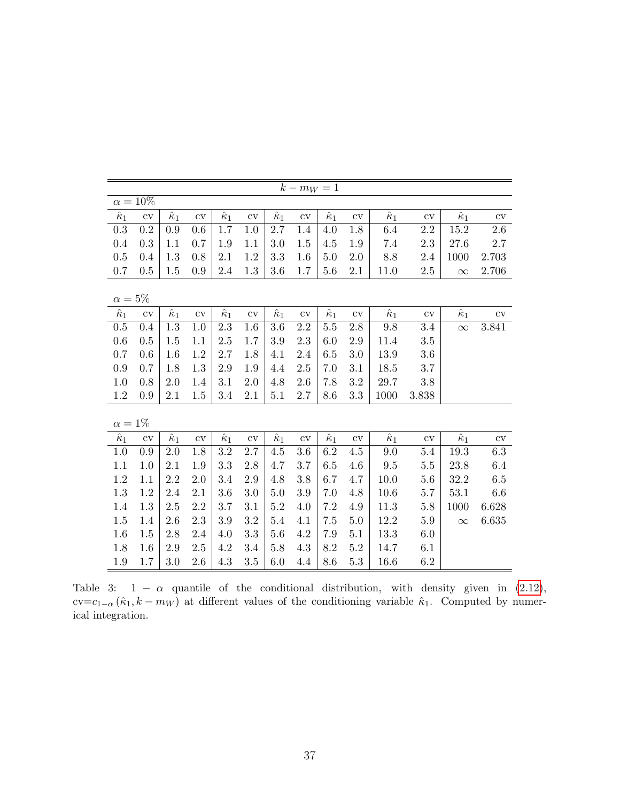<span id="page-37-0"></span>

|                  |               |                  |               |                  |               |                  | $k - m_W = 1$ |                  |               |                  |           |                  |                        |  |  |
|------------------|---------------|------------------|---------------|------------------|---------------|------------------|---------------|------------------|---------------|------------------|-----------|------------------|------------------------|--|--|
|                  | $\alpha=10\%$ |                  |               |                  |               |                  |               |                  |               |                  |           |                  |                        |  |  |
| $\hat{\kappa}_1$ | $\rm{cv}$     | $\hat{\kappa}_1$ | $\rm{cv}$     | $\hat{\kappa}_1$ | $\rm{cv}$     | $\hat{\kappa}_1$ | cv            | $\hat{\kappa}_1$ | cv            | $\hat{\kappa}_1$ | $\rm{cv}$ | $\hat{\kappa}_1$ | $\overline{\text{cv}}$ |  |  |
| 0.3              | $\rm 0.2$     | 0.9              | 0.6           | 1.7              | 1.0           | 2.7              | 1.4           | 4.0              | 1.8           | 6.4              | $2.2\,$   | $15.2\,$         | $2.6\,$                |  |  |
| 0.4              | 0.3           | 1.1              | 0.7           | 1.9              | 1.1           | 3.0              | 1.5           | 4.5              | 1.9           | 7.4              | 2.3       | 27.6             | 2.7                    |  |  |
| 0.5              | 0.4           | 1.3              | 0.8           | 2.1              | 1.2           | 3.3              | 1.6           | 5.0              | 2.0           | 8.8              | 2.4       | 1000             | 2.703                  |  |  |
| 0.7              | 0.5           | 1.5              | 0.9           | 2.4              | 1.3           | 3.6              | 1.7           | 5.6              | 2.1           | 11.0             | $2.5\,$   | $\infty$         | 2.706                  |  |  |
|                  |               |                  |               |                  |               |                  |               |                  |               |                  |           |                  |                        |  |  |
|                  | $\alpha=5\%$  |                  |               |                  |               |                  |               |                  |               |                  |           |                  |                        |  |  |
| $\hat{\kappa}_1$ | $\mathrm{cv}$ | $\hat{\kappa}_1$ | $\mathrm{cv}$ | $\hat{\kappa}_1$ | $\mathrm{cv}$ | $\hat{\kappa}_1$ | $\mathrm{cv}$ | $\hat{\kappa}_1$ | $\mathrm{cv}$ | $\hat{\kappa}_1$ | $\rm{cv}$ | $\hat{\kappa}_1$ | $\rm{cv}$              |  |  |
| 0.5              | 0.4           | $1.3\,$          | 1.0           | $2.3\,$          | 1.6           | 3.6              | $2.2\,$       | $5.5\,$          | $2.8\,$       | 9.8              | 3.4       | $\infty$         | $3.841\,$              |  |  |
| 0.6              | 0.5           | 1.5              | 1.1           | 2.5              | 1.7           | $3.9\,$          | 2.3           | 6.0              | 2.9           | 11.4             | 3.5       |                  |                        |  |  |
| 0.7              | 0.6           | 1.6              | 1.2           | 2.7              | 1.8           | 4.1              | 2.4           | 6.5              | 3.0           | 13.9             | 3.6       |                  |                        |  |  |
| 0.9              | 0.7           | 1.8              | 1.3           | 2.9              | 1.9           | 4.4              | 2.5           | 7.0              | 3.1           | 18.5             | 3.7       |                  |                        |  |  |
| 1.0              | 0.8           | 2.0              | 1.4           | 3.1              | 2.0           | 4.8              | 2.6           | 7.8              | 3.2           | 29.7             | 3.8       |                  |                        |  |  |
| 1.2              | 0.9           | 2.1              | 1.5           | 3.4              | 2.1           | $5.1\,$          | 2.7           | 8.6              | 3.3           | 1000             | 3.838     |                  |                        |  |  |
|                  |               |                  |               |                  |               |                  |               |                  |               |                  |           |                  |                        |  |  |
| $\alpha = 1\%$   |               |                  |               |                  |               |                  |               |                  |               |                  |           |                  |                        |  |  |
| $\hat{\kappa}_1$ | $\mathrm{cv}$ | $\hat{\kappa}_1$ | $\rm{cv}$     | $\hat{\kappa}_1$ | $\rm{cv}$     | $\hat{\kappa}_1$ | $\mathrm{cv}$ | $\hat{\kappa}_1$ | $\mathrm{cv}$ | $\hat{\kappa}_1$ | $\rm{cv}$ | $\hat{\kappa}_1$ | $\rm{cv}$              |  |  |
| 1.0              | 0.9           | 2.0              | 1.8           | $3.2\,$          | 2.7           | 4.5              | 3.6           | 6.2              | 4.5           | 9.0              | 5.4       | 19.3             | 6.3                    |  |  |
| 1.1              | 1.0           | 2.1              | 1.9           | 3.3              | 2.8           | 4.7              | 3.7           | 6.5              | 4.6           | $\,9.5$          | $5.5\,$   | 23.8             | 6.4                    |  |  |
| $1.2\,$          | 1.1           | 2.2              | 2.0           | 3.4              | $2.9\,$       | 4.8              | $3.8\,$       | 6.7              | 4.7           | 10.0             | 5.6       | 32.2             | $6.5\,$                |  |  |
| 1.3              | 1.2           | 2.4              | 2.1           | 3.6              | 3.0           | 5.0              | 3.9           | 7.0              | 4.8           | 10.6             | 5.7       | 53.1             | 6.6                    |  |  |
| 1.4              | 1.3           | 2.5              | $2.2\,$       | 3.7              | 3.1           | $5.2\,$          | 4.0           | 7.2              | 4.9           | 11.3             | 5.8       | 1000             | 6.628                  |  |  |
| $1.5\,$          | 1.4           | 2.6              | $2.3\,$       | 3.9              | 3.2           | $5.4\,$          | 4.1           | 7.5              | 5.0           | 12.2             | $5.9\,$   | $\infty$         | 6.635                  |  |  |
| 1.6              | 1.5           | 2.8              | 2.4           | 4.0              | 3.3           | 5.6              | 4.2           | 7.9              | 5.1           | 13.3             | 6.0       |                  |                        |  |  |
| 1.8              | 1.6           | 2.9              | $2.5\,$       | 4.2              | 3.4           | 5.8              | 4.3           | 8.2              | $5.2\,$       | 14.7             | 6.1       |                  |                        |  |  |
| $1.9\,$          | 1.7           | 3.0              | 2.6           | 4.3              | 3.5           | 6.0              | 4.4           | 8.6              | 5.3           | 16.6             | 6.2       |                  |                        |  |  |

Table 3:  $1 - \alpha$  quantile of the conditional distribution, with density given in [\(2.12\)](#page-8-0), cv=c<sub>1-α</sub> ( $\hat{\kappa}_1$ , k – m<sub>W</sub>) at different values of the conditioning variable  $\hat{\kappa}_1$ . Computed by numerical integration.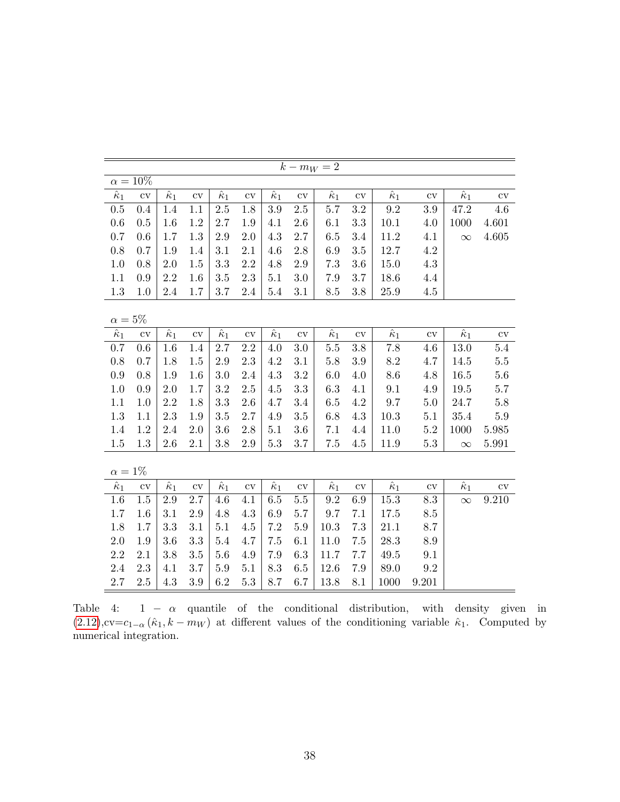<span id="page-38-0"></span>

|                  |                        |                  |           |                             |               |                  |               | $k - m_W = 2$    |               |                             |                        |                             |               |
|------------------|------------------------|------------------|-----------|-----------------------------|---------------|------------------|---------------|------------------|---------------|-----------------------------|------------------------|-----------------------------|---------------|
|                  | $\alpha = 10\%$        |                  |           |                             |               |                  |               |                  |               |                             |                        |                             |               |
| $\hat{\kappa}_1$ | $\overline{\text{cv}}$ | $\hat{\kappa}_1$ | $\rm{cv}$ | $\overline{\hat{\kappa}_1}$ | $\mathrm{cv}$ | $\hat{\kappa}_1$ | $\rm{cv}$     | $\hat{\kappa}_1$ | $\rm{cv}$     | $\overline{\hat{\kappa}_1}$ | $\overline{\text{cv}}$ | $\overline{\hat{\kappa}_1}$ | $\mathrm{cv}$ |
| 0.5              | 0.4                    | 1.4              | 1.1       | $2.5\,$                     | 1.8           | 3.9              | 2.5           | 5.7              | 3.2           | 9.2                         | 3.9                    | 47.2                        | 4.6           |
| $0.6\,$          | 0.5                    | 1.6              | $1.2\,$   | 2.7                         | 1.9           | 4.1              | 2.6           | 6.1              | 3.3           | $10.1\,$                    | 4.0                    | 1000                        | 4.601         |
| 0.7              | 0.6                    | 1.7              | 1.3       | $2.9\,$                     | 2.0           | 4.3              | 2.7           | 6.5              | 3.4           | 11.2                        | 4.1                    | $\infty$                    | 4.605         |
| 0.8              | 0.7                    | 1.9              | 1.4       | 3.1                         | 2.1           | 4.6              | 2.8           | 6.9              | 3.5           | 12.7                        | 4.2                    |                             |               |
| 1.0              | 0.8                    | 2.0              | 1.5       | 3.3                         | 2.2           | 4.8              | 2.9           | 7.3              | 3.6           | 15.0                        | 4.3                    |                             |               |
| 1.1              | 0.9                    | 2.2              | 1.6       | 3.5                         | 2.3           | 5.1              | 3.0           | 7.9              | 3.7           | 18.6                        | 4.4                    |                             |               |
| $1.3\,$          | 1.0                    | 2.4              | 1.7       | $3.7\,$                     | 2.4           | 5.4              | 3.1           | 8.5              | 3.8           | 25.9                        | 4.5                    |                             |               |
|                  |                        |                  |           |                             |               |                  |               |                  |               |                             |                        |                             |               |
| $\alpha=5\%$     |                        |                  |           |                             |               |                  |               |                  |               |                             |                        |                             |               |
| $\hat{\kappa}_1$ | $\rm{cv}$              | $\hat{\kappa}_1$ | cv        | $\hat{\kappa}_1$            | cv            | $\hat{\kappa}_1$ | $\mathrm{cv}$ | $\hat{\kappa}_1$ | $\mathrm{cv}$ | $\hat{\kappa}_1$            | $\rm{cv}$              | $\hat{\kappa}_1$            | $\rm{cv}$     |
| 0.7              | 0.6                    | 1.6              | 1.4       | 2.7                         | 2.2           | 4.0              | 3.0           | $5.5\,$          | 3.8           | 7.8                         | 4.6                    | 13.0                        | 5.4           |
| $0.8\,$          | 0.7                    | 1.8              | 1.5       | $2.9\,$                     | $2.3\,$       | $4.2\,$          | 3.1           | $5.8\,$          | $3.9\,$       | $8.2\,$                     | 4.7                    | 14.5                        | $5.5\,$       |
| $\rm 0.9$        | 0.8                    | 1.9              | 1.6       | $3.0\,$                     | 2.4           | 4.3              | 3.2           | 6.0              | 4.0           | 8.6                         | 4.8                    | 16.5                        | 5.6           |
| 1.0              | 0.9                    | 2.0              | 1.7       | $3.2\,$                     | $2.5\,$       | 4.5              | 3.3           | 6.3              | 4.1           | 9.1                         | 4.9                    | 19.5                        | $5.7\,$       |
| 1.1              | 1.0                    | 2.2              | 1.8       | 3.3                         | 2.6           | 4.7              | 3.4           | 6.5              | 4.2           | 9.7                         | 5.0                    | 24.7                        | 5.8           |
| 1.3              | 1.1                    | 2.3              | 1.9       | 3.5                         | 2.7           | 4.9              | 3.5           | 6.8              | 4.3           | 10.3                        | 5.1                    | 35.4                        | 5.9           |
| 1.4              | 1.2                    | 2.4              | 2.0       | 3.6                         | $2.8\,$       | 5.1              | 3.6           | 7.1              | 4.4           | 11.0                        | 5.2                    | 1000                        | 5.985         |
| 1.5              | 1.3                    | 2.6              | 2.1       | 3.8                         | 2.9           | 5.3              | 3.7           | $7.5\,$          | 4.5           | 11.9                        | $5.3\,$                | $\infty$                    | 5.991         |
|                  |                        |                  |           |                             |               |                  |               |                  |               |                             |                        |                             |               |
| $\alpha=1\%$     |                        |                  |           |                             |               |                  |               |                  |               |                             |                        |                             |               |
| $\hat{\kappa}_1$ | $\mathrm{cv}$          | $\hat{\kappa}_1$ | $\rm{cv}$ | $\hat{\kappa}_1$            | $\mathrm{cv}$ | $\hat{\kappa}_1$ | $\rm{cv}$     | $\hat{\kappa}_1$ | cv            | $\hat{\kappa}_1$            | $\rm{cv}$              | $\hat{\kappa}_1$            | cv            |
| 1.6              | 1.5                    | 2.9              | 2.7       | 4.6                         | 4.1           | 6.5              | 5.5           | $9.2\,$          | 6.9           | 15.3                        | 8.3                    | $\infty$                    | 9.210         |
| 1.7              | 1.6                    | 3.1              | $2.9\,$   | 4.8                         | 4.3           | 6.9              | 5.7           | 9.7              | 7.1           | 17.5                        | 8.5                    |                             |               |
| $1.8\,$          | 1.7                    | 3.3              | 3.1       | 5.1                         | 4.5           | $7.2\,$          | 5.9           | $10.3\,$         | 7.3           | 21.1                        | 8.7                    |                             |               |
| $2.0\,$          | 1.9                    | 3.6              | 3.3       | 5.4                         | 4.7           | 7.5              | 6.1           | 11.0             | 7.5           | 28.3                        | 8.9                    |                             |               |
| 2.2              | 2.1                    | 3.8              | 3.5       | 5.6                         | 4.9           | 7.9              | 6.3           | 11.7             | 7.7           | 49.5                        | 9.1                    |                             |               |
| 2.4              | 2.3                    | 4.1              | 3.7       | 5.9                         | 5.1           | 8.3              | 6.5           | 12.6             | 7.9           | 89.0                        | 9.2                    |                             |               |
| 2.7              | 2.5                    | 4.3              | 3.9       | 6.2                         | 5.3           | 8.7              | 6.7           | 13.8             | 8.1           | 1000                        | 9.201                  |                             |               |

Table 4:  $1 - \alpha$  quantile of the conditional distribution, with density given in  $(2.12)$ ,cv=c<sub>1-α</sub>  $(\hat{\kappa}_1, k - m_W)$  at different values of the conditioning variable  $\hat{\kappa}_1$ . Computed by numerical integration.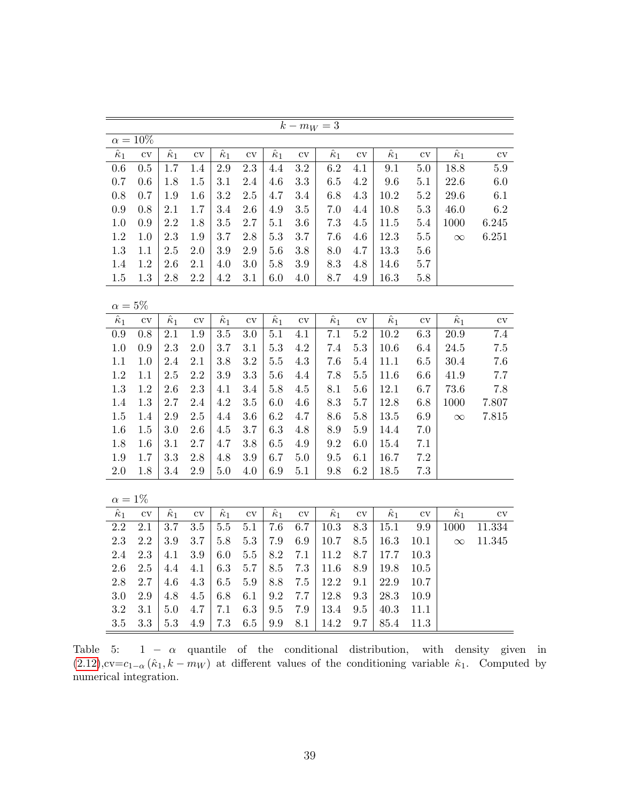|                  |                        |                  |                        |                  |               |                  | $k - m_W = 3$          |                  |               |                  |                     |                  |                        |
|------------------|------------------------|------------------|------------------------|------------------|---------------|------------------|------------------------|------------------|---------------|------------------|---------------------|------------------|------------------------|
|                  | $\alpha=10\%$          |                  |                        |                  |               |                  |                        |                  |               |                  |                     |                  |                        |
| $\hat{\kappa}_1$ | $\overline{\text{cv}}$ | $\hat{\kappa}_1$ | $\overline{\text{cv}}$ | $\hat{\kappa}_1$ | $\rm{cv}$     | $\hat{\kappa}_1$ | $\overline{\text{cv}}$ | $\hat{\kappa}_1$ | $\rm{cv}$     | $\hat{\kappa}_1$ | $\overline{\rm cv}$ | $\hat{\kappa}_1$ | $\overline{\text{cv}}$ |
| 0.6              | 0.5                    | $1.7\,$          | 1.4                    | $2.9\,$          | 2.3           | 4.4              | 3.2                    | 6.2              | 4.1           | 9.1              | 5.0                 | 18.8             | $5.9\,$                |
| $0.7\,$          | 0.6                    | 1.8              | 1.5                    | 3.1              | 2.4           | 4.6              | 3.3                    | $6.5\,$          | 4.2           | 9.6              | 5.1                 | $22.6\,$         | $6.0\,$                |
| $0.8\,$          | 0.7                    | 1.9              | 1.6                    | 3.2              | $2.5\,$       | 4.7              | 3.4                    | 6.8              | 4.3           | 10.2             | $5.2\,$             | 29.6             | 6.1                    |
| 0.9              | 0.8                    | 2.1              | 1.7                    | 3.4              | 2.6           | 4.9              | 3.5                    | 7.0              | 4.4           | 10.8             | 5.3                 | 46.0             | 6.2                    |
| $1.0\,$          | 0.9                    | 2.2              | 1.8                    | $3.5\,$          | 2.7           | 5.1              | $3.6\,$                | $7.3\,$          | 4.5           | 11.5             | 5.4                 | 1000             | 6.245                  |
| $1.2\,$          | 1.0                    | 2.3              | 1.9                    | 3.7              | 2.8           | 5.3              | 3.7                    | $7.6\,$          | 4.6           | 12.3             | $5.5\,$             | $\infty$         | 6.251                  |
| $1.3\,$          | 1.1                    | $2.5\,$          | 2.0                    | 3.9              | 2.9           | 5.6              | $3.8\,$                | 8.0              | 4.7           | 13.3             | 5.6                 |                  |                        |
| 1.4              | 1.2                    | 2.6              | $2.1\,$                | 4.0              | 3.0           | 5.8              | $3.9\,$                | 8.3              | 4.8           | 14.6             | $5.7\,$             |                  |                        |
| $1.5\,$          | 1.3                    | 2.8              | $2.2\,$                | $4.2\,$          | 3.1           | $6.0\,$          | 4.0                    | 8.7              | 4.9           | 16.3             | $5.8\,$             |                  |                        |
|                  |                        |                  |                        |                  |               |                  |                        |                  |               |                  |                     |                  |                        |
| $\alpha=5\%$     |                        |                  |                        |                  |               |                  |                        |                  |               |                  |                     |                  |                        |
| $\hat{\kappa}_1$ | $\rm{cv}$              | $\hat{\kappa}_1$ | $\overline{\text{cv}}$ | $\hat{\kappa}_1$ | $\rm{cv}$     | $\hat{\kappa}_1$ | $\overline{\text{cv}}$ | $\hat{\kappa}_1$ | $\rm{cv}$     | $\hat{\kappa}_1$ | $\rm{cv}$           | $\hat{\kappa}_1$ | $\rm{cv}$              |
| 0.9              | 0.8                    | 2.1              | 1.9                    | $3.5\,$          | 3.0           | 5.1              | 4.1                    | 7.1              | 5.2           | 10.2             | 6.3                 | 20.9             | 7.4                    |
| $1.0\,$          | 0.9                    | 2.3              | 2.0                    | 3.7              | 3.1           | 5.3              | 4.2                    | 7.4              | $5.3\,$       | $10.6\,$         | 6.4                 | $24.5\,$         | $7.5\,$                |
| $1.1\,$          | 1.0                    | 2.4              | 2.1                    | 3.8              | 3.2           | $5.5\,$          | 4.3                    | 7.6              | 5.4           | $11.1\,$         | $6.5\,$             | 30.4             | 7.6                    |
| $1.2\,$          | 1.1                    | 2.5              | 2.2                    | 3.9              | 3.3           | 5.6              | 4.4                    | 7.8              | $5.5\,$       | 11.6             | 6.6                 | 41.9             | 7.7                    |
| $1.3\,$          | 1.2                    | 2.6              | $2.3\,$                | 4.1              | 3.4           | 5.8              | 4.5                    | 8.1              | $5.6\,$       | 12.1             | 6.7                 | $73.6\,$         | $7.8\,$                |
| 1.4              | 1.3                    | 2.7              | 2.4                    | 4.2              | 3.5           | 6.0              | 4.6                    | 8.3              | $5.7\,$       | 12.8             | 6.8                 | 1000             | 7.807                  |
| $1.5\,$          | 1.4                    | $2.9\,$          | $2.5\,$                | 4.4              | 3.6           | 6.2              | 4.7                    | 8.6              | $5.8\,$       | 13.5             | 6.9                 | $\infty$         | 7.815                  |
| 1.6              | 1.5                    | 3.0              | 2.6                    | 4.5              | 3.7           | 6.3              | 4.8                    | $8.9\,$          | $5.9\,$       | 14.4             | $7.0\,$             |                  |                        |
| 1.8              | 1.6                    | 3.1              | $2.7\,$                | 4.7              | 3.8           | $6.5\,$          | 4.9                    | 9.2              | 6.0           | 15.4             | $7.1\,$             |                  |                        |
| $1.9\,$          | 1.7                    | 3.3              | 2.8                    | 4.8              | 3.9           | 6.7              | $5.0\,$                | 9.5              | 6.1           | 16.7             | $7.2\,$             |                  |                        |
| $2.0\,$          | 1.8                    | $3.4\,$          | $2.9\,$                | 5.0              | 4.0           | 6.9              | $5.1\,$                | 9.8              | 6.2           | 18.5             | $7.3\,$             |                  |                        |
|                  |                        |                  |                        |                  |               |                  |                        |                  |               |                  |                     |                  |                        |
| $\alpha=1\%$     |                        |                  |                        |                  |               |                  |                        |                  |               |                  |                     |                  |                        |
| $\hat{\kappa}_1$ | $\mathrm{cv}$          | $\hat{\kappa}_1$ | $\mathrm{cv}$          | $\hat{\kappa}_1$ | $\mathrm{cv}$ | $\hat{\kappa}_1$ | $\rm{cv}$              | $\hat{\kappa}_1$ | $\mathrm{cv}$ | $\hat{\kappa}_1$ | $\mathrm{cv}$       | $\hat{\kappa}_1$ | $_{\rm cv}$            |
| $2.2\,$          | $2.1\,$                | 3.7              | 3.5                    | $5.5\,$          | 5.1           | 7.6              | 6.7                    | $10.3\,$         | 8.3           | 15.1             | $\rm 9.9$           | 1000             | 11.334                 |
| $2.3\,$          | 2.2                    | 3.9              | 3.7                    | $5.8\,$          | $5.3\,$       | 7.9              | 6.9                    | 10.7             | 8.5           | 16.3             | 10.1                | $\infty$         | 11.345                 |
| $2.4\,$          | 2.3                    | 4.1              | 3.9                    | 6.0              | $5.5\,$       | 8.2              | 7.1                    | 11.2             | 8.7           | 17.7             | 10.3                |                  |                        |
| $2.6\,$          | $2.5\,$                | 4.4              | 4.1                    | 6.3              | 5.7           | 8.5              | 7.3                    | 11.6             | 8.9           | 19.8             | $10.5$              |                  |                        |
| $2.8\,$          | $2.7\,$                | 4.6              | 4.3                    | 6.5              | $5.9\,$       | 8.8              | $7.5\,$                | 12.2             | 9.1           | 22.9             | $10.7\,$            |                  |                        |
| $3.0\,$          | 2.9                    | 4.8              | 4.5                    | 6.8              | 6.1           | 9.2              | $7.7\,$                | 12.8             | 9.3           | 28.3             | 10.9                |                  |                        |
| $\!3.2\!$        | 3.1                    | 5.0              | 4.7                    | 7.1              | 6.3           | 9.5              | 7.9                    | $13.4\,$         | $\,9.5$       | 40.3             | 11.1                |                  |                        |
| $3.5\,$          | 3.3                    | 5.3              | 4.9                    | 7.3              | 6.5           | 9.9              | 8.1                    | 14.2             | 9.7           | 85.4             | 11.3                |                  |                        |

Table 5:  $1 - \alpha$  quantile of the conditional distribution, with density given in  $(2.12)$ ,cv=c<sub>1-α</sub>  $(\hat{\kappa}_1, k - m_W)$  at different values of the conditioning variable  $\hat{\kappa}_1$ . Computed by numerical integration.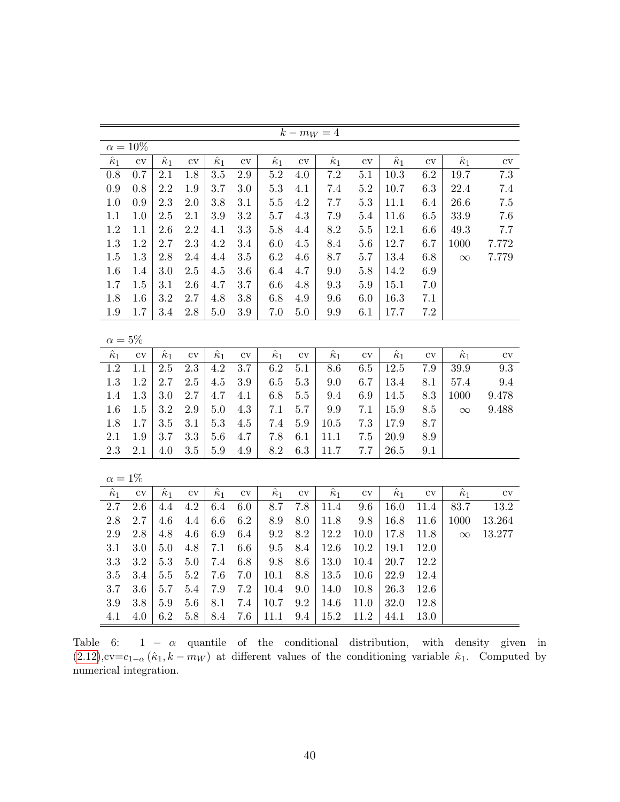|                  | $k - m_W = 4$          |                  |               |                             |                        |                  |                        |                  |                        |                  |                        |                  |                        |  |
|------------------|------------------------|------------------|---------------|-----------------------------|------------------------|------------------|------------------------|------------------|------------------------|------------------|------------------------|------------------|------------------------|--|
|                  | $\alpha = 10\%$        |                  |               |                             |                        |                  |                        |                  |                        |                  |                        |                  |                        |  |
| $\hat{\kappa}_1$ | $\overline{\text{cv}}$ | $\hat{\kappa}_1$ | $\rm{cv}$     | $\hat{\kappa}_1$            | $\overline{\text{cv}}$ | $\hat{\kappa}_1$ | $\overline{\text{cv}}$ | $\hat{\kappa}_1$ | $\overline{\text{cv}}$ | $\hat{\kappa}_1$ | $\overline{\text{cv}}$ | $\hat{\kappa}_1$ | $\overline{\text{cv}}$ |  |
| 0.8              | 0.7                    | $2.1\,$          | 1.8           | $3.5\,$                     | 2.9                    | $5.2\,$          | 4.0                    | $7.2\,$          | 5.1                    | $10.3\,$         | 6.2                    | 19.7             | $7.\overline{3}$       |  |
| $0.9\,$          | 0.8                    | $2.2\,$          | 1.9           | 3.7                         | 3.0                    | 5.3              | 4.1                    | $7.4\,$          | $5.2\,$                | $10.7\,$         | 6.3                    | 22.4             | 7.4                    |  |
| 1.0              | 0.9                    | 2.3              | $2.0\,$       | 3.8                         | 3.1                    | $5.5\,$          | $4.2\,$                | 7.7              | $5.3\,$                | 11.1             | 6.4                    | 26.6             | $7.5\,$                |  |
| 1.1              | 1.0                    | 2.5              | $2.1\,$       | 3.9                         | $\!3.2\!$              | 5.7              | 4.3                    | $7.9\,$          | 5.4                    | 11.6             | $6.5\,$                | 33.9             | 7.6                    |  |
| $1.2\,$          | 1.1                    | 2.6              | 2.2           | 4.1                         | $\!3.3$                | $5.8\,$          | 4.4                    | $8.2\,$          | $5.5\,$                | $12.1\,$         | $6.6\,$                | 49.3             | $7.7\,$                |  |
| $1.3\,$          | 1.2                    | $2.7\,$          | $2.3\,$       | 4.2                         | $3.4\,$                | 6.0              | $4.5\,$                | 8.4              | $5.6\,$                | 12.7             | 6.7                    | 1000             | 7.772                  |  |
| $1.5\,$          | 1.3                    | $2.8\,$          | 2.4           | 4.4                         | $3.5\,$                | 6.2              | 4.6                    | 8.7              | $5.7\,$                | $13.4\,$         | 6.8                    | $\infty$         | 7.779                  |  |
| $1.6\,$          | 1.4                    | 3.0              | 2.5           | $4.5\,$                     | $3.6\,$                | 6.4              | 4.7                    | 9.0              | $5.8\,$                | 14.2             | 6.9                    |                  |                        |  |
| $1.7\,$          | $1.5\,$                | $3.1\,$          | $2.6\,$       | 4.7                         | $3.7\,$                | 6.6              | 4.8                    | 9.3              | $5.9\,$                | 15.1             | $7.0\,$                |                  |                        |  |
| $1.8\,$          | 1.6                    | $3.2\,$          | 2.7           | 4.8                         | 3.8                    | 6.8              | 4.9                    | 9.6              | 6.0                    | 16.3             | $7.1\,$                |                  |                        |  |
| $1.9\,$          | 1.7                    | $3.4\,$          | $2.8\,$       | $5.0\,$                     | $3.9\,$                | 7.0              | 5.0                    | 9.9              | 6.1                    | 17.7             | $7.2\,$                |                  |                        |  |
|                  |                        |                  |               |                             |                        |                  |                        |                  |                        |                  |                        |                  |                        |  |
| $\alpha=5\%$     |                        |                  |               |                             |                        |                  |                        |                  |                        |                  |                        |                  |                        |  |
| $\hat{\kappa}_1$ | $\operatorname{cv}$    | $\hat{\kappa}_1$ | $\mathrm{cv}$ | $\hat{\kappa}_1$            | $\rm{cv}$              | $\hat{\kappa}_1$ | $\mathrm{cv}$          | $\hat{\kappa}_1$ | $\rm{cv}$              | $\hat{\kappa}_1$ | $\rm{cv}$              | $\hat{\kappa}_1$ | $\mathrm{cv}$          |  |
| 1.2              | 1.1                    | 2.5              | $2.3\,$       | 4.2                         | 3.7                    | 6.2              | 5.1                    | $8.6\,$          | $6.5\,$                | $12.5\,$         | 7.9                    | 39.9             | 9.3                    |  |
| $1.3\,$          | 1.2                    | 2.7              | $2.5\,$       | 4.5                         | $3.9\,$                | $6.5\,$          | $5.3\,$                | 9.0              | 6.7                    | $13.4\,$         | 8.1                    | 57.4             | 9.4                    |  |
| 1.4              | 1.3                    | 3.0              | 2.7           | 4.7                         | 4.1                    | 6.8              | $5.5\,$                | 9.4              | 6.9                    | 14.5             | 8.3                    | 1000             | 9.478                  |  |
| 1.6              | 1.5                    | 3.2              | $2.9\,$       | 5.0                         | 4.3                    | 7.1              | 5.7                    | $\,9.9$          | $7.1\,$                | 15.9             | 8.5                    | $\infty$         | 9.488                  |  |
| 1.8              | 1.7                    | 3.5              | 3.1           | $5.3\,$                     | 4.5                    | 7.4              | $5.9\,$                | $10.5\,$         | 7.3                    | 17.9             | 8.7                    |                  |                        |  |
| $2.1\,$          | $1.9\,$                | 3.7              | $\!3.3$       | 5.6                         | 4.7                    | 7.8              | 6.1                    | 11.1             | $7.5\,$                | $20.9\,$         | 8.9                    |                  |                        |  |
| $2.3\,$          | $2.1\,$                | 4.0              | 3.5           | $5.9\,$                     | 4.9                    | 8.2              | 6.3                    | 11.7             | 7.7                    | $26.5\,$         | 9.1                    |                  |                        |  |
| $\alpha=1\%$     |                        |                  |               |                             |                        |                  |                        |                  |                        |                  |                        |                  |                        |  |
| $\hat{\kappa}_1$ | $\overline{\text{cv}}$ | $\hat{\kappa}_1$ | $\mathrm{cv}$ | $\overline{\hat{\kappa}_1}$ | $\rm{cv}$              | $\hat{\kappa}_1$ | $\overline{\text{cv}}$ | $\hat{\kappa}_1$ | $\overline{\text{cv}}$ | $\hat{\kappa}_1$ | $\overline{\text{cv}}$ | $\hat{\kappa}_1$ | $\rm{cv}$              |  |
| $2.7\,$          | 2.6                    | 4.4              | 4.2           | 6.4                         | $6.0\,$                | 8.7              | 7.8                    | 11.4             | 9.6                    | 16.0             | 11.4                   | 83.7             | 13.2                   |  |
| $2.8\,$          | 2.7                    | 4.6              | 4.4           | 6.6                         | 6.2                    | 8.9              | 8.0                    | 11.8             | 9.8                    | 16.8             | 11.6                   | 1000             | 13.264                 |  |
| $2.9\,$          | 2.8                    | 4.8              | 4.6           | 6.9                         | 6.4                    | $\,9.2$          | 8.2                    | 12.2             | 10.0                   | 17.8             | 11.8                   | $\infty$         | 13.277                 |  |
| 3.1              | 3.0                    | 5.0              | 4.8           | 7.1                         | 6.6                    | $\,9.5$          | 8.4                    | 12.6             | 10.2                   | 19.1             | 12.0                   |                  |                        |  |
| $\!3.3$          | 3.2                    | $5.3\,$          | $5.0\,$       | 7.4                         | 6.8                    | 9.8              | 8.6                    | 13.0             | 10.4                   | $20.7\,$         | 12.2                   |                  |                        |  |
| $3.5\,$          | 3.4                    | $5.5\,$          | $5.2\,$       | 7.6                         | 7.0                    | 10.1             | 8.8                    | 13.5             | 10.6                   | $22.9\,$         | 12.4                   |                  |                        |  |
| $3.7\,$          | 3.6                    | 5.7              | $5.4\,$       | 7.9                         | $7.2\,$                | 10.4             | 9.0                    | 14.0             | 10.8                   | $26.3\,$         | 12.6                   |                  |                        |  |
| $3.9\,$          | 3.8                    | 5.9              | $5.6\,$       | 8.1                         | 7.4                    | 10.7             | $\,9.2$                | 14.6             | 11.0                   | 32.0             | 12.8                   |                  |                        |  |
| 4.1              | 4.0                    | 6.2              | $5.8\,$       | 8.4                         | 7.6                    | 11.1             | 9.4                    | 15.2             | 11.2                   | 44.1             | 13.0                   |                  |                        |  |

Table 6:  $1 - \alpha$  quantile of the conditional distribution, with density given in  $(2.12)$ ,cv=c<sub>1-α</sub>  $(\hat{\kappa}_1, k - m_W)$  at different values of the conditioning variable  $\hat{\kappa}_1$ . Computed by numerical integration.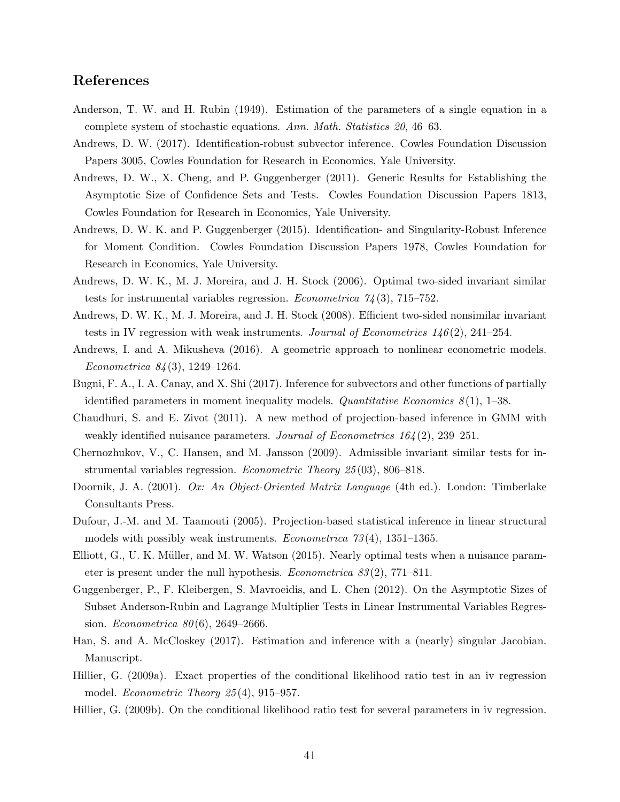### References

- <span id="page-41-2"></span>Anderson, T. W. and H. Rubin (1949). Estimation of the parameters of a single equation in a complete system of stochastic equations. Ann. Math. Statistics 20, 46–63.
- <span id="page-41-12"></span>Andrews, D. W. (2017). Identification-robust subvector inference. Cowles Foundation Discussion Papers 3005, Cowles Foundation for Research in Economics, Yale University.
- <span id="page-41-9"></span>Andrews, D. W., X. Cheng, and P. Guggenberger (2011). Generic Results for Establishing the Asymptotic Size of Confidence Sets and Tests. Cowles Foundation Discussion Papers 1813, Cowles Foundation for Research in Economics, Yale University.
- <span id="page-41-10"></span>Andrews, D. W. K. and P. Guggenberger (2015). Identification- and Singularity-Robust Inference for Moment Condition. Cowles Foundation Discussion Papers 1978, Cowles Foundation for Research in Economics, Yale University.
- <span id="page-41-3"></span>Andrews, D. W. K., M. J. Moreira, and J. H. Stock (2006). Optimal two-sided invariant similar tests for instrumental variables regression. *Econometrica*  $74(3)$ ,  $715-752$ .
- <span id="page-41-4"></span>Andrews, D. W. K., M. J. Moreira, and J. H. Stock (2008). Efficient two-sided nonsimilar invariant tests in IV regression with weak instruments. Journal of Econometrics  $146(2)$ ,  $241-254$ .
- <span id="page-41-13"></span>Andrews, I. and A. Mikusheva (2016). A geometric approach to nonlinear econometric models. Econometrica 84 (3), 1249–1264.
- <span id="page-41-15"></span>Bugni, F. A., I. A. Canay, and X. Shi (2017). Inference for subvectors and other functions of partially identified parameters in moment inequality models. Quantitative Economics  $8(1)$ , 1–38.
- <span id="page-41-11"></span>Chaudhuri, S. and E. Zivot (2011). A new method of projection-based inference in GMM with weakly identified nuisance parameters. Journal of Econometrics  $164(2)$ ,  $239-251$ .
- <span id="page-41-5"></span>Chernozhukov, V., C. Hansen, and M. Jansson (2009). Admissible invariant similar tests for instrumental variables regression. Econometric Theory 25 (03), 806–818.
- <span id="page-41-16"></span>Doornik, J. A. (2001). Ox: An Object-Oriented Matrix Language (4th ed.). London: Timberlake Consultants Press.
- <span id="page-41-0"></span>Dufour, J.-M. and M. Taamouti (2005). Projection-based statistical inference in linear structural models with possibly weak instruments. *Econometrica*  $73(4)$ ,  $1351-1365$ .
- <span id="page-41-8"></span>Elliott, G., U. K. Müller, and M. W. Watson  $(2015)$ . Nearly optimal tests when a nuisance parameter is present under the null hypothesis. Econometrica 83 (2), 771–811.
- <span id="page-41-1"></span>Guggenberger, P., F. Kleibergen, S. Mavroeidis, and L. Chen (2012). On the Asymptotic Sizes of Subset Anderson-Rubin and Lagrange Multiplier Tests in Linear Instrumental Variables Regression. *Econometrica*  $80(6)$ , 2649–2666.
- <span id="page-41-14"></span>Han, S. and A. McCloskey (2017). Estimation and inference with a (nearly) singular Jacobian. Manuscript.
- <span id="page-41-6"></span>Hillier, G. (2009a). Exact properties of the conditional likelihood ratio test in an iv regression model. *Econometric Theory*  $25(4)$ , 915–957.
- <span id="page-41-7"></span>Hillier, G. (2009b). On the conditional likelihood ratio test for several parameters in iv regression.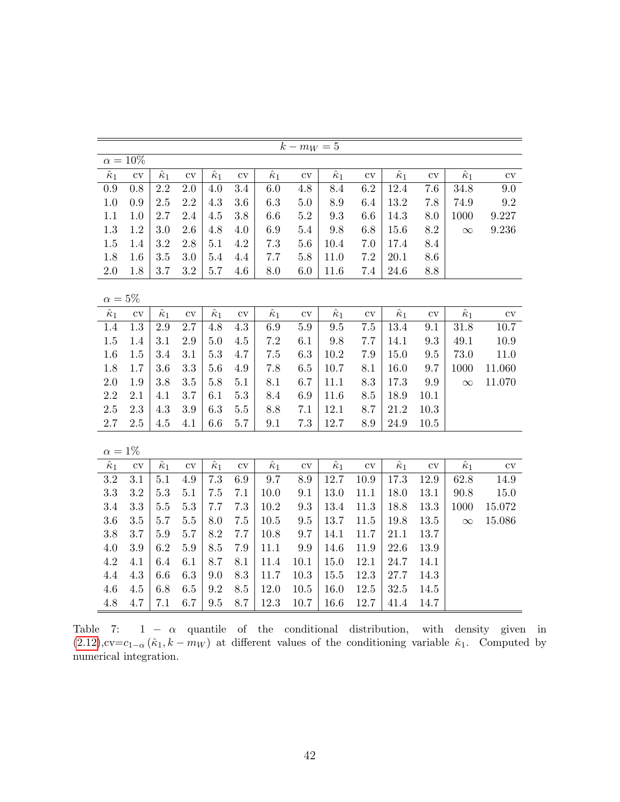<span id="page-42-0"></span>

|                  |                        |                  |               |                  |                        |                  | $k - m_W = 5$ |                  |                        |                  |                        |                  |           |
|------------------|------------------------|------------------|---------------|------------------|------------------------|------------------|---------------|------------------|------------------------|------------------|------------------------|------------------|-----------|
|                  | $\alpha = 10\%$        |                  |               |                  |                        |                  |               |                  |                        |                  |                        |                  |           |
| $\hat{\kappa}_1$ | $\overline{\text{cv}}$ | $\hat{\kappa}_1$ | $\mathrm{cv}$ | $\hat{\kappa}_1$ | $\overline{\text{cv}}$ | $\hat{\kappa}_1$ | $\mathrm{cv}$ | $\hat{\kappa}_1$ | $\overline{\text{cv}}$ | $\hat{\kappa}_1$ | $\overline{\text{cv}}$ | $\hat{\kappa}_1$ | $\rm{cv}$ |
| 0.9              | $0.8\,$                | $2.2\,$          | $2.0\,$       | 4.0              | 3.4                    | 6.0              | 4.8           | 8.4              | 6.2                    | 12.4             | 7.6                    | 34.8             | 9.0       |
| 1.0              | 0.9                    | 2.5              | $2.2\,$       | 4.3              | 3.6                    | 6.3              | 5.0           | 8.9              | 6.4                    | 13.2             | 7.8                    | 74.9             | 9.2       |
| $1.1\,$          | 1.0                    | 2.7              | 2.4           | 4.5              | 3.8                    | 6.6              | $5.2\,$       | 9.3              | 6.6                    | 14.3             | 8.0                    | 1000             | 9.227     |
| 1.3              | 1.2                    | 3.0              | 2.6           | 4.8              | 4.0                    | 6.9              | 5.4           | $9.8\,$          | 6.8                    | 15.6             | $8.2\,$                | $\infty$         | 9.236     |
| 1.5              | 1.4                    | 3.2              | 2.8           | 5.1              | 4.2                    | $7.3\,$          | 5.6           | 10.4             | 7.0                    | 17.4             | 8.4                    |                  |           |
| 1.8              | 1.6                    | 3.5              | $3.0\,$       | 5.4              | $4.4\,$                | 7.7              | $5.8\,$       | 11.0             | $7.2\,$                | $20.1\,$         | $8.6\,$                |                  |           |
| $2.0\,$          | 1.8                    | 3.7              | $3.2\,$       | 5.7              | $4.6\,$                | $8.0\,$          | 6.0           | 11.6             | 7.4                    | 24.6             | 8.8                    |                  |           |
|                  |                        |                  |               |                  |                        |                  |               |                  |                        |                  |                        |                  |           |
| $\alpha=5\%$     |                        |                  |               |                  |                        |                  |               |                  |                        |                  |                        |                  |           |
| $\hat{\kappa}_1$ | $\rm{cv}$              | $\hat{\kappa}_1$ | $\mathrm{cv}$ | $\hat{\kappa}_1$ | $\overline{\text{cv}}$ | $\hat{\kappa}_1$ | $\mathrm{cv}$ | $\hat{\kappa}_1$ | $\rm{cv}$              | $\hat{\kappa}_1$ | $\mathrm{cv}$          | $\hat{\kappa}_1$ | $\rm{cv}$ |
| $1.4\,$          | $1.3\,$                | $2.9\,$          | 2.7           | 4.8              | $4.3\,$                | $6.9\,$          | $5.9\,$       | $\ \, 9.5$       | $7.5\,$                | 13.4             | 9.1                    | $31.8\,$         | 10.7      |
| $1.5\,$          | 1.4                    | 3.1              | $2.9\,$       | $5.0\,$          | $4.5\,$                | 7.2              | 6.1           | $9.8\,$          | 7.7                    | 14.1             | $\rm 9.3$              | $49.1\,$         | 10.9      |
| 1.6              | 1.5                    | $3.4\,$          | 3.1           | $5.3\,$          | 4.7                    | $7.5\,$          | 6.3           | 10.2             | 7.9                    | 15.0             | $\ \, 9.5$             | 73.0             | 11.0      |
| 1.8              | 1.7                    | 3.6              | 3.3           | 5.6              | 4.9                    | 7.8              | 6.5           | $10.7\,$         | 8.1                    | 16.0             | 9.7                    | 1000             | 11.060    |
| $2.0\,$          | 1.9                    | 3.8              | $3.5\,$       | 5.8              | $5.1\,$                | $8.1\,$          | 6.7           | $11.1\,$         | 8.3                    | 17.3             | $\rm 9.9$              | $\infty$         | 11.070    |
| 2.2              | 2.1                    | 4.1              | 3.7           | 6.1              | 5.3                    | 8.4              | 6.9           | 11.6             | 8.5                    | 18.9             | 10.1                   |                  |           |
| $2.5\,$          | $2.3\,$                | 4.3              | $3.9\,$       | 6.3              | $5.5\,$                | $8.8\,$          | 7.1           | 12.1             | 8.7                    | 21.2             | 10.3                   |                  |           |
| $2.7\,$          | 2.5                    | $4.5\,$          | 4.1           | 6.6              | $5.7\,$                | 9.1              | $7.3\,$       | 12.7             | 8.9                    | 24.9             | $10.5\,$               |                  |           |
|                  |                        |                  |               |                  |                        |                  |               |                  |                        |                  |                        |                  |           |
| $\alpha=1\%$     |                        |                  |               |                  |                        |                  |               |                  |                        |                  |                        |                  |           |
| $\hat{\kappa}_1$ | $\mathrm{cv}$          | $\hat{\kappa}_1$ | $\mathrm{cv}$ | $\hat{\kappa}_1$ | $\mathrm{cv}$          | $\hat{\kappa}_1$ | $\rm{cv}$     | $\hat{\kappa}_1$ | $\rm{cv}$              | $\hat{\kappa}_1$ | $\mathrm{cv}$          | $\hat{\kappa}_1$ | $\rm{cv}$ |
| 3.2              | 3.1                    | 5.1              | $4.9\,$       | 7.3              | 6.9                    | 9.7              | 8.9           | 12.7             | 10.9                   | 17.3             | 12.9                   | 62.8             | 14.9      |
| 3.3              | 3.2                    | $5.3\,$          | 5.1           | $7.5\,$          | $7.1\,$                | $10.0\,$         | 9.1           | 13.0             | 11.1                   | 18.0             | $13.1\,$               | $90.8\,$         | 15.0      |
| 3.4              | $\!3.3$                | 5.5              | 5.3           | 7.7              | 7.3                    | 10.2             | 9.3           | 13.4             | 11.3                   | 18.8             | 13.3                   | 1000             | 15.072    |
| 3.6              | 3.5                    | 5.7              | $5.5\,$       | 8.0              | 7.5                    | $10.5\,$         | 9.5           | 13.7             | 11.5                   | 19.8             | $13.5\,$               | $\infty$         | 15.086    |
| 3.8              | 3.7                    | $5.9\,$          | 5.7           | 8.2              | 7.7                    | 10.8             | 9.7           | $14.1\,$         | 11.7                   | 21.1             | 13.7                   |                  |           |
| 4.0              | $3.9\,$                | 6.2              | $5.9\,$       | 8.5              | 7.9                    | 11.1             | 9.9           | 14.6             | 11.9                   | 22.6             | 13.9                   |                  |           |
| 4.2              | 4.1                    | 6.4              | 6.1           | 8.7              | 8.1                    | 11.4             | 10.1          | $15.0\,$         | 12.1                   | 24.7             | 14.1                   |                  |           |
| 4.4              | $4.3\,$                | 6.6              | $6.3\,$       | 9.0              | $\!\!\!\!\!8.3$        | 11.7             | $10.3\,$      | $15.5\,$         | 12.3                   | 27.7             | 14.3                   |                  |           |
| 4.6              | $4.5\,$                | 6.8              | $6.5\,$       | 9.2              | 8.5                    | 12.0             | $10.5\,$      | 16.0             | 12.5                   | 32.5             | 14.5                   |                  |           |
| 4.8              | 4.7                    | 7.1              | 6.7           | 9.5              | 8.7                    | 12.3             | 10.7          | 16.6             | 12.7                   | 41.4             | 14.7                   |                  |           |

Table 7:  $1 - \alpha$  quantile of the conditional distribution, with density given in  $(2.12)$ ,cv=c<sub>1-α</sub>  $(\hat{\kappa}_1, k - m_W)$  at different values of the conditioning variable  $\hat{\kappa}_1$ . Computed by numerical integration.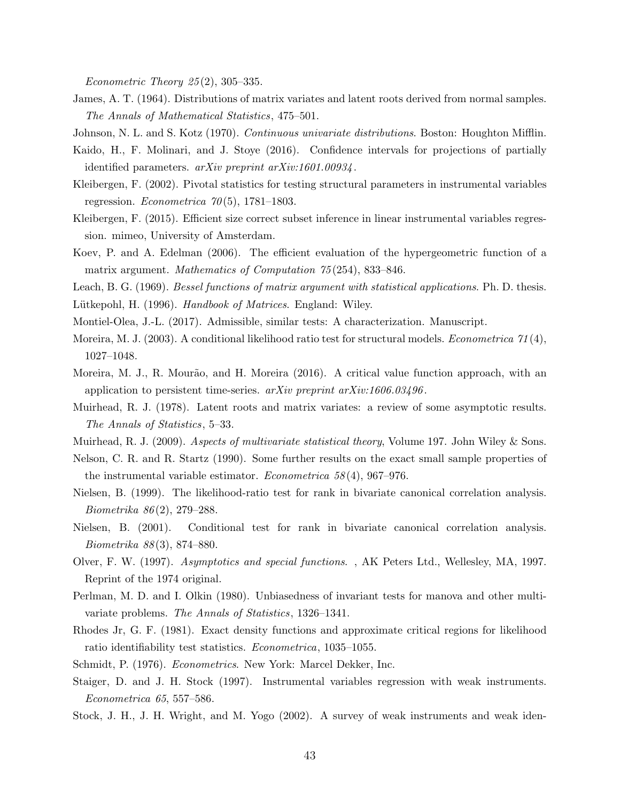Econometric Theory  $25(2)$ , 305-335.

<span id="page-43-20"></span>James, A. T. (1964). Distributions of matrix variates and latent roots derived from normal samples. The Annals of Mathematical Statistics, 475–501.

<span id="page-43-19"></span><span id="page-43-12"></span>Johnson, N. L. and S. Kotz (1970). Continuous univariate distributions. Boston: Houghton Mifflin.

- Kaido, H., F. Molinari, and J. Stoye (2016). Confidence intervals for projections of partially identified parameters. arXiv preprint arXiv:1601.00934 .
- <span id="page-43-4"></span>Kleibergen, F. (2002). Pivotal statistics for testing structural parameters in instrumental variables regression. *Econometrica*  $70(5)$ , 1781–1803.
- <span id="page-43-0"></span>Kleibergen, F. (2015). Efficient size correct subset inference in linear instrumental variables regression. mimeo, University of Amsterdam.
- <span id="page-43-16"></span>Koev, P. and A. Edelman (2006). The efficient evaluation of the hypergeometric function of a matrix argument. Mathematics of Computation 75(254), 833-846.
- <span id="page-43-18"></span><span id="page-43-15"></span>Leach, B. G. (1969). Bessel functions of matrix argument with statistical applications. Ph. D. thesis.
- <span id="page-43-1"></span>Lütkepohl, H. (1996). Handbook of Matrices. England: Wiley.
- <span id="page-43-5"></span>Montiel-Olea, J.-L. (2017). Admissible, similar tests: A characterization. Manuscript.
- Moreira, M. J. (2003). A conditional likelihood ratio test for structural models. *Econometrica*  $71(4)$ , 1027–1048.
- <span id="page-43-17"></span>Moreira, M. J., R. Mourão, and H. Moreira (2016). A critical value function approach, with an application to persistent time-series.  $arXiv$  preprint  $arXiv:1606.03496$ .
- <span id="page-43-8"></span>Muirhead, R. J. (1978). Latent roots and matrix variates: a review of some asymptotic results. The Annals of Statistics, 5–33.
- <span id="page-43-6"></span><span id="page-43-2"></span>Muirhead, R. J. (2009). Aspects of multivariate statistical theory, Volume 197. John Wiley & Sons.
- Nelson, C. R. and R. Startz (1990). Some further results on the exact small sample properties of the instrumental variable estimator. *Econometrica*  $58(4)$ ,  $967-976$ .
- <span id="page-43-10"></span>Nielsen, B. (1999). The likelihood-ratio test for rank in bivariate canonical correlation analysis. Biometrika 86 (2), 279–288.
- <span id="page-43-11"></span>Nielsen, B. (2001). Conditional test for rank in bivariate canonical correlation analysis. Biometrika 88 (3), 874–880.
- Olver, F. W. (1997). Asymptotics and special functions. , AK Peters Ltd., Wellesley, MA, 1997. Reprint of the 1974 original.
- <span id="page-43-7"></span>Perlman, M. D. and I. Olkin (1980). Unbiasedness of invariant tests for manova and other multivariate problems. The Annals of Statistics, 1326–1341.
- <span id="page-43-9"></span>Rhodes Jr, G. F. (1981). Exact density functions and approximate critical regions for likelihood ratio identifiability test statistics. Econometrica, 1035–1055.
- <span id="page-43-13"></span><span id="page-43-3"></span>Schmidt, P. (1976). Econometrics. New York: Marcel Dekker, Inc.
- Staiger, D. and J. H. Stock (1997). Instrumental variables regression with weak instruments. Econometrica 65, 557–586.
- <span id="page-43-14"></span>Stock, J. H., J. H. Wright, and M. Yogo (2002). A survey of weak instruments and weak iden-